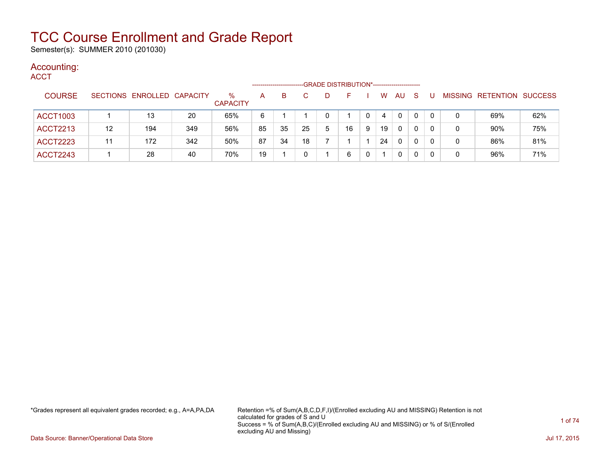Semester(s): SUMMER 2010 (201030)

### Accounting:

| ACCT            |    |                            |     |                         |    |    |    |              | -GRADE DISTRIBUTION*----------------------- |   |    |              |              |          |   |                           |     |
|-----------------|----|----------------------------|-----|-------------------------|----|----|----|--------------|---------------------------------------------|---|----|--------------|--------------|----------|---|---------------------------|-----|
| <b>COURSE</b>   |    | SECTIONS ENROLLED CAPACITY |     | $\%$<br><b>CAPACITY</b> | A  | B. |    | $\mathbf{D}$ | F                                           |   | W  | AU.          | <sub>S</sub> |          |   | MISSING RETENTION SUCCESS |     |
| <b>ACCT1003</b> |    | 13                         | 20  | 65%                     | 6  |    |    |              |                                             |   | 4  | $\mathbf 0$  | 0            | $\Omega$ |   | 69%                       | 62% |
| <b>ACCT2213</b> | 12 | 194                        | 349 | 56%                     | 85 | 35 | 25 | 5            | 16                                          | 9 | 19 | $\mathbf{0}$ | 0            | 0        | 0 | 90%                       | 75% |
| <b>ACCT2223</b> | 11 | 172                        | 342 | 50%                     | 87 | 34 | 18 |              |                                             |   | 24 | $\Omega$     | $\Omega$     | 0        | 0 | 86%                       | 81% |
| <b>ACCT2243</b> |    | 28                         | 40  | 70%                     | 19 |    |    |              | 6                                           |   |    | 0            | 0            |          | 0 | 96%                       | 71% |

\*Grades represent all equivalent grades recorded; e.g., A=A,PA,DA Retention =% of Sum(A,B,C,D,F,I)/(Enrolled excluding AU and MISSING) Retention is not calculated for grades of S and U Success = % of Sum(A,B,C)/(Enrolled excluding AU and MISSING) or % of S/(Enrolled excluding AU and Missing)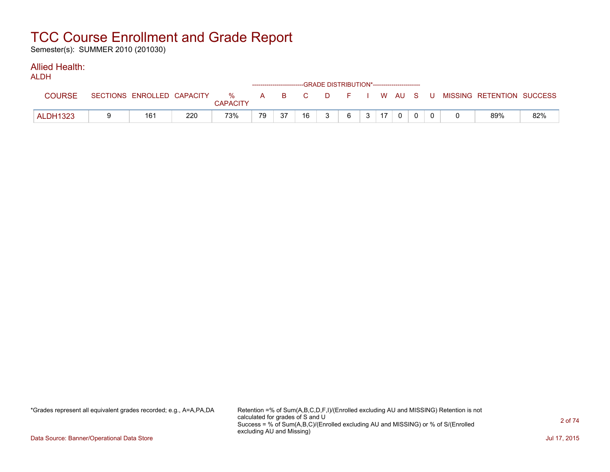Semester(s): SUMMER 2010 (201030)

#### Allied Health: ALDH

| ALDN            |                            |     |                      |    |    | ------------------------GRADE DISTRIBUTION*----------------------- |   |          |    |  |  |                           |     |
|-----------------|----------------------------|-----|----------------------|----|----|--------------------------------------------------------------------|---|----------|----|--|--|---------------------------|-----|
| <b>COURSE</b>   | SECTIONS ENROLLED CAPACITY |     | %<br><b>CAPACITY</b> |    |    | A B C                                                              |   | DFIWAUSU |    |  |  | MISSING RETENTION SUCCESS |     |
| <b>ALDH1323</b> | 16٬                        | 220 | 73%                  | 79 | 37 | 16                                                                 | າ | 6        | 17 |  |  | 89%                       | 82% |

\*Grades represent all equivalent grades recorded; e.g., A=A,PA,DA Retention =% of Sum(A,B,C,D,F,I)/(Enrolled excluding AU and MISSING) Retention is not calculated for grades of S and U Success = % of Sum(A,B,C)/(Enrolled excluding AU and MISSING) or % of S/(Enrolled excluding AU and Missing)

Data Source: Banner/Operational Data Store Jul 17, 2015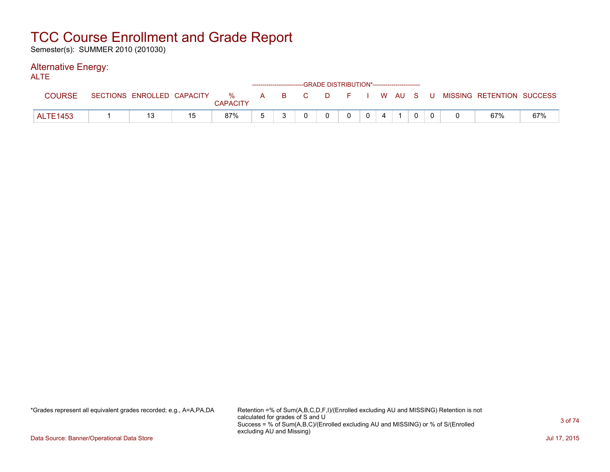Semester(s): SUMMER 2010 (201030)

#### Alternative Energy: ALTE

| ᄮᄕ              |                            |                 |  |   | ------------------------GRADE DISTRIBUTION*----------------------- |                |  |  |                                                  |     |
|-----------------|----------------------------|-----------------|--|---|--------------------------------------------------------------------|----------------|--|--|--------------------------------------------------|-----|
| <b>COURSE</b>   | SECTIONS ENROLLED CAPACITY | <b>CAPACITY</b> |  |   |                                                                    |                |  |  | % A B C D F I W AU S U MISSING RETENTION SUCCESS |     |
| <b>ALTE1453</b> |                            | 87%             |  | 0 | $\Omega$                                                           | 0 <sup>1</sup> |  |  | 67%                                              | 67% |

\*Grades represent all equivalent grades recorded; e.g., A=A,PA,DA Retention =% of Sum(A,B,C,D,F,I)/(Enrolled excluding AU and MISSING) Retention is not calculated for grades of S and U Success = % of Sum(A,B,C)/(Enrolled excluding AU and MISSING) or % of S/(Enrolled excluding AU and Missing)

Data Source: Banner/Operational Data Store Jul 17, 2015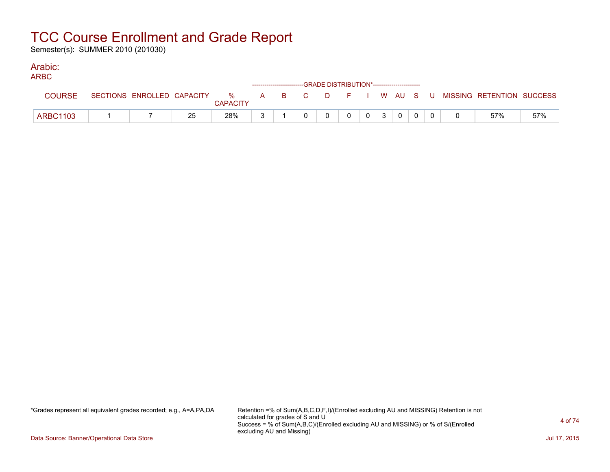Semester(s): SUMMER 2010 (201030)

#### Arabic: ARBC

| ARBC            |                            |    |                      |  |  | ------------------------GRADE DISTRIBUTION*----------------------- |                |                |                |  |                                                |     |
|-----------------|----------------------------|----|----------------------|--|--|--------------------------------------------------------------------|----------------|----------------|----------------|--|------------------------------------------------|-----|
| <b>COURSE</b>   | SECTIONS ENROLLED CAPACITY |    | %<br><b>CAPACITY</b> |  |  |                                                                    |                |                |                |  | A B C D F I W AU S U MISSING RETENTION SUCCESS |     |
| <b>ARBC1103</b> |                            | 25 | 28%                  |  |  |                                                                    | 0 <sup>1</sup> | 3 <sup>3</sup> | $\overline{0}$ |  | 57%                                            | 57% |

\*Grades represent all equivalent grades recorded; e.g., A=A,PA,DA Retention =% of Sum(A,B,C,D,F,I)/(Enrolled excluding AU and MISSING) Retention is not calculated for grades of S and U Success = % of Sum(A,B,C)/(Enrolled excluding AU and MISSING) or % of S/(Enrolled excluding AU and Missing)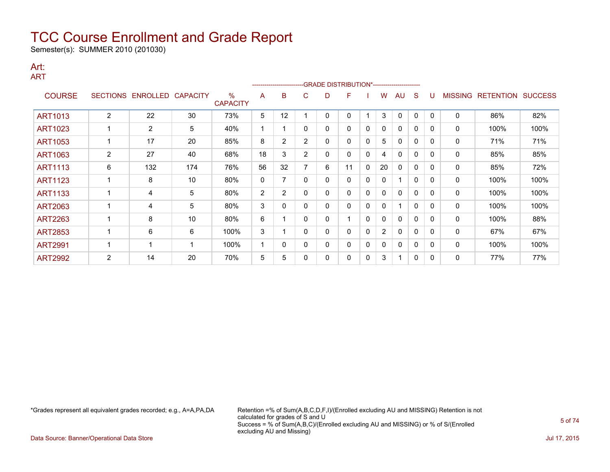Semester(s): SUMMER 2010 (201030)

#### Art: ART

|                |                 |                |                 |                         |                | ---------------------- |                |   | -GRADE DISTRIBUTION*----------------------- |   |                |              |          |              |                |                  |                |
|----------------|-----------------|----------------|-----------------|-------------------------|----------------|------------------------|----------------|---|---------------------------------------------|---|----------------|--------------|----------|--------------|----------------|------------------|----------------|
| <b>COURSE</b>  | <b>SECTIONS</b> | ENROLLED       | <b>CAPACITY</b> | $\%$<br><b>CAPACITY</b> | A              | B                      | C              | D | F                                           |   | w              | AU.          | S        |              | <b>MISSING</b> | <b>RETENTION</b> | <b>SUCCESS</b> |
| <b>ART1013</b> | $\overline{2}$  | 22             | 30              | 73%                     | 5              | 12                     |                | 0 | 0                                           |   | 3              | $\mathbf{0}$ | $\Omega$ | $\mathbf{0}$ | 0              | 86%              | 82%            |
| ART1023        |                 | $\overline{2}$ | 5               | 40%                     | 1              |                        | 0              | 0 | 0                                           | 0 | 0              | $\mathbf{0}$ | 0        | $\mathbf{0}$ | 0              | 100%             | 100%           |
| <b>ART1053</b> |                 | 17             | 20              | 85%                     | 8              | $\overline{2}$         | 2              | 0 | 0                                           | 0 | 5              | $\Omega$     | 0        | $\Omega$     | 0              | 71%              | 71%            |
| ART1063        | 2               | 27             | 40              | 68%                     | 18             | 3                      | $\overline{2}$ | 0 | 0                                           | 0 | 4              | 0            | 0        | $\mathbf{0}$ | 0              | 85%              | 85%            |
| <b>ART1113</b> | 6               | 132            | 174             | 76%                     | 56             | 32                     |                | 6 | 11                                          | 0 | 20             | 0            | 0        | 0            | 0              | 85%              | 72%            |
| <b>ART1123</b> |                 | 8              | 10              | 80%                     | 0              | 7                      | 0              | 0 | 0                                           | 0 | 0              | 1            | 0        | $\Omega$     | 0              | 100%             | 100%           |
| <b>ART1133</b> |                 | 4              | 5               | 80%                     | $\overline{2}$ | $\overline{2}$         | 0              | 0 | 0                                           | 0 | 0              | $\mathbf{0}$ | 0        | $\mathbf{0}$ | 0              | 100%             | 100%           |
| <b>ART2063</b> |                 | 4              | 5               | 80%                     | 3              | 0                      | 0              | 0 | 0                                           | 0 | 0              |              | 0        | $\mathbf{0}$ | $\mathbf 0$    | 100%             | 100%           |
| ART2263        |                 | 8              | 10              | 80%                     | 6              |                        | 0              | 0 | 1                                           | 0 | 0              | 0            | 0        | $\Omega$     | 0              | 100%             | 88%            |
| <b>ART2853</b> |                 | 6              | 6               | 100%                    | 3              |                        | 0              | 0 | 0                                           | 0 | $\overline{2}$ | $\mathbf{0}$ | 0        | $\Omega$     | $\mathbf 0$    | 67%              | 67%            |
| <b>ART2991</b> |                 |                |                 | 100%                    | 1              | 0                      | 0              | 0 | 0                                           | 0 | 0              | 0            | 0        | $\Omega$     | 0              | 100%             | 100%           |
| <b>ART2992</b> | $\overline{2}$  | 14             | 20              | 70%                     | 5              | 5                      |                | 0 | 0                                           | 0 | 3              | 1            | 0        | $\mathbf{0}$ | 0              | 77%              | 77%            |

\*Grades represent all equivalent grades recorded; e.g., A=A,PA,DA Retention =% of Sum(A,B,C,D,F,I)/(Enrolled excluding AU and MISSING) Retention is not calculated for grades of S and U Success = % of Sum(A,B,C)/(Enrolled excluding AU and MISSING) or % of S/(Enrolled excluding AU and Missing)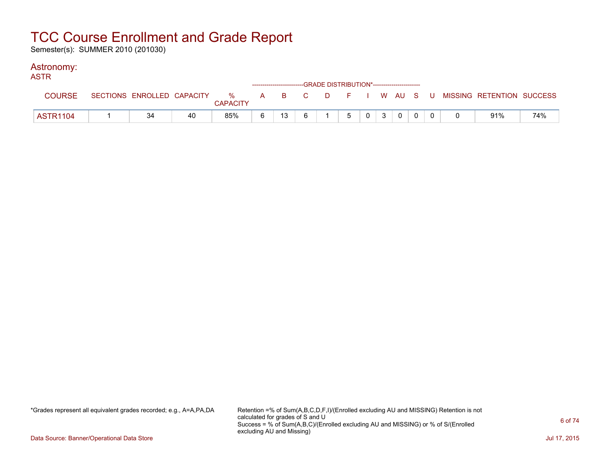Semester(s): SUMMER 2010 (201030)

### Astronomy:

| <b>ASTR</b>   |    |    |                 |   |    |     | --GRADE DISTRIBUTION*----------------------- |   |  |         |  |                                                                             |     |
|---------------|----|----|-----------------|---|----|-----|----------------------------------------------|---|--|---------|--|-----------------------------------------------------------------------------|-----|
| <b>COURSE</b> |    |    | <b>CAPACITY</b> |   |    |     |                                              |   |  |         |  | SECTIONS ENROLLED CAPACITY % A B C D F I W AU S U MISSING RETENTION SUCCESS |     |
| ASTR1104      | 34 | 40 | 85%             | 6 | 13 | ჩ — |                                              | 5 |  | $0$ 3 0 |  | 91%                                                                         | 74% |

\*Grades represent all equivalent grades recorded; e.g., A=A,PA,DA Retention =% of Sum(A,B,C,D,F,I)/(Enrolled excluding AU and MISSING) Retention is not calculated for grades of S and U Success = % of Sum(A,B,C)/(Enrolled excluding AU and MISSING) or % of S/(Enrolled excluding AU and Missing)

Data Source: Banner/Operational Data Store Jul 17, 2015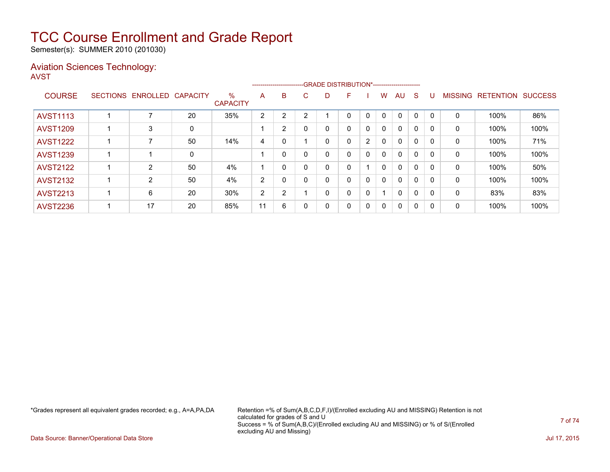Semester(s): SUMMER 2010 (201030)

### Aviation Sciences Technology: AVST

|                 |                   |                 |                         |                |          | --------------------------GRADE DISTRIBUTION*----------------------- |    |    |              |              |              |              |          |                |                          |      |
|-----------------|-------------------|-----------------|-------------------------|----------------|----------|----------------------------------------------------------------------|----|----|--------------|--------------|--------------|--------------|----------|----------------|--------------------------|------|
| <b>COURSE</b>   | SECTIONS ENROLLED | <b>CAPACITY</b> | $\%$<br><b>CAPACITY</b> | A              | B        | C.                                                                   | D. | F. |              | W            | AU           | -S           |          | <b>MISSING</b> | <b>RETENTION SUCCESS</b> |      |
| <b>AVST1113</b> |                   | 20              | 35%                     | 2              | 2        | $\sqrt{2}$                                                           |    | 0  | 0            | 0            | $\Omega$     | 0            | - 0      | 0              | 100%                     | 86%  |
| <b>AVST1209</b> | 3                 | 0               |                         |                | 2        |                                                                      | 0  | 0  | 0            | $\mathbf{0}$ | $\mathbf{0}$ | $\Omega$     |          | 0              | 100%                     | 100% |
| <b>AVST1222</b> | 7                 | 50              | 14%                     | 4              | 0        |                                                                      | 0  | 0  | 2            | 0            | $\mathbf{0}$ | $\mathbf{0}$ | - 0      | 0              | 100%                     | 71%  |
| <b>AVST1239</b> |                   | 0               |                         |                | $\Omega$ |                                                                      | 0  | 0  | 0            | $\mathbf{0}$ | $\mathbf{0}$ | 0            |          | 0              | 100%                     | 100% |
| <b>AVST2122</b> | $\overline{2}$    | 50              | 4%                      |                | 0        |                                                                      | 0  | 0  |              | $\mathbf{0}$ | $\mathbf{0}$ | $\Omega$     | $\Omega$ | 0              | 100%                     | 50%  |
| <b>AVST2132</b> | $\overline{2}$    | 50              | 4%                      | 2              | 0        |                                                                      | 0  | 0  | $\mathbf{0}$ | $\mathbf{0}$ | $\mathbf{0}$ | $\mathbf{0}$ | - 0      | $\Omega$       | 100%                     | 100% |
| <b>AVST2213</b> | 6                 | 20              | 30%                     | $\overline{2}$ | 2        |                                                                      | 0  | 0  | 0            |              | $\mathbf{0}$ | 0            |          | 0              | 83%                      | 83%  |
| <b>AVST2236</b> | 17                | 20              | 85%                     | 11             | 6        |                                                                      | 0  | 0  | 0            | $\Omega$     | $\mathbf{0}$ | 0            | - 0      | $\mathbf{0}$   | 100%                     | 100% |

\*Grades represent all equivalent grades recorded; e.g., A=A,PA,DA Retention =% of Sum(A,B,C,D,F,I)/(Enrolled excluding AU and MISSING) Retention is not calculated for grades of S and U Success = % of Sum(A,B,C)/(Enrolled excluding AU and MISSING) or % of S/(Enrolled excluding AU and Missing)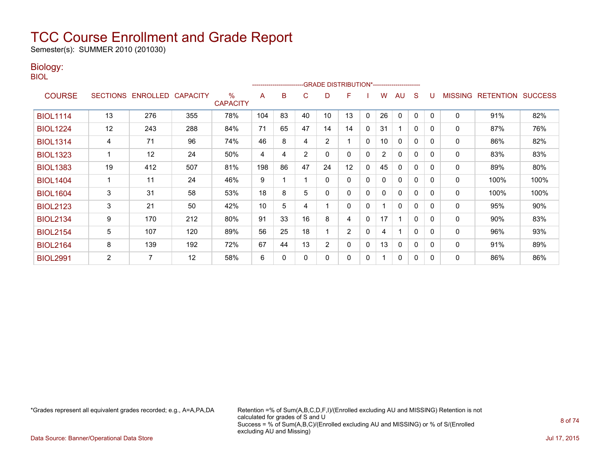Semester(s): SUMMER 2010 (201030)

### Biology:

BIOL

|                 |                |                   |                 |                         |     |    |    |                | -------------------------GRADE                DISTRIBUTION*--------------------- |              |                |              |              |          |                |                  |                |
|-----------------|----------------|-------------------|-----------------|-------------------------|-----|----|----|----------------|----------------------------------------------------------------------------------|--------------|----------------|--------------|--------------|----------|----------------|------------------|----------------|
| <b>COURSE</b>   |                | SECTIONS ENROLLED | <b>CAPACITY</b> | $\%$<br><b>CAPACITY</b> | A   | B  | C  | D              | F                                                                                |              | w              | AU           | S            |          | <b>MISSING</b> | <b>RETENTION</b> | <b>SUCCESS</b> |
| <b>BIOL1114</b> | 13             | 276               | 355             | 78%                     | 104 | 83 | 40 | 10             | 13                                                                               | 0            | 26             | $\mathbf{0}$ | 0            | $\Omega$ | $\mathbf 0$    | 91%              | 82%            |
| <b>BIOL1224</b> | 12             | 243               | 288             | 84%                     | 71  | 65 | 47 | 14             | 14                                                                               | 0            | 31             | 1            | $\mathbf{0}$ | $\Omega$ | 0              | 87%              | 76%            |
| <b>BIOL1314</b> | 4              | 71                | 96              | 74%                     | 46  | 8  | 4  | $\overline{2}$ |                                                                                  | 0            | 10             | $\mathbf{0}$ | $\mathbf{0}$ | $\Omega$ | 0              | 86%              | 82%            |
| <b>BIOL1323</b> |                | 12                | 24              | 50%                     | 4   | 4  | 2  | 0              | 0                                                                                | 0            | $\overline{2}$ | $\mathbf{0}$ | $\mathbf{0}$ | $\Omega$ | 0              | 83%              | 83%            |
| <b>BIOL1383</b> | 19             | 412               | 507             | 81%                     | 198 | 86 | 47 | 24             | 12                                                                               | 0            | 45             | 0            | 0            | $\Omega$ | 0              | 89%              | 80%            |
| <b>BIOL1404</b> |                | 11                | 24              | 46%                     | 9   |    |    | 0              | 0                                                                                | 0            | 0              | $\mathbf{0}$ | $\mathbf{0}$ | $\Omega$ | 0              | 100%             | 100%           |
| <b>BIOL1604</b> | 3              | 31                | 58              | 53%                     | 18  | 8  | 5  | 0              | 0                                                                                | 0            | 0              | $\mathbf{0}$ | $\mathbf{0}$ | $\Omega$ | $\mathbf 0$    | 100%             | 100%           |
| <b>BIOL2123</b> | 3              | 21                | 50              | 42%                     | 10  | 5  | 4  |                | 0                                                                                | 0            |                | $\mathbf{0}$ | $\mathbf{0}$ | $\Omega$ | 0              | 95%              | 90%            |
| <b>BIOL2134</b> | 9              | 170               | 212             | 80%                     | 91  | 33 | 16 | 8              | 4                                                                                | $\mathbf{0}$ | 17             | 4            | $\mathbf{0}$ | $\Omega$ | $\mathbf 0$    | 90%              | 83%            |
| <b>BIOL2154</b> | 5              | 107               | 120             | 89%                     | 56  | 25 | 18 |                | $\overline{2}$                                                                   | 0            | 4              | 1            | $\mathbf{0}$ | $\Omega$ | 0              | 96%              | 93%            |
| <b>BIOL2164</b> | 8              | 139               | 192             | 72%                     | 67  | 44 | 13 | 2              | 0                                                                                | 0            | 13             | 0            | 0            | $\Omega$ | 0              | 91%              | 89%            |
| <b>BIOL2991</b> | $\overline{2}$ | 7                 | 12              | 58%                     | 6   | 0  | O  | 0              | 0                                                                                | $\mathbf{0}$ |                | $\mathbf{0}$ | $\mathbf{0}$ | $\Omega$ | 0              | 86%              | 86%            |

\*Grades represent all equivalent grades recorded; e.g., A=A,PA,DA Retention =% of Sum(A,B,C,D,F,I)/(Enrolled excluding AU and MISSING) Retention is not calculated for grades of S and U Success = % of Sum(A,B,C)/(Enrolled excluding AU and MISSING) or % of S/(Enrolled excluding AU and Missing)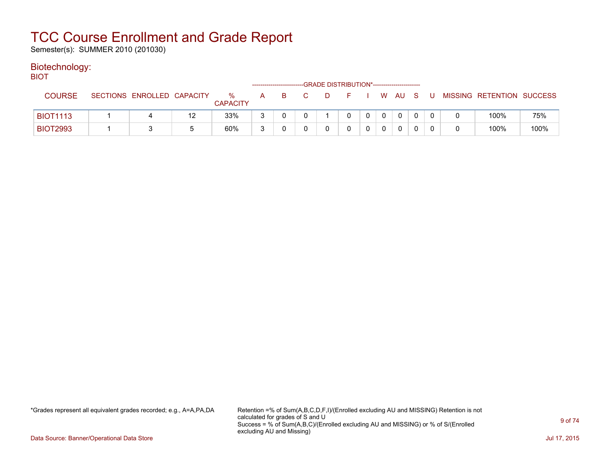Semester(s): SUMMER 2010 (201030)

### Biotechnology:

| <b>BIOT</b>     |                            |    |                      |   |    |      | -GRADE DISTRIBUTION*----------------------- |              |      |    |          |                           |      |
|-----------------|----------------------------|----|----------------------|---|----|------|---------------------------------------------|--------------|------|----|----------|---------------------------|------|
| <b>COURSE</b>   | SECTIONS ENROLLED CAPACITY |    | %<br><b>CAPACITY</b> | A | -B | $-C$ | - F -                                       |              | W AU | S. |          | MISSING RETENTION SUCCESS |      |
| <b>BIOT1113</b> |                            | 12 | 33%                  |   |    |      | 0                                           | $\mathbf{0}$ |      |    |          | 100%                      | 75%  |
| <b>BIOT2993</b> |                            |    | 60%                  |   |    |      |                                             |              |      |    | $\Omega$ | 100%                      | 100% |

\*Grades represent all equivalent grades recorded; e.g., A=A,PA,DA Retention =% of Sum(A,B,C,D,F,I)/(Enrolled excluding AU and MISSING) Retention is not calculated for grades of S and U Success = % of Sum(A,B,C)/(Enrolled excluding AU and MISSING) or % of S/(Enrolled excluding AU and Missing)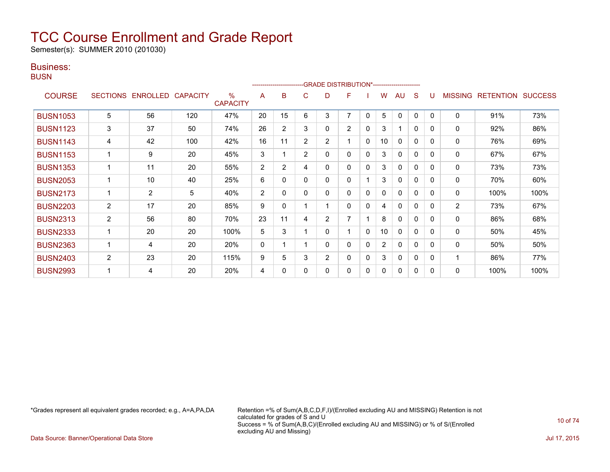Semester(s): SUMMER 2010 (201030)

### Business:

**BUSN** 

|                 |                 |                |                 |                                  |              | ------------------------- |                | -GRADE DISTRIBUTION*---------------------- |                |              |                 |              |              |          |                |                  |                |
|-----------------|-----------------|----------------|-----------------|----------------------------------|--------------|---------------------------|----------------|--------------------------------------------|----------------|--------------|-----------------|--------------|--------------|----------|----------------|------------------|----------------|
| <b>COURSE</b>   | <b>SECTIONS</b> | ENROLLED       | <b>CAPACITY</b> | $\frac{0}{0}$<br><b>CAPACITY</b> | A            | B                         | C              | D                                          | F              |              | w               | AU           | S            |          | <b>MISSING</b> | <b>RETENTION</b> | <b>SUCCESS</b> |
| <b>BUSN1053</b> | 5               | 56             | 120             | 47%                              | 20           | 15                        | 6              | 3                                          | 7              | $\mathbf{0}$ | 5               | 0            | 0            | $\Omega$ | $\mathbf 0$    | 91%              | 73%            |
| <b>BUSN1123</b> | 3               | 37             | 50              | 74%                              | 26           | $\overline{2}$            | 3              | 0                                          | $\overline{2}$ | $\mathbf{0}$ | 3               | 1            | $\mathbf{0}$ | 0        | 0              | 92%              | 86%            |
| <b>BUSN1143</b> | 4               | 42             | 100             | 42%                              | 16           | 11                        | $\overline{2}$ | $\overline{2}$                             |                | $\mathbf{0}$ | 10              | 0            | $\mathbf 0$  | $\Omega$ | 0              | 76%              | 69%            |
| <b>BUSN1153</b> |                 | 9              | 20              | 45%                              | 3            |                           | $\overline{2}$ | 0                                          | 0              | $\Omega$     | 3               | $\mathbf{0}$ | $\mathbf{0}$ | $\Omega$ | 0              | 67%              | 67%            |
| <b>BUSN1353</b> |                 | 11             | 20              | 55%                              | 2            | $\overline{2}$            | 4              | 0                                          | 0              | 0            | 3               | 0            | 0            | $\Omega$ | 0              | 73%              | 73%            |
| <b>BUSN2053</b> |                 | 10             | 40              | 25%                              | 6            | 0                         | 0              | 0                                          | 0              |              | 3               | 0            | $\mathbf{0}$ | 0        | 0              | 70%              | 60%            |
| <b>BUSN2173</b> |                 | $\overline{2}$ | 5               | 40%                              | 2            | 0                         | 0              | 0                                          | 0              | 0            | 0               | 0            | $\mathbf{0}$ | $\Omega$ | 0              | 100%             | 100%           |
| <b>BUSN2203</b> | 2               | 17             | 20              | 85%                              | 9            | 0                         |                |                                            | 0              | 0            | 4               | 0            | $\mathbf{0}$ | $\Omega$ | 2              | 73%              | 67%            |
| <b>BUSN2313</b> | 2               | 56             | 80              | 70%                              | 23           | 11                        | 4              | $\overline{2}$                             | 7              |              | 8               | 0            | $\mathbf{0}$ | $\Omega$ | 0              | 86%              | 68%            |
| <b>BUSN2333</b> | 1               | 20             | 20              | 100%                             | 5            | 3                         |                | 0                                          |                | $\mathbf{0}$ | 10 <sup>1</sup> | 0            | $\mathbf{0}$ | $\Omega$ | 0              | 50%              | 45%            |
| <b>BUSN2363</b> |                 | 4              | 20              | 20%                              | $\mathbf{0}$ |                           |                | 0                                          | 0              | 0            | $\overline{2}$  | $\mathbf{0}$ | $\mathbf{0}$ | $\Omega$ | 0              | 50%              | 50%            |
| <b>BUSN2403</b> | $\overline{2}$  | 23             | 20              | 115%                             | 9            | 5                         | 3              | $\overline{2}$                             | 0              | $\Omega$     | 3               | $\Omega$     | $\mathbf{0}$ | 0        |                | 86%              | 77%            |
| <b>BUSN2993</b> |                 | 4              | 20              | 20%                              | 4            | 0                         | 0              | 0                                          | 0              | 0            | 0               | 0            | 0            | 0        | 0              | 100%             | 100%           |

\*Grades represent all equivalent grades recorded; e.g., A=A,PA,DA Retention =% of Sum(A,B,C,D,F,I)/(Enrolled excluding AU and MISSING) Retention is not calculated for grades of S and U Success = % of Sum(A,B,C)/(Enrolled excluding AU and MISSING) or % of S/(Enrolled excluding AU and Missing)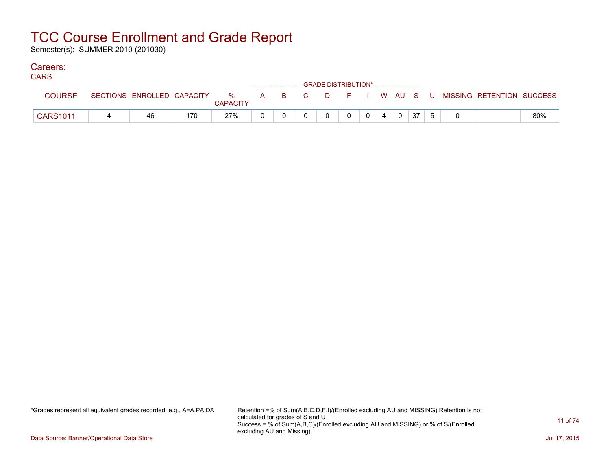Semester(s): SUMMER 2010 (201030)

### Careers:

| ,, ,, ,         |                            |     |          | ------------------------GRADE        DISTRIBUTION*----------------------- |  |  |          |    |             |                                                     |     |
|-----------------|----------------------------|-----|----------|---------------------------------------------------------------------------|--|--|----------|----|-------------|-----------------------------------------------------|-----|
| COURSE          | SECTIONS ENROLLED CAPACITY |     | CAPACITY |                                                                           |  |  |          |    |             | 20 % A B C D F I W AU S U MISSING RETENTION SUCCESS |     |
| <b>CARS1011</b> | 46                         | 170 | 27%      |                                                                           |  |  | $\Omega$ | 37 | $5^{\circ}$ |                                                     | 80% |

\*Grades represent all equivalent grades recorded; e.g., A=A,PA,DA Retention =% of Sum(A,B,C,D,F,I)/(Enrolled excluding AU and MISSING) Retention is not calculated for grades of S and U Success = % of Sum(A,B,C)/(Enrolled excluding AU and MISSING) or % of S/(Enrolled excluding AU and Missing)

Data Source: Banner/Operational Data Store Jul 17, 2015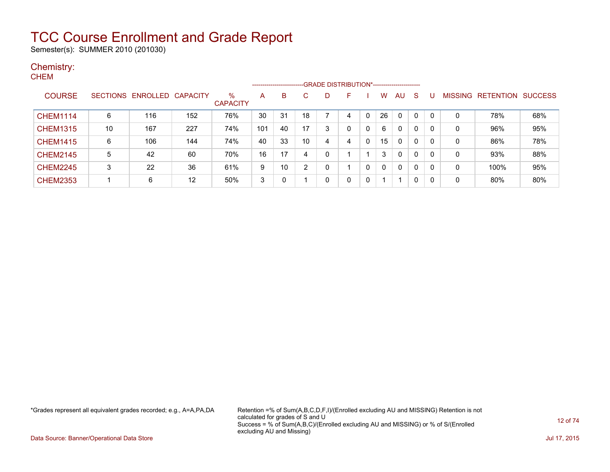Semester(s): SUMMER 2010 (201030)

#### Chemistry: **CHEM**

|                 |    |                   |                 |                      | --------------------- |    |    | -GRADE DISTRIBUTION*---------------------- |   |   |    |              |   |              |         |                  |                |
|-----------------|----|-------------------|-----------------|----------------------|-----------------------|----|----|--------------------------------------------|---|---|----|--------------|---|--------------|---------|------------------|----------------|
| <b>COURSE</b>   |    | SECTIONS ENROLLED | <b>CAPACITY</b> | %<br><b>CAPACITY</b> | Α                     | B  |    | D                                          | F |   | w  | AU           | S |              | MISSING | <b>RETENTION</b> | <b>SUCCESS</b> |
| <b>CHEM1114</b> | 6  | 116               | 152             | 76%                  | 30                    | 31 | 18 |                                            |   | 0 | 26 | $\mathbf{0}$ | 0 | $\mathbf{0}$ | 0       | 78%              | 68%            |
| <b>CHEM1315</b> | 10 | 167               | 227             | 74%                  | 101                   | 40 | 17 |                                            |   |   | 6  | 0            | 0 | 0            | 0       | 96%              | 95%            |
| <b>CHEM1415</b> | 6  | 106               | 144             | 74%                  | 40                    | 33 | 10 | 4                                          |   | 0 | 15 | 0            | 0 | 0            | 0       | 86%              | 78%            |
| <b>CHEM2145</b> | 5  | 42                | 60              | 70%                  | 16                    | 17 | 4  |                                            |   |   | 3  | 0            | 0 | 0            | 0       | 93%              | 88%            |
| <b>CHEM2245</b> | 3  | 22                | 36              | 61%                  | 9                     | 10 | 2  |                                            |   | 0 | 0  | 0            | 0 | 0            | 0       | 100%             | 95%            |
| <b>CHEM2353</b> |    | 6                 | 12              | 50%                  | 3                     | 0  |    |                                            |   | 0 |    |              | 0 | 0            | 0       | 80%              | 80%            |

\*Grades represent all equivalent grades recorded; e.g., A=A,PA,DA Retention =% of Sum(A,B,C,D,F,I)/(Enrolled excluding AU and MISSING) Retention is not calculated for grades of S and U Success = % of Sum(A,B,C)/(Enrolled excluding AU and MISSING) or % of S/(Enrolled excluding AU and Missing)

Data Source: Banner/Operational Data Store Jul 17, 2015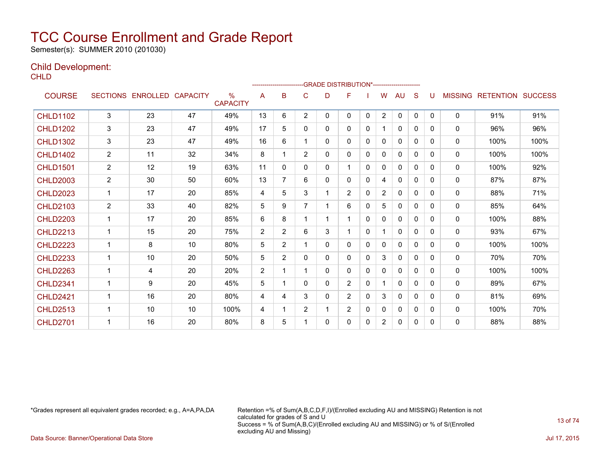Semester(s): SUMMER 2010 (201030)

### Child Development:

**CHLD** 

|                 |                |                   |                 |                         |                |                |                | ------------------------GRADE                DISTRIBUTION*---------------------- |                |              |                |              |              |              |                |                          |      |
|-----------------|----------------|-------------------|-----------------|-------------------------|----------------|----------------|----------------|----------------------------------------------------------------------------------|----------------|--------------|----------------|--------------|--------------|--------------|----------------|--------------------------|------|
| <b>COURSE</b>   |                | SECTIONS ENROLLED | <b>CAPACITY</b> | $\%$<br><b>CAPACITY</b> | A              | B              | C              | D                                                                                | F              |              | W              | AU           | S            | U            | <b>MISSING</b> | <b>RETENTION SUCCESS</b> |      |
| <b>CHLD1102</b> | 3              | 23                | 47              | 49%                     | 13             | 6              | $\overline{2}$ | $\mathbf{0}$                                                                     | 0              | $\mathbf{0}$ | $\overline{2}$ | $\mathbf{0}$ | $\mathbf{0}$ | $\Omega$     | $\mathbf{0}$   | 91%                      | 91%  |
| <b>CHLD1202</b> | 3              | 23                | 47              | 49%                     | 17             | 5              | $\Omega$       | 0                                                                                | 0              | 0            | 1              | $\mathbf{0}$ | $\Omega$     | $\Omega$     | $\mathbf{0}$   | 96%                      | 96%  |
| <b>CHLD1302</b> | 3              | 23                | 47              | 49%                     | 16             | 6              |                | 0                                                                                | 0              | $\Omega$     | 0              | $\Omega$     | $\Omega$     | 0            | $\mathbf{0}$   | 100%                     | 100% |
| <b>CHLD1402</b> | $\overline{2}$ | 11                | 32              | 34%                     | 8              | 1              | $\overline{2}$ | 0                                                                                | 0              | 0            | 0              | 0            | $\Omega$     | $\Omega$     | 0              | 100%                     | 100% |
| <b>CHLD1501</b> | $\overline{2}$ | 12                | 19              | 63%                     | 11             | $\mathbf{0}$   | $\mathbf{0}$   | 0                                                                                | 1              | 0            | 0              | 0            | $\Omega$     | $\Omega$     | 0              | 100%                     | 92%  |
| <b>CHLD2003</b> | $\mathbf{2}$   | 30                | 50              | 60%                     | 13             | $\overline{7}$ | 6              | 0                                                                                | 0              | 0            | 4              | 0            | $\mathbf{0}$ | 0            | 0              | 87%                      | 87%  |
| <b>CHLD2023</b> | $\mathbf 1$    | 17                | 20              | 85%                     | 4              | 5              | 3              |                                                                                  | $\overline{2}$ | 0            | $\overline{2}$ | 0            | 0            | $\Omega$     | 0              | 88%                      | 71%  |
| <b>CHLD2103</b> | $\overline{2}$ | 33                | 40              | 82%                     | 5              | 9              | 7              |                                                                                  | 6              | 0            | 5              | 0            | 0            | 0            | 0              | 85%                      | 64%  |
| <b>CHLD2203</b> |                | 17                | 20              | 85%                     | 6              | 8              |                |                                                                                  |                | 0            | $\Omega$       | $\mathbf{0}$ | $\Omega$     | 0            | 0              | 100%                     | 88%  |
| <b>CHLD2213</b> |                | 15                | 20              | 75%                     | 2              | $\overline{2}$ | 6              | 3                                                                                |                | $\mathbf{0}$ | 1              | $\mathbf{0}$ | $\Omega$     | 0            | 0              | 93%                      | 67%  |
| <b>CHLD2223</b> |                | 8                 | 10              | 80%                     | 5              | $\overline{2}$ |                | 0                                                                                | 0              | 0            | $\mathbf{0}$   | 0            | $\Omega$     | 0            | 0              | 100%                     | 100% |
| <b>CHLD2233</b> |                | 10                | 20              | 50%                     | 5              | $\overline{2}$ | $\mathbf{0}$   | 0                                                                                | 0              | $\mathbf{0}$ | 3              | 0            | $\Omega$     | $\Omega$     | 0              | 70%                      | 70%  |
| <b>CHLD2263</b> |                | 4                 | 20              | 20%                     | $\overline{2}$ |                |                | 0                                                                                | 0              | 0            | $\Omega$       | $\mathbf{0}$ | $\Omega$     | 0            | $\mathbf{0}$   | 100%                     | 100% |
| <b>CHLD2341</b> |                | 9                 | 20              | 45%                     | 5              | 1              | $\Omega$       | $\mathbf{0}$                                                                     | 2              | 0            | 1              | $\mathbf{0}$ | $\Omega$     | <sup>0</sup> | $\mathbf{0}$   | 89%                      | 67%  |
| <b>CHLD2421</b> | -1             | 16                | 20              | 80%                     | 4              | 4              | 3              | 0                                                                                | $\overline{2}$ | $\Omega$     | 3              | 0            | $\Omega$     | <sup>0</sup> | $\mathbf{0}$   | 81%                      | 69%  |
| <b>CHLD2513</b> |                | 10                | 10              | 100%                    | 4              | 1              | 2              |                                                                                  | $\overline{2}$ | $\Omega$     | 0              | 0            | $\Omega$     | 0            | 0              | 100%                     | 70%  |
| <b>CHLD2701</b> |                | 16                | 20              | 80%                     | 8              | 5              |                | 0                                                                                | 0              | 0            | $\overline{2}$ | 0            | $\Omega$     | $\Omega$     | 0              | 88%                      | 88%  |

\*Grades represent all equivalent grades recorded; e.g., A=A,PA,DA Retention =% of Sum(A,B,C,D,F,I)/(Enrolled excluding AU and MISSING) Retention is not calculated for grades of S and U Success = % of Sum(A,B,C)/(Enrolled excluding AU and MISSING) or % of S/(Enrolled excluding AU and Missing)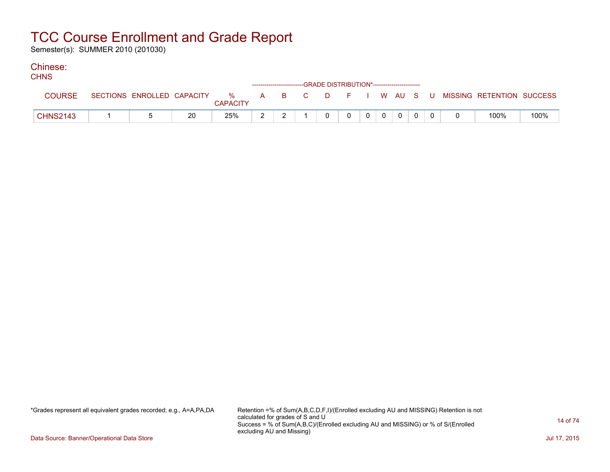Semester(s): SUMMER 2010 (201030)

### Chinese:

| <b>CHNS</b>     |  |    |                 |  | ------------------------GRADE DISTRIBUTION*----------------------- |          |   |  |          |  |                                                                               |      |
|-----------------|--|----|-----------------|--|--------------------------------------------------------------------|----------|---|--|----------|--|-------------------------------------------------------------------------------|------|
| <b>COURSE</b>   |  |    | <b>CAPACITY</b> |  |                                                                    |          |   |  |          |  | SECTIONS ENROLLED CAPACITY 3 % A B C D F I W AU S U MISSING RETENTION SUCCESS |      |
| <b>CHNS2143</b> |  | 20 | 25%             |  |                                                                    | $\Omega$ | 0 |  | $\Omega$ |  | 100%                                                                          | 100% |

\*Grades represent all equivalent grades recorded; e.g., A=A,PA,DA Retention =% of Sum(A,B,C,D,F,I)/(Enrolled excluding AU and MISSING) Retention is not calculated for grades of S and U Success = % of Sum(A,B,C)/(Enrolled excluding AU and MISSING) or % of S/(Enrolled excluding AU and Missing)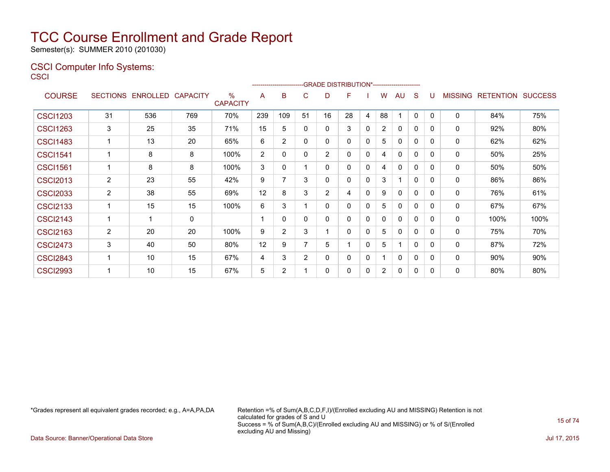Semester(s): SUMMER 2010 (201030)

### CSCI Computer Info Systems: **CSCI**

|                 |                 |                   |     |                                  |     |                |                |    | -GRADE DISTRIBUTION*----------------------- |             |                |              |              |              |                |                  |                |
|-----------------|-----------------|-------------------|-----|----------------------------------|-----|----------------|----------------|----|---------------------------------------------|-------------|----------------|--------------|--------------|--------------|----------------|------------------|----------------|
| <b>COURSE</b>   | <b>SECTIONS</b> | ENROLLED CAPACITY |     | $\frac{0}{0}$<br><b>CAPACITY</b> | A   | в              | C              | D  | F                                           |             | W              | AU           | S            |              | <b>MISSING</b> | <b>RETENTION</b> | <b>SUCCESS</b> |
| <b>CSCI1203</b> | 31              | 536               | 769 | 70%                              | 239 | 109            | 51             | 16 | 28                                          | 4           | 88             | ٠            | 0            | $\Omega$     | 0              | 84%              | 75%            |
| <b>CSCI1263</b> | 3               | 25                | 35  | 71%                              | 15  | 5              | $\mathbf{0}$   | 0  | 3                                           | 0           | 2              | $\mathbf{0}$ | 0            | 0            | 0              | 92%              | 80%            |
| <b>CSCI1483</b> |                 | 13                | 20  | 65%                              | 6   | $\overline{2}$ | 0              | 0  | 0                                           | 0           | 5              | $\mathbf{0}$ | 0            | $\Omega$     | 0              | 62%              | 62%            |
| <b>CSCI1541</b> |                 | 8                 | 8   | 100%                             | 2   | 0              | 0              | 2  | 0                                           | 0           | 4              | 0            | 0            | 0            | 0              | 50%              | 25%            |
| <b>CSCI1561</b> |                 | 8                 | 8   | 100%                             | 3   | 0              |                | 0  | 0                                           | 0           | 4              | $\mathbf{0}$ | 0            | 0            | 0              | 50%              | 50%            |
| <b>CSCI2013</b> | $\overline{2}$  | 23                | 55  | 42%                              | 9   | 7              | 3              | 0  | 0                                           | 0           | 3              | 1            | 0            | $\mathbf{0}$ | 0              | 86%              | 86%            |
| <b>CSCI2033</b> | $\overline{2}$  | 38                | 55  | 69%                              | 12  | 8              | 3              | 2  | 4                                           | $\mathbf 0$ | 9              | $\mathbf{0}$ | 0            | $\Omega$     | 0              | 76%              | 61%            |
| <b>CSCI2133</b> |                 | 15                | 15  | 100%                             | 6   | 3              |                | 0  | 0                                           | 0           | 5              | 0            | 0            | $\Omega$     | 0              | 67%              | 67%            |
| <b>CSCI2143</b> |                 | 1                 | 0   |                                  |     | $\Omega$       | $\Omega$       | 0  | 0                                           | $\mathbf 0$ | 0              | $\mathbf{0}$ | 0            | $\Omega$     | $\mathbf{0}$   | 100%             | 100%           |
| <b>CSCI2163</b> | 2               | 20                | 20  | 100%                             | 9   | $\overline{2}$ | 3              |    | 0                                           | 0           | 5              | 0            | 0            | $\Omega$     | 0              | 75%              | 70%            |
| <b>CSCI2473</b> | 3               | 40                | 50  | 80%                              | 12  | 9              |                | 5  |                                             | 0           | 5              | 1            | $\mathbf{0}$ | 0            | 0              | 87%              | 72%            |
| <b>CSCI2843</b> |                 | 10                | 15  | 67%                              | 4   | 3              | $\overline{2}$ | 0  | 0                                           | 0           |                | 0            | 0            | 0            | 0              | 90%              | 90%            |
| <b>CSCI2993</b> |                 | 10                | 15  | 67%                              | 5   | $\overline{2}$ |                | 0  | 0                                           | 0           | $\overline{2}$ | 0            | 0            | 0            | 0              | 80%              | 80%            |

\*Grades represent all equivalent grades recorded; e.g., A=A,PA,DA Retention =% of Sum(A,B,C,D,F,I)/(Enrolled excluding AU and MISSING) Retention is not calculated for grades of S and U Success = % of Sum(A,B,C)/(Enrolled excluding AU and MISSING) or % of S/(Enrolled excluding AU and Missing)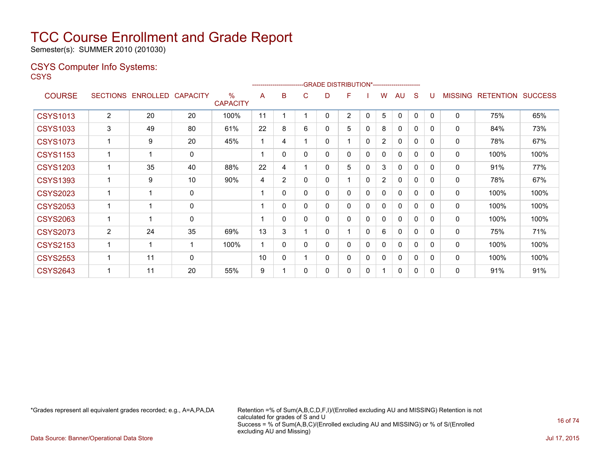Semester(s): SUMMER 2010 (201030)

### CSYS Computer Info Systems:

**CSYS** 

|                 |                 |          |                 |                         |    | ------------------------- |              | -GRADE DISTRIBUTION*----------------------- |                |              |                |              |              |              |                |                  |                |
|-----------------|-----------------|----------|-----------------|-------------------------|----|---------------------------|--------------|---------------------------------------------|----------------|--------------|----------------|--------------|--------------|--------------|----------------|------------------|----------------|
| <b>COURSE</b>   | <b>SECTIONS</b> | ENROLLED | <b>CAPACITY</b> | $\%$<br><b>CAPACITY</b> | A  | B                         | С            | D                                           | F              |              | w              | AU           | S            |              | <b>MISSING</b> | <b>RETENTION</b> | <b>SUCCESS</b> |
| <b>CSYS1013</b> | $\overline{2}$  | 20       | 20              | 100%                    | 11 |                           |              | 0                                           | $\overline{2}$ | 0            | 5              | $\Omega$     | 0            | $\mathbf{0}$ | 0              | 75%              | 65%            |
| <b>CSYS1033</b> | 3               | 49       | 80              | 61%                     | 22 | 8                         | 6            | 0                                           | 5              | 0            | 8              | 0            | 0            | 0            | 0              | 84%              | 73%            |
| <b>CSYS1073</b> | 1               | 9        | 20              | 45%                     | 1  | 4                         |              | 0                                           |                | 0            | $\overline{2}$ | 0            | 0            | 0            | $\mathbf{0}$   | 78%              | 67%            |
| <b>CSYS1153</b> | 1               |          | 0               |                         |    | 0                         | $\mathbf{0}$ | 0                                           | 0              | 0            | $\mathbf{0}$   | $\mathbf{0}$ | 0            | 0            | $\mathbf{0}$   | 100%             | 100%           |
| <b>CSYS1203</b> | 1               | 35       | 40              | 88%                     | 22 | 4                         |              | 0                                           | 5              | 0            | 3              | 0            | 0            | 0            | 0              | 91%              | 77%            |
| <b>CSYS1393</b> | 1               | 9        | 10              | 90%                     | 4  | $\overline{2}$            | 0            | 0                                           |                | 0            | $\overline{2}$ | 0            | 0            | 0            | 0              | 78%              | 67%            |
| <b>CSYS2023</b> | 1               |          | $\mathbf{0}$    |                         |    | 0                         | 0            | 0                                           | 0              | 0            | 0              | $\Omega$     | 0            | 0            | $\mathbf{0}$   | 100%             | 100%           |
| <b>CSYS2053</b> | 1               |          | $\mathbf 0$     |                         |    | 0                         | 0            | 0                                           | 0              | 0            | 0              | 0            | $\Omega$     | 0            | 0              | 100%             | 100%           |
| <b>CSYS2063</b> | 1               |          | $\mathbf{0}$    |                         |    | 0                         | $\mathbf{0}$ | 0                                           | 0              | 0            | 0              | 0            | $\Omega$     | 0            | $\mathbf{0}$   | 100%             | 100%           |
| <b>CSYS2073</b> | $\overline{2}$  | 24       | 35              | 69%                     | 13 | 3                         |              | 0                                           |                | $\mathbf{0}$ | 6              | 0            | $\Omega$     | 0            | 0              | 75%              | 71%            |
| <b>CSYS2153</b> | 1               |          | 1               | 100%                    | 1  | 0                         | 0            | 0                                           | 0              | 0            | 0              | $\Omega$     | $\mathbf{0}$ | 0            | $\mathbf{0}$   | 100%             | 100%           |
| <b>CSYS2553</b> | 1               | 11       | 0               |                         | 10 | 0                         |              | 0                                           | 0              | 0            | 0              | 0            | 0            | 0            | 0              | 100%             | 100%           |
| <b>CSYS2643</b> | 1               | 11       | 20              | 55%                     | 9  |                           | 0            | 0                                           | 0              | 0            | 1              | $\Omega$     | 0            | 0            | 0              | 91%              | 91%            |

\*Grades represent all equivalent grades recorded; e.g., A=A,PA,DA Retention =% of Sum(A,B,C,D,F,I)/(Enrolled excluding AU and MISSING) Retention is not calculated for grades of S and U Success = % of Sum(A,B,C)/(Enrolled excluding AU and MISSING) or % of S/(Enrolled excluding AU and Missing)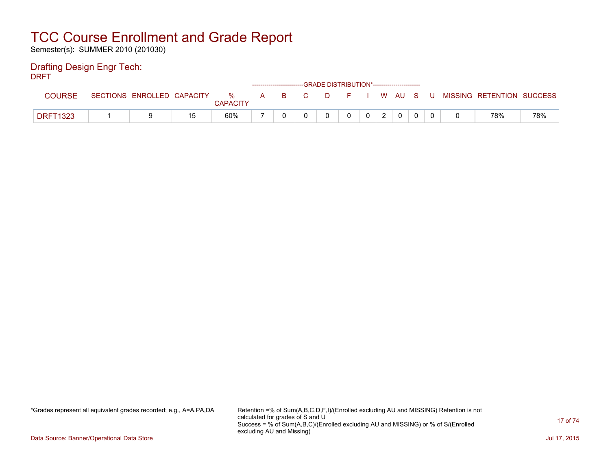Semester(s): SUMMER 2010 (201030)

### Drafting Design Engr Tech:

DRFT

|                 |                            |    |                      |       |  | ------------------------GRADE DISTRIBUTION*----------------------- |  |  |   |                           |     |
|-----------------|----------------------------|----|----------------------|-------|--|--------------------------------------------------------------------|--|--|---|---------------------------|-----|
| COURSE          | SECTIONS ENROLLED CAPACITY |    | %<br><b>CAPACITY</b> | A B C |  | DFIWAUS                                                            |  |  | U | MISSING RETENTION SUCCESS |     |
| <b>DRFT1323</b> |                            | 15 | 60%                  |       |  |                                                                    |  |  |   | 78%                       | 78% |

\*Grades represent all equivalent grades recorded; e.g., A=A,PA,DA Retention =% of Sum(A,B,C,D,F,I)/(Enrolled excluding AU and MISSING) Retention is not calculated for grades of S and U Success = % of Sum(A,B,C)/(Enrolled excluding AU and MISSING) or % of S/(Enrolled excluding AU and Missing)

Data Source: Banner/Operational Data Store Jul 17, 2015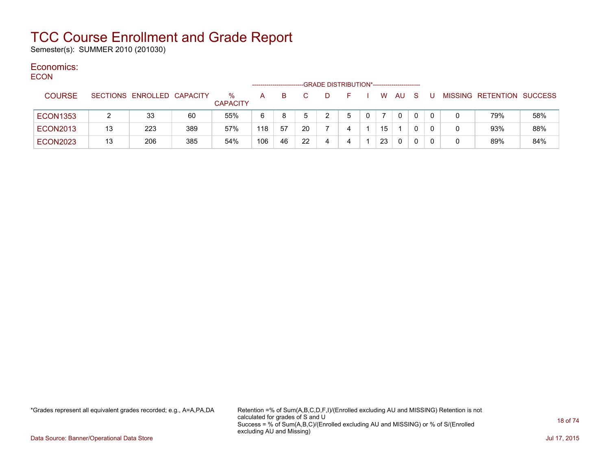Semester(s): SUMMER 2010 (201030)

#### Economics: ECON

| <b>ECON</b> |                 |    |                            |     |                         |     |    |    |   | -GRADE DISTRIBUTION*----------------------- |    |              |              |  |                           |     |
|-------------|-----------------|----|----------------------------|-----|-------------------------|-----|----|----|---|---------------------------------------------|----|--------------|--------------|--|---------------------------|-----|
|             | <b>COURSE</b>   |    | SECTIONS ENROLLED CAPACITY |     | $\%$<br><b>CAPACITY</b> | A   | B. |    | D |                                             | W  | AU.          | <sub>S</sub> |  | MISSING RETENTION SUCCESS |     |
|             | <b>ECON1353</b> |    | 33                         | 60  | 55%                     | 6   | 8  |    | 2 |                                             |    | $\mathbf{0}$ |              |  | 79%                       | 58% |
|             | <b>ECON2013</b> | 13 | 223                        | 389 | 57%                     | 118 | 57 | 20 |   |                                             | 15 |              |              |  | 93%                       | 88% |
|             | <b>ECON2023</b> | 13 | 206                        | 385 | 54%                     | 106 | 46 | 22 |   |                                             | 23 | $\mathbf{0}$ |              |  | 89%                       | 84% |

\*Grades represent all equivalent grades recorded; e.g., A=A,PA,DA Retention =% of Sum(A,B,C,D,F,I)/(Enrolled excluding AU and MISSING) Retention is not calculated for grades of S and U Success = % of Sum(A,B,C)/(Enrolled excluding AU and MISSING) or % of S/(Enrolled excluding AU and Missing)

Data Source: Banner/Operational Data Store Jul 17, 2015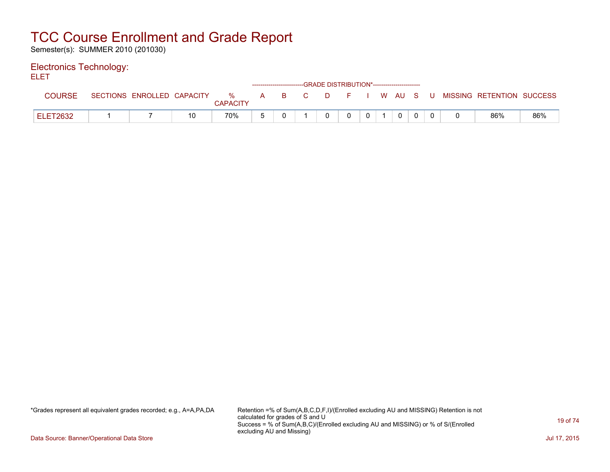Semester(s): SUMMER 2010 (201030)

### Electronics Technology:

ELET

|                 |  |          |  | ------------------------GRADE DISTRIBUTION*----------------------- |  |          |  |                                                                             |     |
|-----------------|--|----------|--|--------------------------------------------------------------------|--|----------|--|-----------------------------------------------------------------------------|-----|
|                 |  | CAPACITY |  |                                                                    |  |          |  | SECTIONS ENROLLED CAPACITY % A B C D F I W AU S U MISSING RETENTION SUCCESS |     |
| <b>ELET2632</b> |  | 70%      |  |                                                                    |  | $\Omega$ |  | 86%                                                                         | 86% |

\*Grades represent all equivalent grades recorded; e.g., A=A,PA,DA Retention =% of Sum(A,B,C,D,F,I)/(Enrolled excluding AU and MISSING) Retention is not calculated for grades of S and U Success = % of Sum(A,B,C)/(Enrolled excluding AU and MISSING) or % of S/(Enrolled excluding AU and Missing)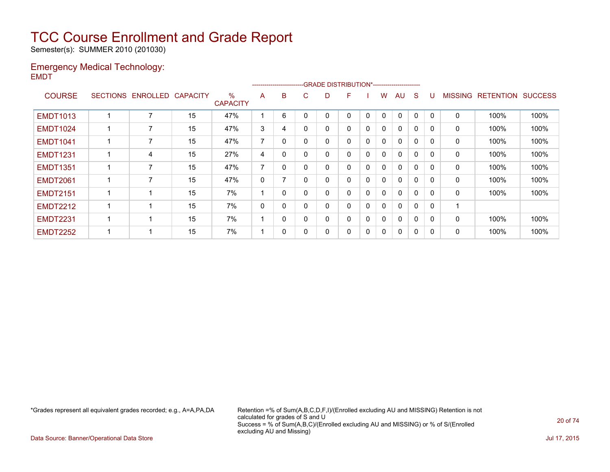Semester(s): SUMMER 2010 (201030)

### Emergency Medical Technology: EMDT

|                 |                   |                 |                         |                          | ------------------------ |              | -GRADE DISTRIBUTION*---------------------- |              |              |   |              |              |          |                |                  |                |
|-----------------|-------------------|-----------------|-------------------------|--------------------------|--------------------------|--------------|--------------------------------------------|--------------|--------------|---|--------------|--------------|----------|----------------|------------------|----------------|
| <b>COURSE</b>   | SECTIONS ENROLLED | <b>CAPACITY</b> | $\%$<br><b>CAPACITY</b> | A                        | B                        | C.           | D                                          | F            |              | w | AU           | S            | IJ       | <b>MISSING</b> | <b>RETENTION</b> | <b>SUCCESS</b> |
| <b>EMDT1013</b> | ⇁                 | 15              | 47%                     |                          | 6                        | 0            | $\Omega$                                   | $\Omega$     | $\mathbf{0}$ | 0 | $\mathbf{0}$ | $\mathbf{0}$ | $\Omega$ | 0              | 100%             | 100%           |
| <b>EMDT1024</b> |                   | 15              | 47%                     | 3                        | 4                        | $\mathbf{0}$ | 0                                          | $\mathbf{0}$ | 0            | 0 | $\mathbf 0$  | $\mathbf{0}$ | 0        | 0              | 100%             | 100%           |
| <b>EMDT1041</b> |                   | 15              | 47%                     | 7                        | 0                        | $\Omega$     | 0                                          | 0            | $\mathbf{0}$ | 0 | $\mathbf{0}$ | 0            |          | 0              | 100%             | 100%           |
| <b>EMDT1231</b> | 4                 | 15              | 27%                     | 4                        | 0                        | $\Omega$     | 0                                          | 0            | $\Omega$     | 0 | $\mathbf{0}$ | $\mathbf{0}$ | $\Omega$ | 0              | 100%             | 100%           |
| <b>EMDT1351</b> | 7                 | 15              | 47%                     | $\overline{7}$           | 0                        | 0            | 0                                          | 0            | 0            | 0 | $\mathbf 0$  | $\mathbf{0}$ | 0        | 0              | 100%             | 100%           |
| <b>EMDT2061</b> | 7                 | 15              | 47%                     | 0                        |                          | $\mathbf{0}$ | 0                                          | $\mathbf{0}$ | $\Omega$     | 0 | $\mathbf 0$  | $\mathbf{0}$ | 0        | 0              | 100%             | 100%           |
| <b>EMDT2151</b> |                   | 15              | 7%                      |                          | $\Omega$                 | $\Omega$     | $\Omega$                                   | 0            | $\mathbf{0}$ | 0 | $\mathbf{0}$ | $\Omega$     |          | $\mathbf 0$    | 100%             | 100%           |
| <b>EMDT2212</b> |                   | 15              | 7%                      | 0                        | 0                        | 0            | 0                                          | 0            | 0            | 0 | $\mathbf{0}$ | $\Omega$     |          |                |                  |                |
| <b>EMDT2231</b> |                   | 15              | 7%                      | $\overline{\phantom{a}}$ | $\mathbf{0}$             | 0            | 0                                          | $\mathbf{0}$ | 0            | 0 | $\mathbf{0}$ | $\Omega$     | 0        | 0              | 100%             | 100%           |
| <b>EMDT2252</b> |                   | 15              | 7%                      |                          | 0                        | 0            | 0                                          | 0            | $\mathbf{0}$ | 0 | $\mathbf{0}$ | $\Omega$     |          | 0              | 100%             | 100%           |

\*Grades represent all equivalent grades recorded; e.g., A=A,PA,DA Retention =% of Sum(A,B,C,D,F,I)/(Enrolled excluding AU and MISSING) Retention is not calculated for grades of S and U Success = % of Sum(A,B,C)/(Enrolled excluding AU and MISSING) or % of S/(Enrolled excluding AU and Missing)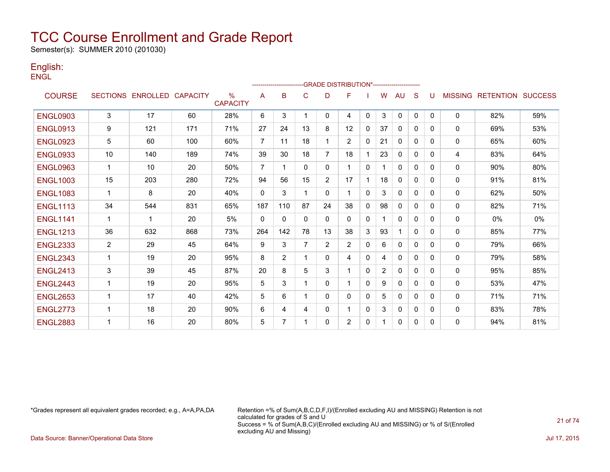Semester(s): SUMMER 2010 (201030)

### English: **ENGL**

|                 |                |                            |     |                         |                |                |                |                | -GRADE DISTRIBUTION*----------------------- |              |                |              |              |          |                |                          |     |
|-----------------|----------------|----------------------------|-----|-------------------------|----------------|----------------|----------------|----------------|---------------------------------------------|--------------|----------------|--------------|--------------|----------|----------------|--------------------------|-----|
| <b>COURSE</b>   |                | SECTIONS ENROLLED CAPACITY |     | $\%$<br><b>CAPACITY</b> | A              | B              | C              | D              | F                                           |              | w              | AU.          | S            | U        | <b>MISSING</b> | <b>RETENTION SUCCESS</b> |     |
| <b>ENGL0903</b> | 3              | 17                         | 60  | 28%                     | 6              | 3              | 1              | $\mathbf{0}$   | 4                                           | $\mathbf{0}$ | 3              | $\mathbf{0}$ | $\mathbf{0}$ | $\Omega$ | 0              | 82%                      | 59% |
| <b>ENGL0913</b> | 9              | 121                        | 171 | 71%                     | 27             | 24             | 13             | 8              | 12                                          | $\Omega$     | 37             | $\mathbf{0}$ | 0            | 0        | $\Omega$       | 69%                      | 53% |
| <b>ENGL0923</b> | 5              | 60                         | 100 | 60%                     | $\overline{7}$ | 11             | 18             |                | $\overline{2}$                              | $\Omega$     | 21             | $\mathbf{0}$ | $\Omega$     | 0        | $\Omega$       | 65%                      | 60% |
| <b>ENGL0933</b> | 10             | 140                        | 189 | 74%                     | 39             | 30             | 18             | $\overline{7}$ | 18                                          |              | 23             | 0            | $\Omega$     | 0        | 4              | 83%                      | 64% |
| <b>ENGL0963</b> | $\mathbf 1$    | 10                         | 20  | 50%                     | $\overline{7}$ |                | $\mathbf{0}$   | $\Omega$       |                                             | $\Omega$     |                | $\mathbf{0}$ | $\mathbf{0}$ | 0        | 0              | 90%                      | 80% |
| <b>ENGL1003</b> | 15             | 203                        | 280 | 72%                     | 94             | 56             | 15             | $\overline{2}$ | 17                                          |              | 18             | $\mathbf{0}$ | 0            | 0        | 0              | 91%                      | 81% |
| <b>ENGL1083</b> | $\mathbf 1$    | 8                          | 20  | 40%                     | $\mathbf{0}$   | 3              | 1              | $\mathbf{0}$   |                                             | $\Omega$     | 3              | $\mathbf{0}$ | 0            | $\Omega$ | 0              | 62%                      | 50% |
| <b>ENGL1113</b> | 34             | 544                        | 831 | 65%                     | 187            | 110            | 87             | 24             | 38                                          | 0            | 98             | $\mathbf{0}$ | 0            | 0        | $\mathbf{0}$   | 82%                      | 71% |
| <b>ENGL1141</b> | 1              | 1                          | 20  | 5%                      | $\Omega$       | $\Omega$       | $\mathbf{0}$   | $\mathbf{0}$   | 0                                           | $\mathbf{0}$ |                | $\mathbf{0}$ | $\mathbf{0}$ | 0        | $\mathbf{0}$   | 0%                       | 0%  |
| <b>ENGL1213</b> | 36             | 632                        | 868 | 73%                     | 264            | 142            | 78             | 13             | 38                                          | 3            | 93             |              | $\mathbf{0}$ | $\Omega$ | 0              | 85%                      | 77% |
| <b>ENGL2333</b> | $\overline{2}$ | 29                         | 45  | 64%                     | 9              | 3              | $\overline{7}$ | $\overline{2}$ | $\overline{2}$                              | 0            | 6              | $\mathbf{0}$ | $\mathbf{0}$ | 0        | $\mathbf{0}$   | 79%                      | 66% |
| <b>ENGL2343</b> | 1              | 19                         | 20  | 95%                     | 8              | $\overline{2}$ | 1              | $\Omega$       | 4                                           | 0            | 4              | $\mathbf{0}$ | 0            | 0        | $\mathbf{0}$   | 79%                      | 58% |
| <b>ENGL2413</b> | 3              | 39                         | 45  | 87%                     | 20             | 8              | 5              | 3              |                                             | $\Omega$     | $\overline{2}$ | $\mathbf{0}$ | 0            | 0        | $\mathbf{0}$   | 95%                      | 85% |
| <b>ENGL2443</b> | 1              | 19                         | 20  | 95%                     | 5              | 3              |                | 0              |                                             | $\Omega$     | 9              | $\mathbf{0}$ | 0            | 0        | $\Omega$       | 53%                      | 47% |
| <b>ENGL2653</b> | $\overline{1}$ | 17                         | 40  | 42%                     | 5              | 6              | 1              | 0              | 0                                           | $\Omega$     | 5              | $\mathbf{0}$ | 0            | 0        | 0              | 71%                      | 71% |
| <b>ENGL2773</b> | $\overline{1}$ | 18                         | 20  | 90%                     | 6              | 4              | 4              | 0              |                                             | 0            | 3              | 0            | 0            | 0        | 0              | 83%                      | 78% |
| <b>ENGL2883</b> | 1              | 16                         | 20  | 80%                     | 5              |                | 1              | 0              | $\overline{2}$                              | 0            |                | 0            | 0            | 0        | 0              | 94%                      | 81% |

\*Grades represent all equivalent grades recorded; e.g., A=A,PA,DA Retention =% of Sum(A,B,C,D,F,I)/(Enrolled excluding AU and MISSING) Retention is not calculated for grades of S and U Success = % of Sum(A,B,C)/(Enrolled excluding AU and MISSING) or % of S/(Enrolled excluding AU and Missing)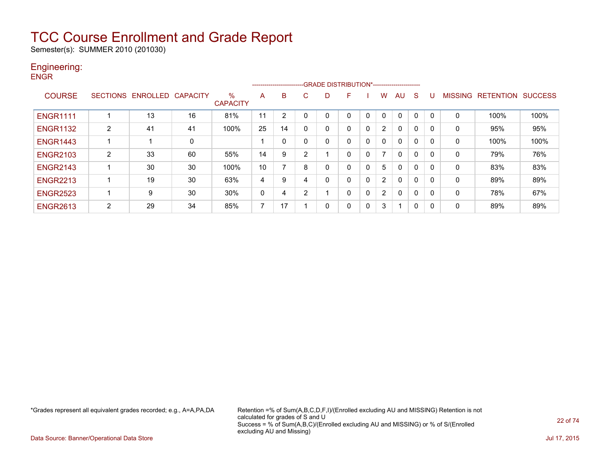Semester(s): SUMMER 2010 (201030)

#### Engineering: **ENGR**

|                 |                 |          |                 |                         |    |    |          | -------------------------GRADE DISTRIBUTION*----------------------- |   |   |                |          |              |              |                |                  |                |
|-----------------|-----------------|----------|-----------------|-------------------------|----|----|----------|---------------------------------------------------------------------|---|---|----------------|----------|--------------|--------------|----------------|------------------|----------------|
| <b>COURSE</b>   | <b>SECTIONS</b> | ENROLLED | <b>CAPACITY</b> | $\%$<br><b>CAPACITY</b> | A  | B  | C.       | D                                                                   | F |   | w              | AU.      | <sub>S</sub> | U            | <b>MISSING</b> | <b>RETENTION</b> | <b>SUCCESS</b> |
| <b>ENGR1111</b> |                 | 13       | 16              | 81%                     | 11 | 2  |          |                                                                     | 0 | 0 | 0              | $\Omega$ | 0            | 0            | 0              | 100%             | 100%           |
| <b>ENGR1132</b> | $\overline{2}$  | 41       | 41              | 100%                    | 25 | 14 | $\Omega$ | 0                                                                   | 0 | 0 | $\overline{2}$ | $\Omega$ | 0            | 0            | $\Omega$       | 95%              | 95%            |
| <b>ENGR1443</b> |                 |          | 0               |                         |    | 0  |          | 0                                                                   | 0 | 0 | 0              | $\Omega$ | 0            | 0            | 0              | 100%             | 100%           |
| <b>ENGR2103</b> | 2               | 33       | 60              | 55%                     | 14 | 9  | ົ        |                                                                     | 0 | 0 | ⇁              | $\Omega$ | $\Omega$     | $\mathbf{0}$ | 0              | 79%              | 76%            |
| <b>ENGR2143</b> |                 | 30       | 30              | 100%                    | 10 |    | 8        | 0                                                                   | 0 | 0 | 5              | 0        | 0            | 0            | 0              | 83%              | 83%            |
| <b>ENGR2213</b> |                 | 19       | 30              | 63%                     | 4  | 9  | 4        | 0                                                                   | 0 | 0 | $\overline{2}$ | $\Omega$ | 0            | 0            | 0              | 89%              | 89%            |
| <b>ENGR2523</b> |                 | 9        | 30              | 30%                     | 0  | 4  | 2        |                                                                     | 0 | 0 | $\overline{2}$ | $\Omega$ | $\Omega$     | 0            | 0              | 78%              | 67%            |
| <b>ENGR2613</b> | 2               | 29       | 34              | 85%                     | ⇁  | 17 |          | 0                                                                   | 0 | 0 | 3              | 1        | 0            | 0            | 0              | 89%              | 89%            |

\*Grades represent all equivalent grades recorded; e.g., A=A,PA,DA Retention =% of Sum(A,B,C,D,F,I)/(Enrolled excluding AU and MISSING) Retention is not calculated for grades of S and U Success = % of Sum(A,B,C)/(Enrolled excluding AU and MISSING) or % of S/(Enrolled excluding AU and Missing)

Data Source: Banner/Operational Data Store Jul 17, 2015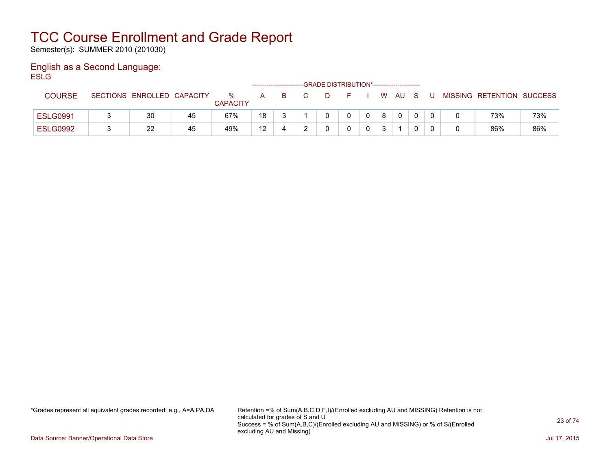Semester(s): SUMMER 2010 (201030)

#### English as a Second Language: **ESLG**

|                 |                            |    |                         |    | ------------------------ | -GRADE DISTRIBUTION*----------------------- |   |    |              |     |   |                           |     |
|-----------------|----------------------------|----|-------------------------|----|--------------------------|---------------------------------------------|---|----|--------------|-----|---|---------------------------|-----|
| <b>COURSE</b>   | SECTIONS ENROLLED CAPACITY |    | $\%$<br><b>CAPACITY</b> | A  | B.                       | D.                                          |   | W. | AU.          | - S | U | MISSING RETENTION SUCCESS |     |
| <b>ESLG0991</b> | 30                         | 45 | 67%                     | 18 |                          |                                             | 0 | -8 | $\mathbf{0}$ |     |   | 73%                       | 73% |
| <b>ESLG0992</b> | 22                         | 45 | 49%                     | 12 |                          |                                             |   |    |              |     |   | 86%                       | 86% |

\*Grades represent all equivalent grades recorded; e.g., A=A,PA,DA Retention =% of Sum(A,B,C,D,F,I)/(Enrolled excluding AU and MISSING) Retention is not calculated for grades of S and U Success = % of Sum(A,B,C)/(Enrolled excluding AU and MISSING) or % of S/(Enrolled excluding AU and Missing)

Data Source: Banner/Operational Data Store Jul 17, 2015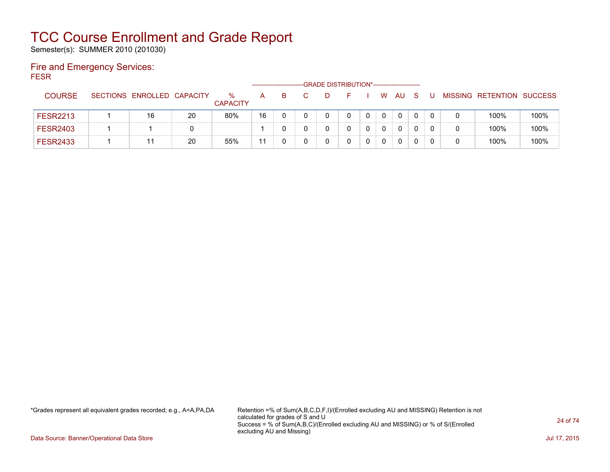Semester(s): SUMMER 2010 (201030)

### Fire and Emergency Services: FESR

|                 |                            |    |                         |    |    | -GRADE DISTRIBUTION*----------------------- |   |   |    |   |  |                           |      |
|-----------------|----------------------------|----|-------------------------|----|----|---------------------------------------------|---|---|----|---|--|---------------------------|------|
| <b>COURSE</b>   | SECTIONS ENROLLED CAPACITY |    | $\%$<br><b>CAPACITY</b> | A  | B. |                                             |   | W | AU | S |  | MISSING RETENTION SUCCESS |      |
| <b>FESR2213</b> | 16                         | 20 | 80%                     | 16 |    |                                             | 0 |   | 0  |   |  | 100%                      | 100% |
| <b>FESR2403</b> |                            |    |                         |    |    |                                             |   |   | 0  |   |  | 100%                      | 100% |
| <b>FESR2433</b> |                            | 20 | 55%                     |    |    |                                             |   |   | 0  |   |  | 100%                      | 100% |

\*Grades represent all equivalent grades recorded; e.g., A=A,PA,DA Retention =% of Sum(A,B,C,D,F,I)/(Enrolled excluding AU and MISSING) Retention is not calculated for grades of S and U Success = % of Sum(A,B,C)/(Enrolled excluding AU and MISSING) or % of S/(Enrolled excluding AU and Missing)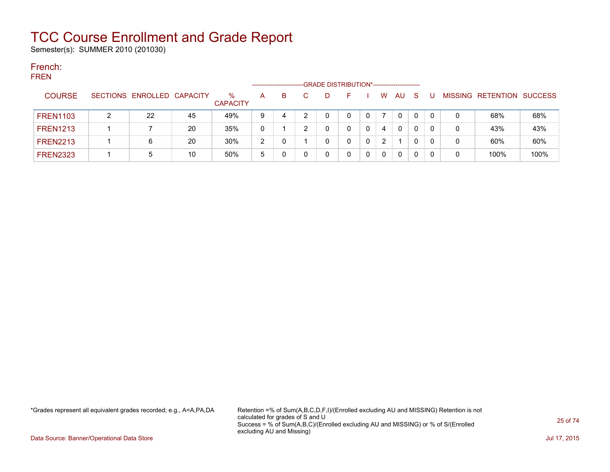Semester(s): SUMMER 2010 (201030)

#### French: **EDEN**

| . |                 |                            |    |                         | ------------------- |   | -GRADE DISTRIBUTION*----------------------- |    |                       |     |              |   |                           |      |
|---|-----------------|----------------------------|----|-------------------------|---------------------|---|---------------------------------------------|----|-----------------------|-----|--------------|---|---------------------------|------|
|   | <b>COURSE</b>   | SECTIONS ENROLLED CAPACITY |    | $\%$<br><b>CAPACITY</b> | A                   | в | D                                           | н. | W.                    | AU. | <sub>S</sub> |   | MISSING RETENTION SUCCESS |      |
|   | <b>FREN1103</b> | 22                         | 45 | 49%                     | 9                   | 4 |                                             |    |                       | 0   | 0            | 0 | 68%                       | 68%  |
|   | <b>FREN1213</b> |                            | 20 | 35%                     | 0                   |   |                                             |    | 4                     | 0   | 0            | 0 | 43%                       | 43%  |
|   | <b>FREN2213</b> | 6                          | 20 | 30%                     | 2                   |   | 0                                           |    | $\mathbf{2}^{\prime}$ |     | 0            | 0 | 60%                       | 60%  |
|   | <b>FREN2323</b> | 5                          | 10 | 50%                     | 5                   |   |                                             |    | $\mathbf{0}$          | 0   | 0            |   | 100%                      | 100% |

\*Grades represent all equivalent grades recorded; e.g., A=A,PA,DA Retention =% of Sum(A,B,C,D,F,I)/(Enrolled excluding AU and MISSING) Retention is not calculated for grades of S and U Success = % of Sum(A,B,C)/(Enrolled excluding AU and MISSING) or % of S/(Enrolled excluding AU and Missing)

Data Source: Banner/Operational Data Store Jul 17, 2015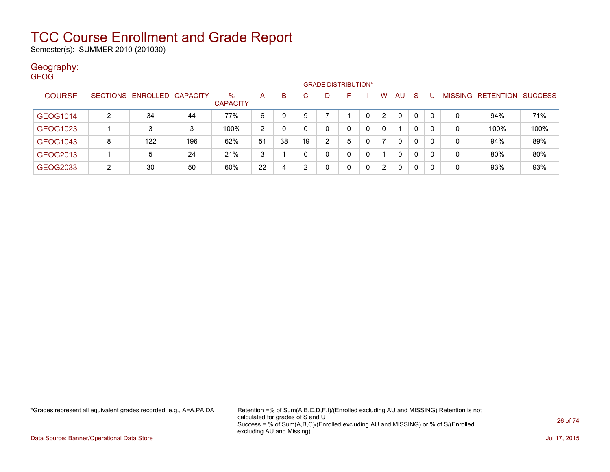Semester(s): SUMMER 2010 (201030)

### Geography:

| <b>GEOG</b>   |   |                            |     |                         |                     |          |    |                                              |   |   |                |              |          |          |   |                   |                |
|---------------|---|----------------------------|-----|-------------------------|---------------------|----------|----|----------------------------------------------|---|---|----------------|--------------|----------|----------|---|-------------------|----------------|
|               |   |                            |     |                         | ------------------- |          |    | -GRADE DISTRIBUTION*------------------------ |   |   |                |              |          |          |   |                   |                |
| <b>COURSE</b> |   | SECTIONS ENROLLED CAPACITY |     | $\%$<br><b>CAPACITY</b> | A                   | B        | C. | D.                                           | F |   | W              | AU           | <b>S</b> |          |   | MISSING RETENTION | <b>SUCCESS</b> |
| GEOG1014      | 2 | 34                         | 44  | 77%                     | 6                   | 9        | 9  |                                              |   | 0 | $\overline{2}$ | $\mathbf{0}$ | 0        | $\Omega$ | 0 | 94%               | 71%            |
| GEOG1023      |   | 3                          | 3   | 100%                    | 2                   | $\Omega$ |    | 0                                            | 0 | 0 | $\Omega$       |              | 0        | $\Omega$ | 0 | 100%              | 100%           |
| GEOG1043      | 8 | 122                        | 196 | 62%                     | 51                  | 38       | 19 | 2                                            | 5 | 0 |                | $\mathbf{0}$ | 0        | $\Omega$ | 0 | 94%               | 89%            |
| GEOG2013      |   | 5                          | 24  | 21%                     | 3                   |          |    | 0                                            | 0 | 0 |                | $\mathbf{0}$ | 0        | 0        | 0 | 80%               | 80%            |
| GEOG2033      | 2 | 30                         | 50  | 60%                     | 22                  | 4        | ົ  | 0                                            | 0 | 0 | 2              | $\Omega$     | 0        | $\Omega$ | 0 | 93%               | 93%            |

\*Grades represent all equivalent grades recorded; e.g., A=A,PA,DA Retention =% of Sum(A,B,C,D,F,I)/(Enrolled excluding AU and MISSING) Retention is not calculated for grades of S and U Success = % of Sum(A,B,C)/(Enrolled excluding AU and MISSING) or % of S/(Enrolled excluding AU and Missing)

Data Source: Banner/Operational Data Store Jul 17, 2015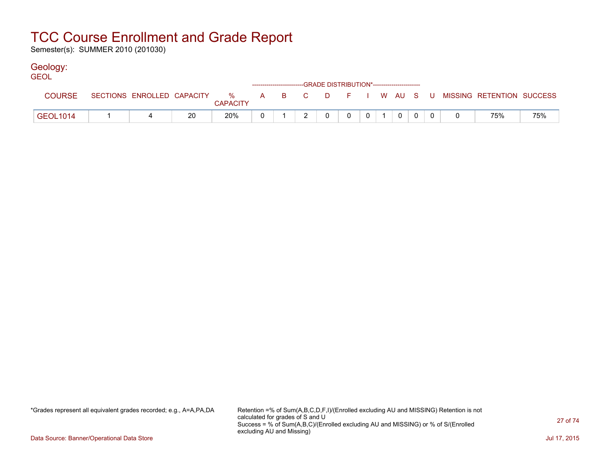Semester(s): SUMMER 2010 (201030)

### Geology:

| <b>GEOL</b>   |  |    |                 | ------------------------GRADE DISTRIBUTION*----------------------- |                |                |                 |   |                |                                                                             |     |
|---------------|--|----|-----------------|--------------------------------------------------------------------|----------------|----------------|-----------------|---|----------------|-----------------------------------------------------------------------------|-----|
| <b>COURSE</b> |  |    | <b>CAPACITY</b> |                                                                    |                |                |                 |   |                | SECTIONS ENROLLED CAPACITY % A B C D F I W AU S U MISSING RETENTION SUCCESS |     |
| GEOL1014      |  | 20 | 20%             |                                                                    | $\overline{0}$ | 0 <sup>1</sup> | $0 \mid 1 \mid$ | 0 | $\overline{0}$ | 75%                                                                         | 75% |

\*Grades represent all equivalent grades recorded; e.g., A=A,PA,DA Retention =% of Sum(A,B,C,D,F,I)/(Enrolled excluding AU and MISSING) Retention is not calculated for grades of S and U Success = % of Sum(A,B,C)/(Enrolled excluding AU and MISSING) or % of S/(Enrolled excluding AU and Missing)

Data Source: Banner/Operational Data Store Jul 17, 2015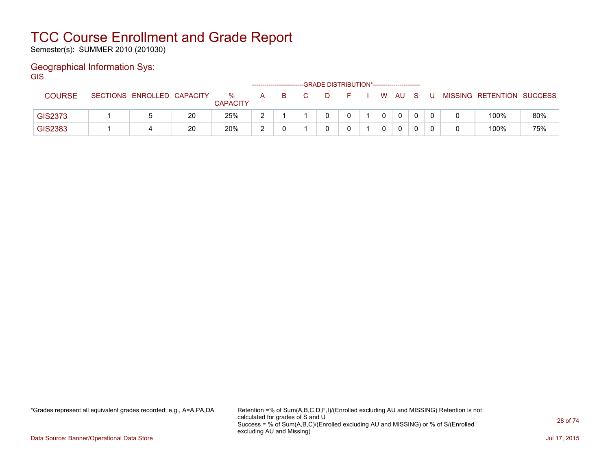Semester(s): SUMMER 2010 (201030)

### Geographical Information Sys:

**GIS** 

|                |                            |    |                      |            | -------------------------- |  |  |   |              |  |                           |     |
|----------------|----------------------------|----|----------------------|------------|----------------------------|--|--|---|--------------|--|---------------------------|-----|
| <b>COURSE</b>  | SECTIONS ENROLLED CAPACITY |    | %<br><b>CAPACITY</b> | А          |                            |  |  | W | AU.          |  | MISSING RETENTION SUCCESS |     |
| <b>GIS2373</b> |                            | 20 | 25%                  | $\sqrt{2}$ |                            |  |  |   | $\mathbf{0}$ |  | 100%                      | 80% |
| <b>GIS2383</b> |                            | 20 | 20%                  | $\sim$     |                            |  |  |   | $\mathbf{0}$ |  | 100%                      | 75% |

\*Grades represent all equivalent grades recorded; e.g., A=A,PA,DA Retention =% of Sum(A,B,C,D,F,I)/(Enrolled excluding AU and MISSING) Retention is not calculated for grades of S and U Success = % of Sum(A,B,C)/(Enrolled excluding AU and MISSING) or % of S/(Enrolled excluding AU and Missing)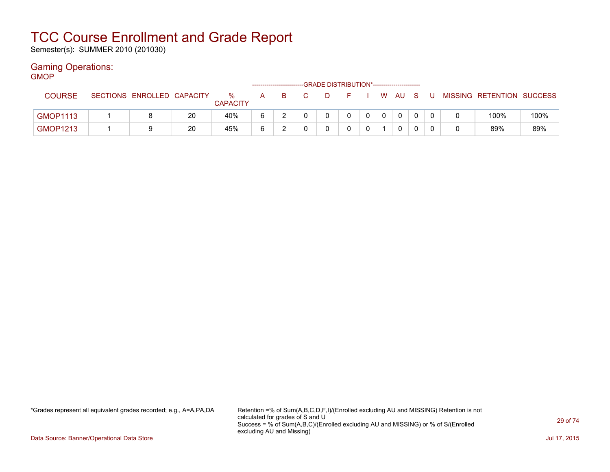Semester(s): SUMMER 2010 (201030)

#### Gaming Operations: GMOP

| דשועוכ          |                            |    |                      |   |    | -GRADE DISTRIBUTION*----------------------- |  |       |  |                           |      |
|-----------------|----------------------------|----|----------------------|---|----|---------------------------------------------|--|-------|--|---------------------------|------|
| <b>COURSE</b>   | SECTIONS ENROLLED CAPACITY |    | %<br><b>CAPACITY</b> | А | B. |                                             |  | WAUS. |  | MISSING RETENTION SUCCESS |      |
| <b>GMOP1113</b> |                            | 20 | 40%                  |   |    |                                             |  |       |  | 100%                      | 100% |
| <b>GMOP1213</b> |                            | 20 | 45%                  | 6 |    |                                             |  |       |  | 89%                       | 89%  |

\*Grades represent all equivalent grades recorded; e.g., A=A,PA,DA Retention =% of Sum(A,B,C,D,F,I)/(Enrolled excluding AU and MISSING) Retention is not calculated for grades of S and U Success = % of Sum(A,B,C)/(Enrolled excluding AU and MISSING) or % of S/(Enrolled excluding AU and Missing)

Data Source: Banner/Operational Data Store Jul 17, 2015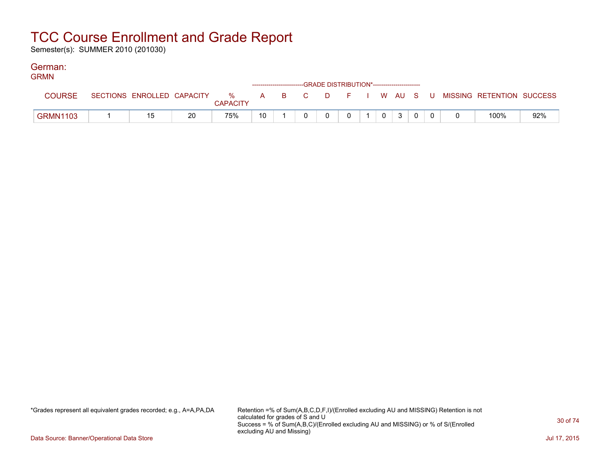Semester(s): SUMMER 2010 (201030)

#### German: GRMN

| GRMIN           |                            |    |                      |    |  | ------------------------GRADE DISTRIBUTION*----------------------- |              |   |  |                                                |     |
|-----------------|----------------------------|----|----------------------|----|--|--------------------------------------------------------------------|--------------|---|--|------------------------------------------------|-----|
| <b>COURSE</b>   | SECTIONS ENROLLED CAPACITY |    | %<br><b>CAPACITY</b> |    |  |                                                                    |              |   |  | A B C D F I W AU S U MISSING—RETENTION SUCCESS |     |
| <b>GRMN1103</b> | 15                         | 20 | 75%                  | 10 |  |                                                                    | $\mathbf{0}$ | 3 |  | 100%                                           | 92% |

\*Grades represent all equivalent grades recorded; e.g., A=A,PA,DA Retention =% of Sum(A,B,C,D,F,I)/(Enrolled excluding AU and MISSING) Retention is not calculated for grades of S and U Success = % of Sum(A,B,C)/(Enrolled excluding AU and MISSING) or % of S/(Enrolled excluding AU and Missing)

Data Source: Banner/Operational Data Store Jul 17, 2015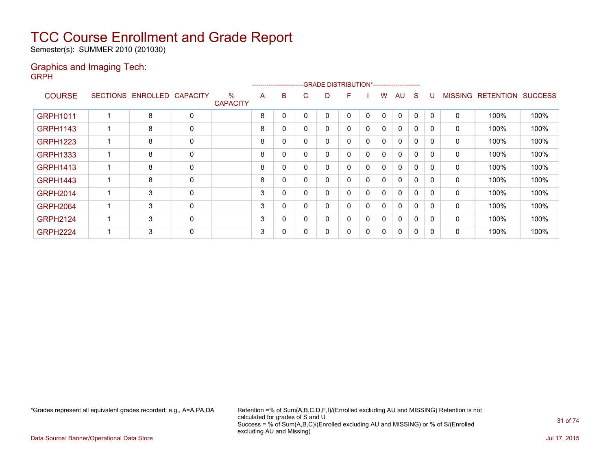Semester(s): SUMMER 2010 (201030)

#### Graphics and Imaging Tech: GRPH

|                 |                 |                   |             |                         |   | ---------------------- |   | -GRADE DISTRIBUTION*---------------------- |   |              |              |              |              |          |                |                  |                |
|-----------------|-----------------|-------------------|-------------|-------------------------|---|------------------------|---|--------------------------------------------|---|--------------|--------------|--------------|--------------|----------|----------------|------------------|----------------|
| <b>COURSE</b>   | <b>SECTIONS</b> | ENROLLED CAPACITY |             | $\%$<br><b>CAPACITY</b> | A | B                      | C | D                                          | F |              | W            | AU           | S            |          | <b>MISSING</b> | <b>RETENTION</b> | <b>SUCCESS</b> |
| <b>GRPH1011</b> |                 | 8                 | 0           |                         | 8 | 0                      | 0 | 0                                          | Ω | $\mathbf{0}$ | 0            | $\mathbf{0}$ | $\mathbf{0}$ | $\Omega$ | 0              | 100%             | 100%           |
| <b>GRPH1143</b> |                 | 8                 | 0           |                         | 8 | 0                      | 0 | 0                                          |   | 0            | 0            | 0            | $\mathbf{0}$ | 0        | 0              | 100%             | 100%           |
| <b>GRPH1223</b> |                 | 8                 | 0           |                         | 8 | 0                      | 0 | 0                                          |   | 0            | 0            | $\mathbf{0}$ | 0            | $\Omega$ | 0              | 100%             | 100%           |
| <b>GRPH1333</b> | 1               | 8                 | 0           |                         | 8 | 0                      | 0 | 0                                          |   | 0            | 0            | $\mathbf{0}$ | $\mathbf{0}$ | $\Omega$ | 0              | 100%             | 100%           |
| <b>GRPH1413</b> | 1               | 8                 | $\mathbf 0$ |                         | 8 | 0                      | 0 | 0                                          |   | 0            | 0            | 0            | 0            | 0        | 0              | 100%             | 100%           |
| <b>GRPH1443</b> | 1               | 8                 | $\mathbf 0$ |                         | 8 | 0                      | 0 | 0                                          |   | 0            | $\mathbf{0}$ | 0            | $\mathbf{0}$ | 0        | 0              | 100%             | 100%           |
| <b>GRPH2014</b> |                 | 3                 | 0           |                         | 3 | 0                      | 0 | $\Omega$                                   |   | 0            | 0            | $\mathbf{0}$ | $\Omega$     | $\Omega$ | $\mathbf{0}$   | 100%             | 100%           |
| <b>GRPH2064</b> | 1               | 3                 | 0           |                         | 3 | 0                      | 0 | 0                                          |   | 0            | 0            | $\mathbf{0}$ | 0            | $\Omega$ | 0              | 100%             | 100%           |
| <b>GRPH2124</b> | 4               | 3                 | $\mathbf 0$ |                         | 3 | $\mathbf 0$            | 0 | 0                                          | 0 | $\mathbf{0}$ | $\mathbf{0}$ | $\Omega$     | $\mathbf{0}$ | $\Omega$ | 0              | 100%             | 100%           |
| <b>GRPH2224</b> | 4               | 3                 | 0           |                         | 3 | 0                      | 0 | 0                                          |   | 0            | 0            | $\mathbf{0}$ | 0            | $\Omega$ | 0              | 100%             | 100%           |
|                 |                 |                   |             |                         |   |                        |   |                                            |   |              |              |              |              |          |                |                  |                |

\*Grades represent all equivalent grades recorded; e.g., A=A,PA,DA Retention =% of Sum(A,B,C,D,F,I)/(Enrolled excluding AU and MISSING) Retention is not calculated for grades of S and U Success = % of Sum(A,B,C)/(Enrolled excluding AU and MISSING) or % of S/(Enrolled excluding AU and Missing)

Data Source: Banner/Operational Data Store Jul 17, 2015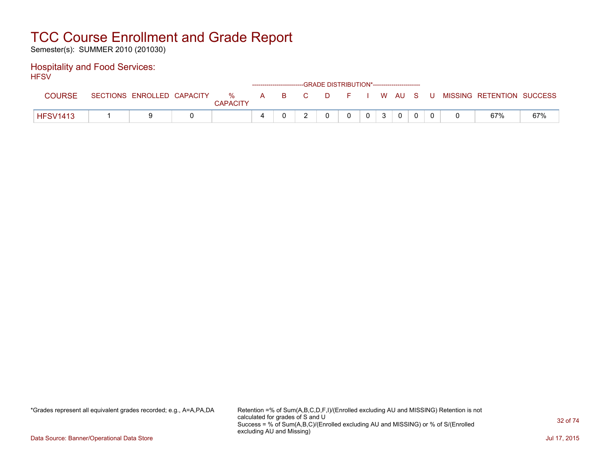Semester(s): SUMMER 2010 (201030)

#### Hospitality and Food Services: **HFSV**

| .               |                            |                      |   | ------------------------GRADE DISTRIBUTION*----------------------- |    |    |             |            |   |             |       |                           |     |
|-----------------|----------------------------|----------------------|---|--------------------------------------------------------------------|----|----|-------------|------------|---|-------------|-------|---------------------------|-----|
| <b>COURSE</b>   | SECTIONS ENROLLED CAPACITY | %<br><b>CAPACITY</b> | A | <b>B</b>                                                           | C. | D. | in Figure 1 |            |   | I W AU S    | - U - | MISSING RETENTION SUCCESS |     |
| <b>HFSV1413</b> |                            |                      | 4 |                                                                    |    |    |             | $^{\circ}$ | 3 | $\mathbf 0$ |       | 67%                       | 67% |

\*Grades represent all equivalent grades recorded; e.g., A=A,PA,DA Retention =% of Sum(A,B,C,D,F,I)/(Enrolled excluding AU and MISSING) Retention is not calculated for grades of S and U Success = % of Sum(A,B,C)/(Enrolled excluding AU and MISSING) or % of S/(Enrolled excluding AU and Missing)

Data Source: Banner/Operational Data Store Jul 17, 2015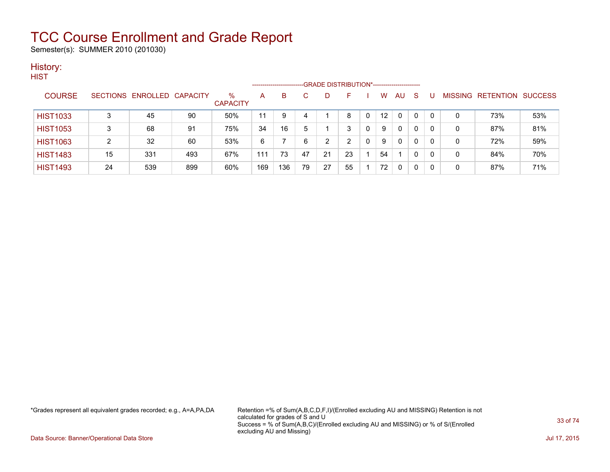Semester(s): SUMMER 2010 (201030)

#### History: **HIST**

| .               |    |                            |     |                         | -------------------- |     |    |    | -GRADE DISTRIBUTION*----------------------- |          |                   |              |    |              |   |                                  |     |
|-----------------|----|----------------------------|-----|-------------------------|----------------------|-----|----|----|---------------------------------------------|----------|-------------------|--------------|----|--------------|---|----------------------------------|-----|
| <b>COURSE</b>   |    | SECTIONS ENROLLED CAPACITY |     | $\%$<br><b>CAPACITY</b> | А                    | B   |    |    | F.                                          |          | w                 | AU           | -S | U            |   | <b>MISSING RETENTION SUCCESS</b> |     |
| <b>HIST1033</b> |    | 45                         | 90  | 50%                     | 11                   | 9   | 4  |    | 8                                           | $\Omega$ | $12 \overline{ }$ | $\Omega$     | 0  | $\mathbf{0}$ | 0 | 73%                              | 53% |
| <b>HIST1053</b> |    | 68                         | 91  | 75%                     | 34                   | 16  | 5  |    | 3                                           |          | 9                 | 0            | 0  | 0            | 0 | 87%                              | 81% |
| <b>HIST1063</b> |    | 32                         | 60  | 53%                     | 6                    |     | 6  | ົາ | ົ                                           |          | 9                 | $\mathbf{0}$ | 0  | 0            | 0 | 72%                              | 59% |
| <b>HIST1483</b> | 15 | 331                        | 493 | 67%                     | 111                  | 73  | 47 | 21 | 23                                          |          | 54                |              | 0  | 0            | 0 | 84%                              | 70% |
| <b>HIST1493</b> | 24 | 539                        | 899 | 60%                     | 169                  | 136 | 79 | 27 | 55                                          |          | 72                | $\mathbf{0}$ | 0  | 0            | 0 | 87%                              | 71% |

\*Grades represent all equivalent grades recorded; e.g., A=A,PA,DA Retention =% of Sum(A,B,C,D,F,I)/(Enrolled excluding AU and MISSING) Retention is not calculated for grades of S and U Success = % of Sum(A,B,C)/(Enrolled excluding AU and MISSING) or % of S/(Enrolled excluding AU and Missing)

Data Source: Banner/Operational Data Store Jul 17, 2015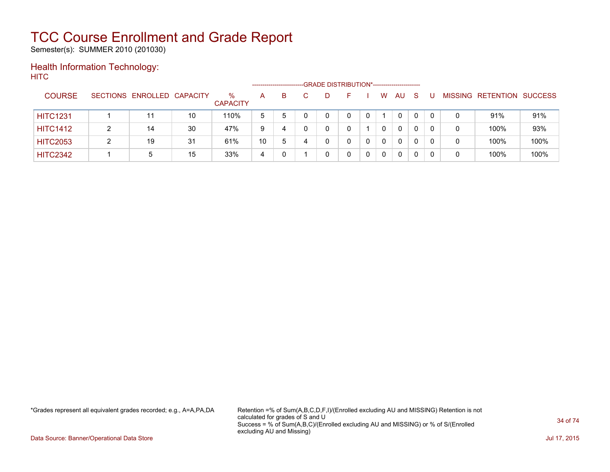Semester(s): SUMMER 2010 (201030)

### Health Information Technology: **HITC**

|                 |   |                            |    |                      |    | ---------------------- |    | -GRADE DISTRIBUTION*----------------------- |   |   |              |          |          |   |                   |                |
|-----------------|---|----------------------------|----|----------------------|----|------------------------|----|---------------------------------------------|---|---|--------------|----------|----------|---|-------------------|----------------|
| <b>COURSE</b>   |   | SECTIONS ENROLLED CAPACITY |    | %<br><b>CAPACITY</b> | A  | B.                     | D. |                                             |   | W | AU           | -S       |          |   | MISSING RETENTION | <b>SUCCESS</b> |
| <b>HITC1231</b> |   |                            | 10 | 110%                 | 5  | 5                      | 0  |                                             | 0 |   | $\mathbf{0}$ | $\Omega$ | $\Omega$ | 0 | 91%               | 91%            |
| <b>HITC1412</b> | າ | 14                         | 30 | 47%                  | 9  | 4                      | 0  |                                             |   | 0 | $\mathbf{0}$ |          | 0        | 0 | 100%              | 93%            |
| <b>HITC2053</b> |   | 19                         | 31 | 61%                  | 10 | 5                      | 0  |                                             | 0 | 0 | $\mathbf{0}$ |          | 0        | 0 | 100%              | 100%           |
| <b>HITC2342</b> |   | 5                          | 15 | 33%                  | 4  |                        |    |                                             | 0 |   | 0            |          |          | 0 | 100%              | 100%           |

\*Grades represent all equivalent grades recorded; e.g., A=A,PA,DA Retention =% of Sum(A,B,C,D,F,I)/(Enrolled excluding AU and MISSING) Retention is not calculated for grades of S and U Success = % of Sum(A,B,C)/(Enrolled excluding AU and MISSING) or % of S/(Enrolled excluding AU and Missing)

Data Source: Banner/Operational Data Store Jul 17, 2015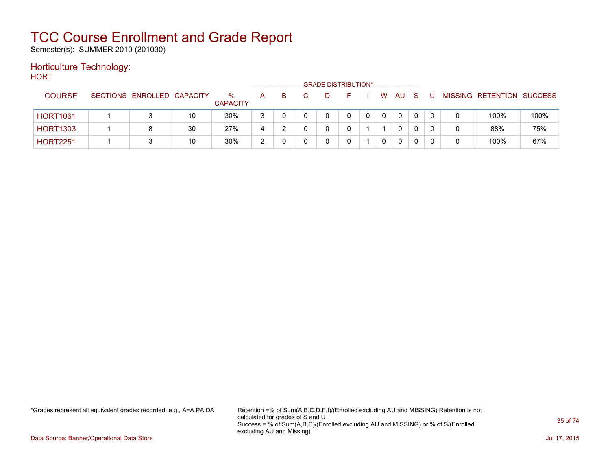Semester(s): SUMMER 2010 (201030)

#### Horticulture Technology: **HORT**

| .               |                            |    |                      | ----------------- |   |  | -GRADE DISTRIBUTION*----------------------- |   |              |     |   |   |                           |      |
|-----------------|----------------------------|----|----------------------|-------------------|---|--|---------------------------------------------|---|--------------|-----|---|---|---------------------------|------|
| <b>COURSE</b>   | SECTIONS ENROLLED CAPACITY |    | %<br><b>CAPACITY</b> | A                 | B |  |                                             | W | AU.          | - S | U |   | MISSING RETENTION SUCCESS |      |
| <b>HORT1061</b> |                            | 10 | 30%                  | 3                 |   |  | 0                                           |   | $\mathbf{0}$ |     |   |   | 100%                      | 100% |
| <b>HORT1303</b> |                            | 30 | 27%                  | 4                 |   |  |                                             |   | 0            |     |   | 0 | 88%                       | 75%  |
| <b>HORT2251</b> |                            | 10 | 30%                  | 2                 |   |  |                                             |   | 0            |     |   |   | 100%                      | 67%  |

\*Grades represent all equivalent grades recorded; e.g., A=A,PA,DA Retention =% of Sum(A,B,C,D,F,I)/(Enrolled excluding AU and MISSING) Retention is not calculated for grades of S and U Success = % of Sum(A,B,C)/(Enrolled excluding AU and MISSING) or % of S/(Enrolled excluding AU and Missing)

Data Source: Banner/Operational Data Store Jul 17, 2015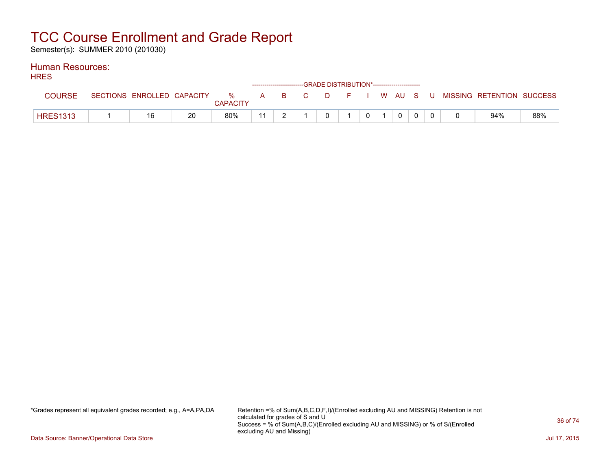Semester(s): SUMMER 2010 (201030)

#### Human Resources: **HDES**

| רבת             | ------------------------GRADE DISTRIBUTION*----------------------- |                            |    |                 |    |  |  |  |  |  |                 |          |  |  |                                                  |     |
|-----------------|--------------------------------------------------------------------|----------------------------|----|-----------------|----|--|--|--|--|--|-----------------|----------|--|--|--------------------------------------------------|-----|
|                 |                                                                    | SECTIONS ENROLLED CAPACITY |    | <b>CAPACITY</b> |    |  |  |  |  |  |                 |          |  |  | % A B C D F I W AU S U MISSING RETENTION SUCCESS |     |
| <b>HRES1313</b> |                                                                    | 16                         | 20 | 80%             | 11 |  |  |  |  |  | $0 \mid 1 \mid$ | $\Omega$ |  |  | 94%                                              | 88% |

\*Grades represent all equivalent grades recorded; e.g., A=A,PA,DA Retention =% of Sum(A,B,C,D,F,I)/(Enrolled excluding AU and MISSING) Retention is not calculated for grades of S and U Success = % of Sum(A,B,C)/(Enrolled excluding AU and MISSING) or % of S/(Enrolled excluding AU and Missing)

Data Source: Banner/Operational Data Store Jul 17, 2015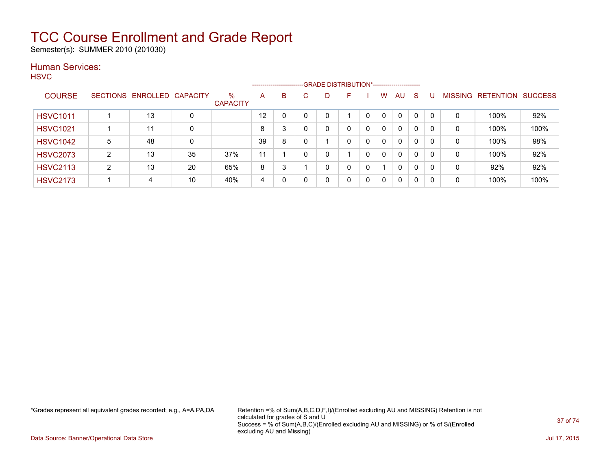Semester(s): SUMMER 2010 (201030)

### Human Services:

**HSVC** 

|                 |   |                            |    |                         |    | ------------------------- |   |   | --GRADE DISTRIBUTION*----------------------- |              |              |              |              |    |                |           |                |
|-----------------|---|----------------------------|----|-------------------------|----|---------------------------|---|---|----------------------------------------------|--------------|--------------|--------------|--------------|----|----------------|-----------|----------------|
| <b>COURSE</b>   |   | SECTIONS ENROLLED CAPACITY |    | $\%$<br><b>CAPACITY</b> | A  | B                         | C | D | F                                            |              | W            | AU           | <sub>S</sub> |    | <b>MISSING</b> | RETENTION | <b>SUCCESS</b> |
| <b>HSVC1011</b> |   | 13                         | 0  |                         | 12 |                           |   | 0 |                                              | 0            | $\mathbf{0}$ | $\mathbf{0}$ | $\mathbf 0$  | -0 | 0              | 100%      | 92%            |
| <b>HSVC1021</b> |   | 11                         | 0  |                         | 8  | 3                         |   | 0 | 0                                            | $\mathbf{0}$ | $\Omega$     | $\mathbf{0}$ | 0            | 0  | 0              | 100%      | 100%           |
| <b>HSVC1042</b> | 5 | 48                         | 0  |                         | 39 | 8                         | ∩ |   | 0                                            | 0            | $\Omega$     | $\mathbf{0}$ | 0            | 0  | 0              | 100%      | 98%            |
| <b>HSVC2073</b> | າ | 13                         | 35 | 37%                     | 11 |                           | 0 | 0 |                                              | 0            | $\mathbf{0}$ | 0            | $\mathbf{0}$ | -0 | 0              | 100%      | 92%            |
| <b>HSVC2113</b> | ົ | 13                         | 20 | 65%                     | 8  | 3                         |   | 0 | 0                                            | 0            |              | 0            | 0            | -C | 0              | 92%       | 92%            |
| <b>HSVC2173</b> |   | 4                          | 10 | 40%                     | 4  | 0                         |   | 0 | 0                                            | 0            | $\mathbf 0$  | 0            | 0            | -0 | 0              | 100%      | 100%           |

\*Grades represent all equivalent grades recorded; e.g., A=A,PA,DA Retention =% of Sum(A,B,C,D,F,I)/(Enrolled excluding AU and MISSING) Retention is not calculated for grades of S and U Success = % of Sum(A,B,C)/(Enrolled excluding AU and MISSING) or % of S/(Enrolled excluding AU and Missing)

Data Source: Banner/Operational Data Store Jul 17, 2015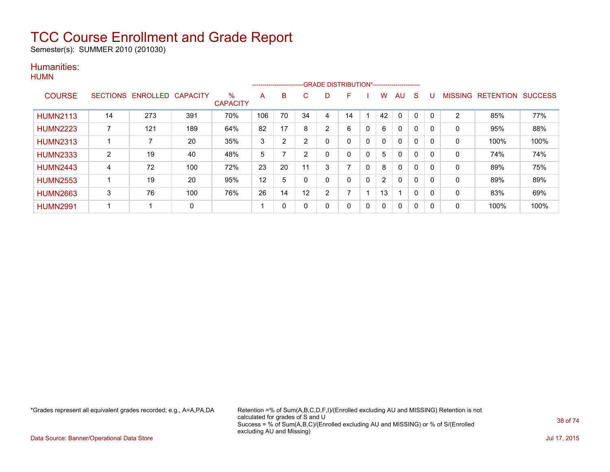Semester(s): SUMMER 2010 (201030)

### Humanities:

|                 |                 |          |                 |                         | ------------------------- |    |                |                | -GRADE DISTRIBUTION*----------------------- |   |              |              |   |          |                |                  |                |
|-----------------|-----------------|----------|-----------------|-------------------------|---------------------------|----|----------------|----------------|---------------------------------------------|---|--------------|--------------|---|----------|----------------|------------------|----------------|
| <b>COURSE</b>   | <b>SECTIONS</b> | ENROLLED | <b>CAPACITY</b> | $\%$<br><b>CAPACITY</b> | A                         | B  | C.             | D              | F                                           |   | w            | AU.          | S |          | <b>MISSING</b> | <b>RETENTION</b> | <b>SUCCESS</b> |
| <b>HUMN2113</b> | 14              | 273      | 391             | 70%                     | 106                       | 70 | 34             | 4              | 14                                          |   | 42           | 0            | 0 |          | $\overline{2}$ | 85%              | 77%            |
| <b>HUMN2223</b> |                 | 121      | 189             | 64%                     | 82                        | 17 | 8              | 2              | 6                                           | 0 | 6            | $\mathbf{0}$ | 0 | $\Omega$ | 0              | 95%              | 88%            |
| <b>HUMN2313</b> |                 |          | 20              | 35%                     | 3                         | 2  | $\overline{2}$ |                | 0                                           | 0 | $\mathbf{0}$ | $\mathbf{0}$ | 0 |          | 0              | 100%             | 100%           |
| <b>HUMN2333</b> | $\overline{2}$  | 19       | 40              | 48%                     | 5                         |    | っ              |                | 0                                           | 0 | 5            | $\mathbf{0}$ | 0 |          | 0              | 74%              | 74%            |
| <b>HUMN2443</b> | 4               | 72       | 100             | 72%                     | 23                        | 20 | 11             | 3              | ⇁                                           | 0 | 8            | $\mathbf{0}$ | 0 | $\Omega$ | 0              | 89%              | 75%            |
| <b>HUMN2553</b> |                 | 19       | 20              | 95%                     | 12                        | 5  |                |                | 0                                           | 0 | 2            | $\mathbf{0}$ | 0 | $\Omega$ | $\mathbf 0$    | 89%              | 89%            |
| <b>HUMN2663</b> | 3               | 76       | 100             | 76%                     | 26                        | 14 | 12             | $\overline{2}$ |                                             |   | 13           |              | 0 |          | 0              | 83%              | 69%            |
| <b>HUMN2991</b> |                 |          | 0               |                         |                           | 0  |                | Ω              | 0                                           | 0 | 0            | $\mathbf{0}$ | 0 |          | 0              | 100%             | 100%           |

\*Grades represent all equivalent grades recorded; e.g., A=A,PA,DA Retention =% of Sum(A,B,C,D,F,I)/(Enrolled excluding AU and MISSING) Retention is not calculated for grades of S and U Success = % of Sum(A,B,C)/(Enrolled excluding AU and MISSING) or % of S/(Enrolled excluding AU and Missing)

Data Source: Banner/Operational Data Store Jul 17, 2015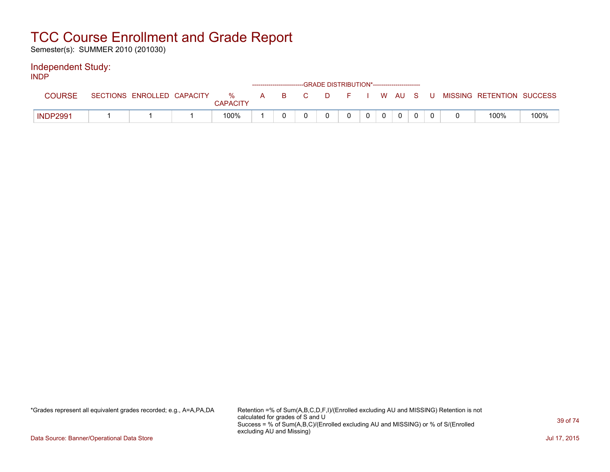Semester(s): SUMMER 2010 (201030)

### Independent Study:

INDP

|                 |                            |                  |   |      | ------------------------GRADE DISTRIBUTION*----------------------- |          |  |  |  |                           |      |
|-----------------|----------------------------|------------------|---|------|--------------------------------------------------------------------|----------|--|--|--|---------------------------|------|
| <b>COURSE</b>   | SECTIONS ENROLLED CAPACITY | $\%$<br>CAPACITY | A | BC C |                                                                    | DFIWAUSU |  |  |  | MISSING RETENTION SUCCESS |      |
| <b>INDP2991</b> |                            | 100%             |   |      |                                                                    |          |  |  |  | 100%                      | 100% |

\*Grades represent all equivalent grades recorded; e.g., A=A,PA,DA Retention =% of Sum(A,B,C,D,F,I)/(Enrolled excluding AU and MISSING) Retention is not calculated for grades of S and U Success = % of Sum(A,B,C)/(Enrolled excluding AU and MISSING) or % of S/(Enrolled excluding AU and Missing)

Data Source: Banner/Operational Data Store Jul 17, 2015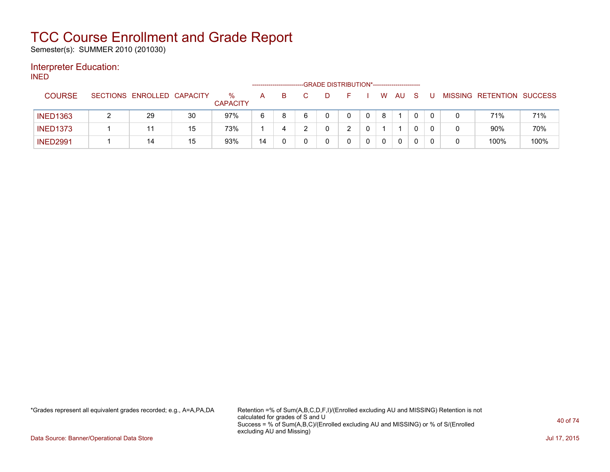Semester(s): SUMMER 2010 (201030)

### Interpreter Education:

INED

|                 |                            |    |                         | ------------------------- |    |  | -GRADE DISTRIBUTION*----------------------- |             |    |   |  |                           |      |
|-----------------|----------------------------|----|-------------------------|---------------------------|----|--|---------------------------------------------|-------------|----|---|--|---------------------------|------|
| <b>COURSE</b>   | SECTIONS ENROLLED CAPACITY |    | $\%$<br><b>CAPACITY</b> | A                         | B. |  |                                             | W           | AU |   |  | MISSING RETENTION SUCCESS |      |
| <b>INED1363</b> | 29                         | 30 | 97%                     | 6                         |    |  |                                             | 8           |    |   |  | 71%                       | 71%  |
| <b>INED1373</b> |                            | 15 | 73%                     |                           | 4  |  | ົ                                           |             |    |   |  | 90%                       | 70%  |
| <b>INED2991</b> | 14                         | 15 | 93%                     | 14                        |    |  |                                             | $\mathbf 0$ | 0  | 0 |  | 100%                      | 100% |

\*Grades represent all equivalent grades recorded; e.g., A=A,PA,DA Retention =% of Sum(A,B,C,D,F,I)/(Enrolled excluding AU and MISSING) Retention is not calculated for grades of S and U Success = % of Sum(A,B,C)/(Enrolled excluding AU and MISSING) or % of S/(Enrolled excluding AU and Missing)

Data Source: Banner/Operational Data Store Jul 17, 2015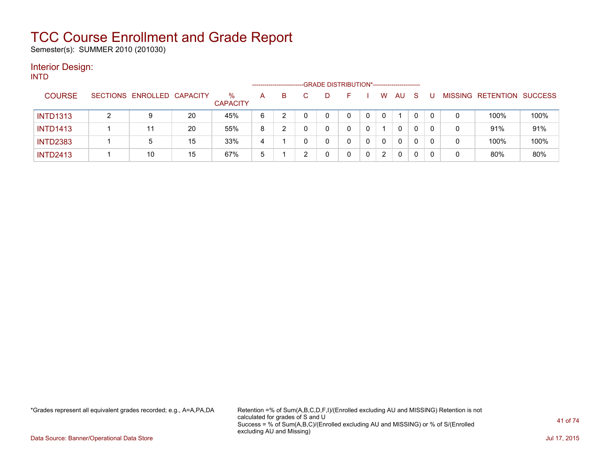Semester(s): SUMMER 2010 (201030)

#### Interior Design: INTD

| .               |   |                            |    |                      | ------------------- |    | -GRADE DISTRIBUTION*----------------------- |   |   |              |          |    |   |   |                           |      |
|-----------------|---|----------------------------|----|----------------------|---------------------|----|---------------------------------------------|---|---|--------------|----------|----|---|---|---------------------------|------|
| <b>COURSE</b>   |   | SECTIONS ENROLLED CAPACITY |    | %<br><b>CAPACITY</b> | A                   | B. |                                             |   |   | W            | AU       | -S |   |   | MISSING RETENTION SUCCESS |      |
| <b>INTD1313</b> | ົ | 9                          | 20 | 45%                  | 6                   |    |                                             | 0 |   | 0            |          |    |   |   | 100%                      | 100% |
| <b>INTD1413</b> |   | 11                         | 20 | 55%                  | 8                   |    |                                             | 0 |   |              | 0        | 0  |   | 0 | 91%                       | 91%  |
| <b>INTD2383</b> |   | 5                          | 15 | 33%                  | 4                   |    |                                             |   | 0 | $\mathbf{0}$ | 0        | 0  | 0 | 0 | 100%                      | 100% |
| <b>INTD2413</b> |   | 10                         | 15 | 67%                  | 5                   |    |                                             |   | 0 | 2            | $\Omega$ | 0  |   |   | 80%                       | 80%  |

\*Grades represent all equivalent grades recorded; e.g., A=A,PA,DA Retention =% of Sum(A,B,C,D,F,I)/(Enrolled excluding AU and MISSING) Retention is not calculated for grades of S and U Success = % of Sum(A,B,C)/(Enrolled excluding AU and MISSING) or % of S/(Enrolled excluding AU and Missing)

Data Source: Banner/Operational Data Store Jul 17, 2015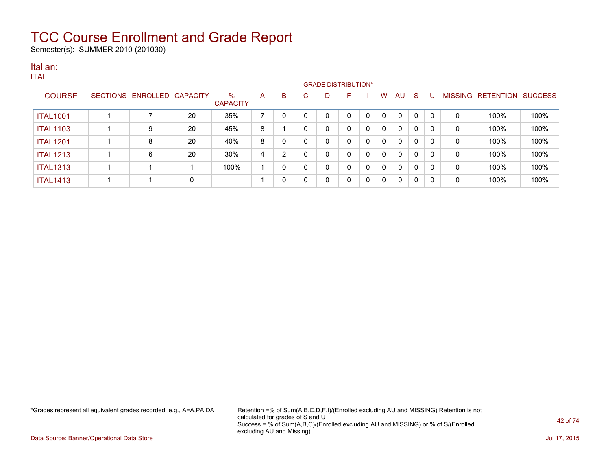Semester(s): SUMMER 2010 (201030)

### Italian:

|                 |                            |    |                         |   |   | --------------------------GRADE DISTRIBUTION*----------------------- |   |    |   |   |              |              |   |             |                   |                |
|-----------------|----------------------------|----|-------------------------|---|---|----------------------------------------------------------------------|---|----|---|---|--------------|--------------|---|-------------|-------------------|----------------|
| <b>COURSE</b>   | SECTIONS ENROLLED CAPACITY |    | $\%$<br><b>CAPACITY</b> | A | B |                                                                      |   | н. |   | w | AU           | S            |   |             | MISSING RETENTION | <b>SUCCESS</b> |
| <b>ITAL1001</b> |                            | 20 | 35%                     |   | 0 | 0                                                                    |   |    | 0 |   | $\mathbf{0}$ | $\mathbf{0}$ | 0 | 0           | 100%              | 100%           |
| <b>ITAL1103</b> | 9                          | 20 | 45%                     | 8 |   |                                                                      | 0 | 0  | 0 | 0 | 0            | 0            | 0 | 0           | 100%              | 100%           |
| <b>ITAL1201</b> | 8                          | 20 | 40%                     | 8 | 0 |                                                                      | 0 | 0  | 0 | 0 | 0            | 0            | 0 | 0           | 100%              | 100%           |
| <b>ITAL1213</b> | 6                          | 20 | 30%                     | 4 | っ |                                                                      | 0 | 0  | 0 |   | $\mathbf{0}$ | 0            | 0 | $\mathbf 0$ | 100%              | 100%           |
| <b>ITAL1313</b> |                            |    | 100%                    |   | 0 |                                                                      | 0 | 0  | 0 | 0 | 0            | 0            | 0 | 0           | 100%              | 100%           |
| <b>ITAL1413</b> |                            | 0  |                         |   | 0 |                                                                      | 0 | 0  | 0 | 0 | 0            | 0            | 0 | 0           | 100%              | 100%           |

\*Grades represent all equivalent grades recorded; e.g., A=A,PA,DA Retention =% of Sum(A,B,C,D,F,I)/(Enrolled excluding AU and MISSING) Retention is not calculated for grades of S and U Success = % of Sum(A,B,C)/(Enrolled excluding AU and MISSING) or % of S/(Enrolled excluding AU and Missing)

Data Source: Banner/Operational Data Store Jul 17, 2015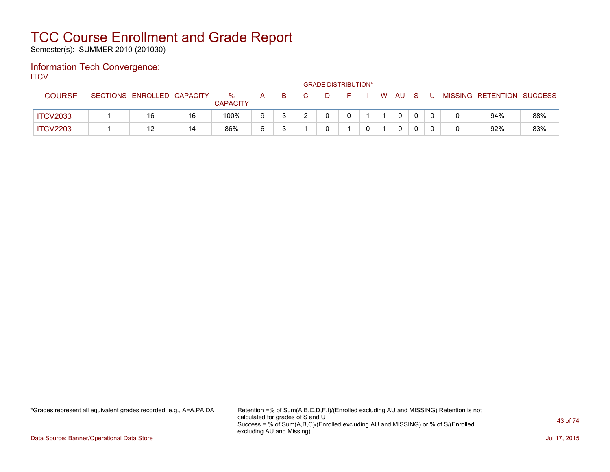Semester(s): SUMMER 2010 (201030)

#### Information Tech Convergence: **ITCV**

| .               |                            |    |                      |    |    | -GRADE DISTRIBUTION*----------------------- |      |  |             |     |    |                           |     |
|-----------------|----------------------------|----|----------------------|----|----|---------------------------------------------|------|--|-------------|-----|----|---------------------------|-----|
| <b>COURSE</b>   | SECTIONS ENROLLED CAPACITY |    | %<br><b>CAPACITY</b> | A, | -B |                                             | - F. |  | I WAU       | - S | -U | MISSING RETENTION SUCCESS |     |
| <b>ITCV2033</b> | 16                         | 16 | 100%                 |    |    |                                             |      |  | $\mathbf 0$ |     |    | 94%                       | 88% |
| <b>ITCV2203</b> | 12                         | 14 | 86%                  |    |    |                                             |      |  | 0           |     |    | 92%                       | 83% |

\*Grades represent all equivalent grades recorded; e.g., A=A,PA,DA Retention =% of Sum(A,B,C,D,F,I)/(Enrolled excluding AU and MISSING) Retention is not calculated for grades of S and U Success = % of Sum(A,B,C)/(Enrolled excluding AU and MISSING) or % of S/(Enrolled excluding AU and Missing)

Data Source: Banner/Operational Data Store Jul 17, 2015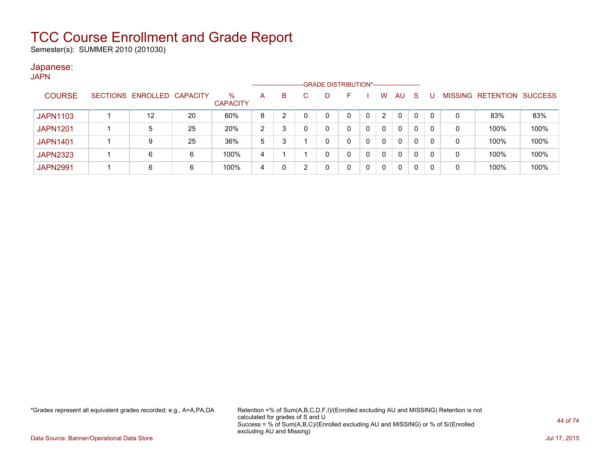Semester(s): SUMMER 2010 (201030)

#### Japanese: JAPN

| .               |                 |                   |    |                      |   | ---------------------- |   |   | -GRADE DISTRIBUTION*----------------------- |   |                |              |    |          |         |           |                |
|-----------------|-----------------|-------------------|----|----------------------|---|------------------------|---|---|---------------------------------------------|---|----------------|--------------|----|----------|---------|-----------|----------------|
| <b>COURSE</b>   | <b>SECTIONS</b> | ENROLLED CAPACITY |    | %<br><b>CAPACITY</b> | A | B                      |   | D |                                             |   | W              | AU.          | -S |          | MISSING | RETENTION | <b>SUCCESS</b> |
| <b>JAPN1103</b> |                 | 12                | 20 | 60%                  | 8 |                        |   | 0 |                                             | 0 | $\overline{2}$ | $\Omega$     | 0  | $\Omega$ | 0       | 83%       | 83%            |
| <b>JAPN1201</b> |                 | 5                 | 25 | 20%                  | 2 |                        |   | 0 |                                             | 0 | 0              | $\Omega$     | 0  | 0        | 0       | 100%      | 100%           |
| <b>JAPN1401</b> |                 | 9                 | 25 | 36%                  | 5 |                        |   | 0 | 0                                           |   | 0              | $\Omega$     | 0  | 0        | 0       | 100%      | 100%           |
| <b>JAPN2323</b> |                 | 6                 | 6  | 100%                 | 4 |                        |   | 0 | 0                                           |   | 0              | $\mathbf{0}$ |    | 0        | 0       | 100%      | 100%           |
| <b>JAPN2991</b> |                 | 6                 | 6  | 100%                 | 4 |                        | ົ | 0 |                                             |   | 0              | $\Omega$     |    | 0        | 0       | 100%      | 100%           |

\*Grades represent all equivalent grades recorded; e.g., A=A,PA,DA Retention =% of Sum(A,B,C,D,F,I)/(Enrolled excluding AU and MISSING) Retention is not calculated for grades of S and U Success = % of Sum(A,B,C)/(Enrolled excluding AU and MISSING) or % of S/(Enrolled excluding AU and Missing)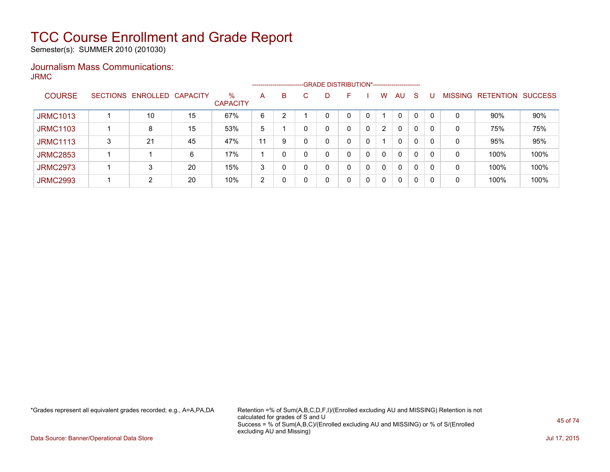Semester(s): SUMMER 2010 (201030)

### Journalism Mass Communications: JRMC

|                 |   |                   |          |                         |    | ------------------------- |    |   |   |   |                      |              |              |          |                |                  |                |
|-----------------|---|-------------------|----------|-------------------------|----|---------------------------|----|---|---|---|----------------------|--------------|--------------|----------|----------------|------------------|----------------|
| <b>COURSE</b>   |   | SECTIONS ENROLLED | CAPACITY | $\%$<br><b>CAPACITY</b> | A  | B                         | C. | D | E |   | W                    | AU           | <sub>S</sub> |          | <b>MISSING</b> | <b>RETENTION</b> | <b>SUCCESS</b> |
| <b>JRMC1013</b> |   | 10                | 15       | 67%                     | 6  | っ                         |    |   |   |   |                      | 0            | 0            |          | 0              | $90\%$           | 90%            |
| <b>JRMC1103</b> |   | 8                 | 15       | 53%                     | 5  |                           |    |   | 0 |   | $\mathbf{2}^{\circ}$ | 0            | 0            | $\Omega$ | 0              | 75%              | 75%            |
| <b>JRMC1113</b> | 3 | 21                | 45       | 47%                     | 11 | 9                         |    |   | 0 | 0 |                      | $\mathbf{0}$ | 0            | $\Omega$ | 0              | 95%              | 95%            |
| <b>JRMC2853</b> |   |                   | 6        | 17%                     |    | 0                         |    |   | 0 | 0 | $\Omega$             | $\mathbf{0}$ | 0            | $\Omega$ | 0              | 100%             | 100%           |
| <b>JRMC2973</b> |   | 3                 | 20       | 15%                     | 3  | 0                         |    |   | 0 | 0 | 0                    | $\mathbf{0}$ | 0            | 0        | 0              | 100%             | 100%           |
| <b>JRMC2993</b> |   | 2                 | 20       | 10%                     | 2  | 0                         |    |   | 0 | 0 | 0                    | $\mathbf{0}$ | 0            | 0        | 0              | 100%             | 100%           |

\*Grades represent all equivalent grades recorded; e.g., A=A,PA,DA Retention =% of Sum(A,B,C,D,F,I)/(Enrolled excluding AU and MISSING) Retention is not calculated for grades of S and U Success = % of Sum(A,B,C)/(Enrolled excluding AU and MISSING) or % of S/(Enrolled excluding AU and Missing)

Data Source: Banner/Operational Data Store Jul 17, 2015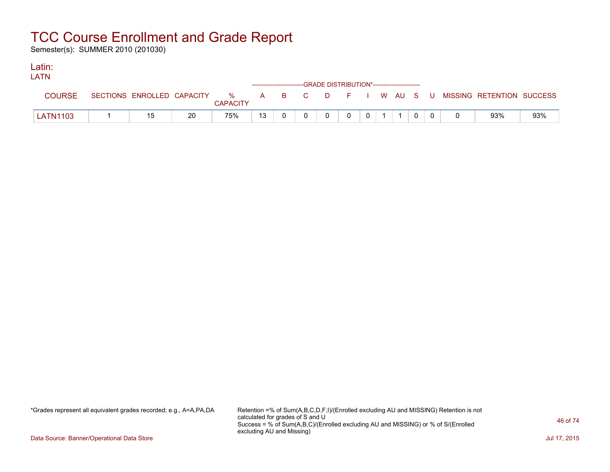Semester(s): SUMMER 2010 (201030)

#### Latin: LATNE

| LAIN            |                            |    |                 |    | ------------------------GRADE DISTRIBUTION*----------------------- |              |          |                |  |  |                                                  |     |
|-----------------|----------------------------|----|-----------------|----|--------------------------------------------------------------------|--------------|----------|----------------|--|--|--------------------------------------------------|-----|
| <b>COURSE</b>   | SECTIONS ENROLLED CAPACITY |    | <b>CAPACITY</b> |    |                                                                    |              |          |                |  |  | % A B C D F I W AU S U MISSING—RETENTION SUCCESS |     |
| <b>LATN1103</b> | 15                         | 20 | 75%             | 13 |                                                                    | $\mathbf{0}$ | $\Omega$ | $\overline{0}$ |  |  | 93%                                              | 93% |

\*Grades represent all equivalent grades recorded; e.g., A=A,PA,DA Retention =% of Sum(A,B,C,D,F,I)/(Enrolled excluding AU and MISSING) Retention is not calculated for grades of S and U Success = % of Sum(A,B,C)/(Enrolled excluding AU and MISSING) or % of S/(Enrolled excluding AU and Missing)

Data Source: Banner/Operational Data Store Jul 17, 2015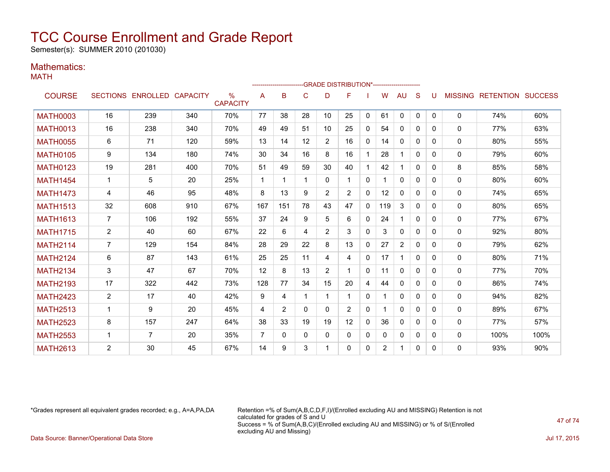Semester(s): SUMMER 2010 (201030)

### Mathematics:

MATH

|                 |                |                            |     |                      |                | ----------------------- |          |                | --GRADE DISTRIBUTION*---------------------- |              |                |                |              |              |              |                                  |      |
|-----------------|----------------|----------------------------|-----|----------------------|----------------|-------------------------|----------|----------------|---------------------------------------------|--------------|----------------|----------------|--------------|--------------|--------------|----------------------------------|------|
| <b>COURSE</b>   |                | SECTIONS ENROLLED CAPACITY |     | %<br><b>CAPACITY</b> | A              | B                       | C        | D              | F                                           |              | W              | AU             | S            | u            |              | <b>MISSING RETENTION SUCCESS</b> |      |
| <b>MATH0003</b> | 16             | 239                        | 340 | 70%                  | 77             | 38                      | 28       | 10             | 25                                          | $\mathbf{0}$ | 61             | $\mathbf{0}$   | $\mathbf{0}$ | $\mathbf{0}$ | 0            | 74%                              | 60%  |
| <b>MATH0013</b> | 16             | 238                        | 340 | 70%                  | 49             | 49                      | 51       | 10             | 25                                          | $\mathbf{0}$ | 54             | $\mathbf{0}$   | 0            | 0            | $\mathbf{0}$ | 77%                              | 63%  |
| <b>MATH0055</b> | 6              | 71                         | 120 | 59%                  | 13             | 14                      | 12       | $\overline{2}$ | 16                                          | $\Omega$     | 14             | $\Omega$       | $\Omega$     | $\Omega$     | $\mathbf{0}$ | 80%                              | 55%  |
| <b>MATH0105</b> | 9              | 134                        | 180 | 74%                  | 30             | 34                      | 16       | 8              | 16                                          |              | 28             | 1              | $\Omega$     | $\Omega$     | $\mathbf{0}$ | 79%                              | 60%  |
| <b>MATH0123</b> | 19             | 281                        | 400 | 70%                  | 51             | 49                      | 59       | 30             | 40                                          |              | 42             | 1              | $\Omega$     | $\Omega$     | 8            | 85%                              | 58%  |
| <b>MATH1454</b> | $\mathbf 1$    | 5                          | 20  | 25%                  | 1              | 1                       | -1       | 0              |                                             | $\mathbf{0}$ |                | $\Omega$       | 0            | $\Omega$     | $\mathbf{0}$ | 80%                              | 60%  |
| <b>MATH1473</b> | 4              | 46                         | 95  | 48%                  | 8              | 13                      | 9        | 2              | $\overline{2}$                              | 0            | $12 \,$        | $\mathbf{0}$   | 0            | $\Omega$     | 0            | 74%                              | 65%  |
| <b>MATH1513</b> | 32             | 608                        | 910 | 67%                  | 167            | 151                     | 78       | 43             | 47                                          | $\mathbf{0}$ | 119            | 3              | $\Omega$     | $\Omega$     | $\mathbf{0}$ | 80%                              | 65%  |
| <b>MATH1613</b> | $\overline{7}$ | 106                        | 192 | 55%                  | 37             | 24                      | 9        | 5              | 6                                           | $\mathbf{0}$ | 24             | 1              | $\Omega$     | 0            | 0            | 77%                              | 67%  |
| <b>MATH1715</b> | $\overline{2}$ | 40                         | 60  | 67%                  | 22             | 6                       | 4        | 2              | 3                                           | $\mathbf{0}$ | 3              | $\mathbf{0}$   | $\Omega$     | $\Omega$     | $\mathbf{0}$ | 92%                              | 80%  |
| <b>MATH2114</b> | $\overline{7}$ | 129                        | 154 | 84%                  | 28             | 29                      | 22       | 8              | 13                                          | $\mathbf{0}$ | 27             | $\overline{2}$ | 0            | $\Omega$     | $\mathbf{0}$ | 79%                              | 62%  |
| <b>MATH2124</b> | 6              | 87                         | 143 | 61%                  | 25             | 25                      | 11       | 4              | 4                                           | $\mathbf{0}$ | 17             | 1              | $\Omega$     | $\Omega$     | $\mathbf{0}$ | 80%                              | 71%  |
| <b>MATH2134</b> | 3              | 47                         | 67  | 70%                  | 12             | 8                       | 13       | $\overline{2}$ |                                             | $\mathbf{0}$ | 11             | $\mathbf{0}$   | $\Omega$     | $\mathbf{0}$ | $\mathbf{0}$ | 77%                              | 70%  |
| <b>MATH2193</b> | 17             | 322                        | 442 | 73%                  | 128            | 77                      | 34       | 15             | 20                                          | 4            | 44             | $\Omega$       | 0            | 0            | $\mathbf{0}$ | 86%                              | 74%  |
| <b>MATH2423</b> | $\overline{2}$ | 17                         | 40  | 42%                  | 9              | 4                       |          |                |                                             | $\mathbf{0}$ |                | $\mathbf{0}$   | $\Omega$     | $\Omega$     | $\mathbf{0}$ | 94%                              | 82%  |
| <b>MATH2513</b> | 1              | 9                          | 20  | 45%                  | $\overline{4}$ | 2                       | $\Omega$ | 0              | $\overline{2}$                              | $\mathbf{0}$ |                | $\mathbf{0}$   | 0            | $\Omega$     | $\mathbf{0}$ | 89%                              | 67%  |
| <b>MATH2523</b> | 8              | 157                        | 247 | 64%                  | 38             | 33                      | 19       | 19             | 12                                          | $\Omega$     | 36             | $\Omega$       | $\Omega$     | $\Omega$     | $\mathbf{0}$ | 77%                              | 57%  |
| <b>MATH2553</b> | $\mathbf 1$    | $\overline{7}$             | 20  | 35%                  | $\overline{7}$ | $\Omega$                | $\Omega$ | $\Omega$       | $\mathbf{0}$                                | $\mathbf{0}$ | 0              | $\mathbf{0}$   | 0            | $\mathbf{0}$ | 0            | 100%                             | 100% |
| <b>MATH2613</b> | 2              | 30                         | 45  | 67%                  | 14             | 9                       | 3        |                | 0                                           | $\mathbf{0}$ | $\overline{2}$ | 1              | 0            | $\Omega$     | $\Omega$     | 93%                              | 90%  |

\*Grades represent all equivalent grades recorded; e.g., A=A,PA,DA Retention =% of Sum(A,B,C,D,F,I)/(Enrolled excluding AU and MISSING) Retention is not calculated for grades of S and U Success = % of Sum(A,B,C)/(Enrolled excluding AU and MISSING) or % of S/(Enrolled excluding AU and Missing) Data Source: Banner/Operational Data Store Jul 17, 2015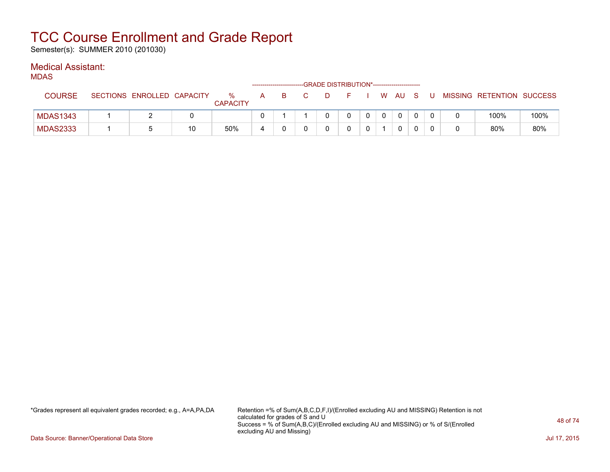Semester(s): SUMMER 2010 (201030)

### Medical Assistant:

MDAS

| .               |                            |    |                      |   | ------------------------- | -GRADE DISTRIBUTION*----------------------- |  |   |        |    |                           |      |
|-----------------|----------------------------|----|----------------------|---|---------------------------|---------------------------------------------|--|---|--------|----|---------------------------|------|
| <b>COURSE</b>   | SECTIONS ENROLLED CAPACITY |    | %<br><b>CAPACITY</b> | A | - в                       | D.                                          |  |   | W AU S | -U | MISSING RETENTION SUCCESS |      |
| <b>MDAS1343</b> |                            |    |                      |   |                           |                                             |  | 0 |        |    | 100%                      | 100% |
| <b>MDAS2333</b> |                            | 10 | 50%                  | 4 |                           |                                             |  |   |        |    | 80%                       | 80%  |

\*Grades represent all equivalent grades recorded; e.g., A=A,PA,DA Retention =% of Sum(A,B,C,D,F,I)/(Enrolled excluding AU and MISSING) Retention is not calculated for grades of S and U Success = % of Sum(A,B,C)/(Enrolled excluding AU and MISSING) or % of S/(Enrolled excluding AU and Missing)

Data Source: Banner/Operational Data Store Jul 17, 2015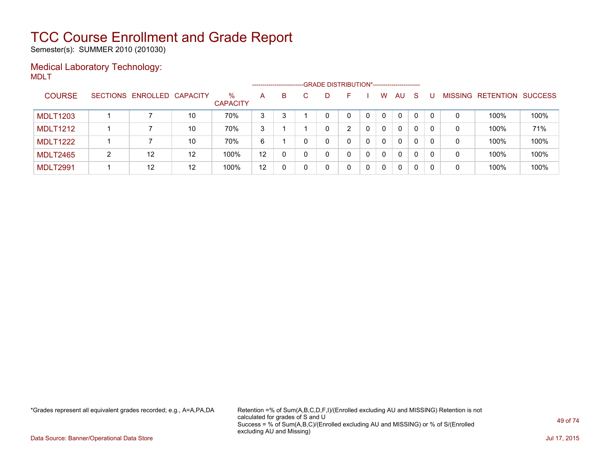Semester(s): SUMMER 2010 (201030)

### Medical Laboratory Technology: MDLT

|                 |   |                            |    |                         | --------------------- |   |    | -GRADE DISTRIBUTION*----------------------- |   |   |          |              |          |          |   |                   |                |
|-----------------|---|----------------------------|----|-------------------------|-----------------------|---|----|---------------------------------------------|---|---|----------|--------------|----------|----------|---|-------------------|----------------|
| <b>COURSE</b>   |   | SECTIONS ENROLLED CAPACITY |    | $\%$<br><b>CAPACITY</b> | A                     | B | C. | D                                           | ⊢ |   | w        | AU           | -S       |          |   | MISSING RETENTION | <b>SUCCESS</b> |
| <b>MDLT1203</b> |   |                            | 10 | 70%                     | 3                     | 2 |    | 0                                           |   |   | $\Omega$ | 0            | $\Omega$ | $\Omega$ | 0 | 100%              | 100%           |
| <b>MDLT1212</b> |   |                            | 10 | 70%                     | 3                     |   |    |                                             | າ |   | $\Omega$ | 0            | 0        | $\Omega$ | 0 | 100%              | 71%            |
| <b>MDLT1222</b> |   |                            | 10 | 70%                     | 6                     |   |    | 0                                           |   | 0 | 0        | 0            | 0        | $\Omega$ | 0 | 100%              | 100%           |
| <b>MDLT2465</b> | າ | 12                         | 12 | 100%                    | 12                    |   |    | 0                                           |   | 0 | $\Omega$ | 0            |          | $\Omega$ | 0 | 100%              | 100%           |
| <b>MDLT2991</b> |   | 12                         | 12 | 100%                    | 12                    |   |    | 0                                           |   |   | $\Omega$ | $\mathbf{0}$ | 0        |          | 0 | 100%              | 100%           |

\*Grades represent all equivalent grades recorded; e.g., A=A,PA,DA Retention =% of Sum(A,B,C,D,F,I)/(Enrolled excluding AU and MISSING) Retention is not calculated for grades of S and U Success = % of Sum(A,B,C)/(Enrolled excluding AU and MISSING) or % of S/(Enrolled excluding AU and Missing)

Data Source: Banner/Operational Data Store Jul 17, 2015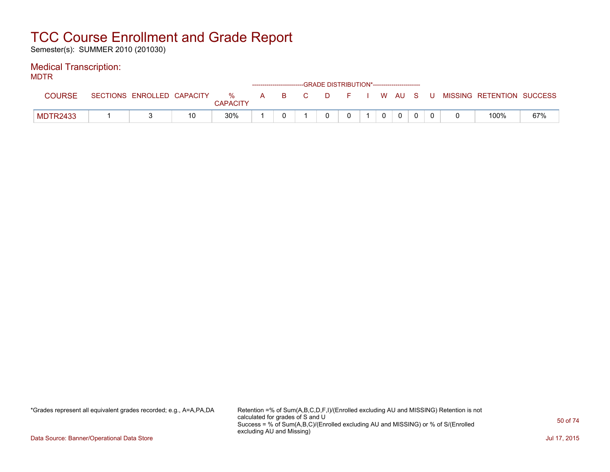Semester(s): SUMMER 2010 (201030)

### Medical Transcription:

MDTR

| --- --          |                            |    |                      |              |    |   | ------------------------GRADE DISTRIBUTION*----------------------- |  |       |  |                           |     |
|-----------------|----------------------------|----|----------------------|--------------|----|---|--------------------------------------------------------------------|--|-------|--|---------------------------|-----|
| <b>COURSE</b>   | SECTIONS ENROLLED CAPACITY |    | %<br><b>CAPACITY</b> | $\mathsf{A}$ | B. | D | . E                                                                |  | WAUS. |  | MISSING RETENTION SUCCESS |     |
| <b>MDTR2433</b> |                            | 10 | $30\%$               |              |    |   |                                                                    |  |       |  | 100%                      | 67% |

\*Grades represent all equivalent grades recorded; e.g., A=A,PA,DA Retention =% of Sum(A,B,C,D,F,I)/(Enrolled excluding AU and MISSING) Retention is not calculated for grades of S and U Success = % of Sum(A,B,C)/(Enrolled excluding AU and MISSING) or % of S/(Enrolled excluding AU and Missing)

Data Source: Banner/Operational Data Store Jul 17, 2015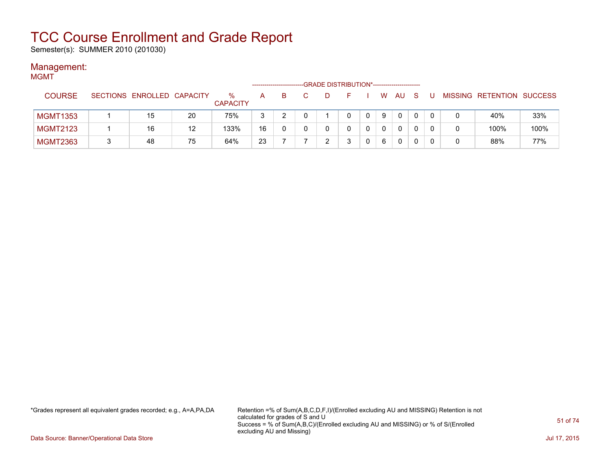Semester(s): SUMMER 2010 (201030)

### Management:

| <b>MGMT</b>     |                            |    |                         |    |    |    | -GRADE DISTRIBUTION*----------------------- |    |          |              |    |    |                           |      |
|-----------------|----------------------------|----|-------------------------|----|----|----|---------------------------------------------|----|----------|--------------|----|----|---------------------------|------|
| <b>COURSE</b>   | SECTIONS ENROLLED CAPACITY |    | $\%$<br><b>CAPACITY</b> | A. | B. | C. | D                                           | F. | <b>W</b> | AU           | -S | -U | MISSING RETENTION SUCCESS |      |
| <b>MGMT1353</b> | 15                         | 20 | 75%                     | 3  |    |    |                                             |    | 9        | $\mathbf{0}$ |    |    | 40%                       | 33%  |
| <b>MGMT2123</b> | 16                         | 12 | 133%                    | 16 | 0  |    |                                             |    | 0        | 0            |    |    | 100%                      | 100% |
| <b>MGMT2363</b> | 48                         | 75 | 64%                     | 23 |    |    | ົ                                           |    | 6        | $\mathbf{0}$ |    |    | 88%                       | 77%  |

\*Grades represent all equivalent grades recorded; e.g., A=A,PA,DA Retention =% of Sum(A,B,C,D,F,I)/(Enrolled excluding AU and MISSING) Retention is not calculated for grades of S and U Success = % of Sum(A,B,C)/(Enrolled excluding AU and MISSING) or % of S/(Enrolled excluding AU and Missing)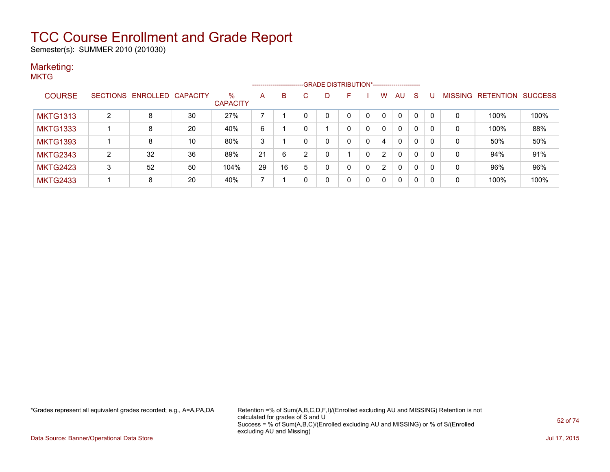Semester(s): SUMMER 2010 (201030)

#### Marketing: **MKTG**

|                 |   |                   |                 |                         |    | ----------------------- |          |   |          |              |                |              |              |          |                |                  |                |
|-----------------|---|-------------------|-----------------|-------------------------|----|-------------------------|----------|---|----------|--------------|----------------|--------------|--------------|----------|----------------|------------------|----------------|
| <b>COURSE</b>   |   | SECTIONS ENROLLED | <b>CAPACITY</b> | $\%$<br><b>CAPACITY</b> | A  | B.                      |          |   | F        |              | W              | AU           | S            |          | <b>MISSING</b> | <b>RETENTION</b> | <b>SUCCESS</b> |
| <b>MKTG1313</b> | 2 | 8                 | 30              | 27%                     |    |                         |          | 0 | $\Omega$ | $\mathbf{0}$ | $\Omega$       | $\mathbf{0}$ | $\mathbf{0}$ | $\Omega$ | $\mathbf 0$    | 100%             | 100%           |
| <b>MKTG1333</b> |   | 8                 | 20              | 40%                     | 6  |                         |          |   | 0        | 0            |                | $\mathbf{0}$ | 0            | 0        | 0              | 100%             | 88%            |
| <b>MKTG1393</b> |   | 8                 | 10              | 80%                     | 3  |                         | $\Omega$ | 0 | 0        | 0            | 4              | 0            | 0            | 0        | 0              | 50%              | 50%            |
| <b>MKTG2343</b> | 2 | 32                | 36              | 89%                     | 21 | 6                       | 2        | 0 |          | $\mathbf{0}$ | $\overline{2}$ | $\mathbf{0}$ | $\mathbf{0}$ | 0        | 0              | 94%              | 91%            |
| <b>MKTG2423</b> | 3 | 52                | 50              | 104%                    | 29 | 16                      | 5        | 0 | 0        | 0            | 2              | $\mathbf{0}$ | $\mathbf{0}$ | 0        | 0              | 96%              | 96%            |
| <b>MKTG2433</b> |   | 8                 | 20              | 40%                     |    |                         |          | 0 | 0        | 0            |                | 0            | 0            | 0        | 0              | 100%             | 100%           |

\*Grades represent all equivalent grades recorded; e.g., A=A,PA,DA Retention =% of Sum(A,B,C,D,F,I)/(Enrolled excluding AU and MISSING) Retention is not calculated for grades of S and U Success = % of Sum(A,B,C)/(Enrolled excluding AU and MISSING) or % of S/(Enrolled excluding AU and Missing)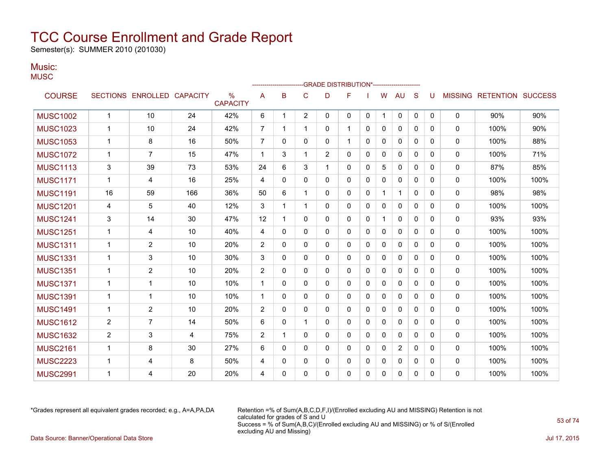Semester(s): SUMMER 2010 (201030)

#### Music: **MUSC**

|                 |                |                            |     |                                  |                |              |                | -GRADE DISTRIBUTION*---------------------- |              |   |              |              |              |             |              |                           |      |
|-----------------|----------------|----------------------------|-----|----------------------------------|----------------|--------------|----------------|--------------------------------------------|--------------|---|--------------|--------------|--------------|-------------|--------------|---------------------------|------|
| <b>COURSE</b>   |                | SECTIONS ENROLLED CAPACITY |     | $\frac{0}{0}$<br><b>CAPACITY</b> | A              | B            | C              | D                                          | F            |   | W            | AU           | S            | U           |              | MISSING RETENTION SUCCESS |      |
| <b>MUSC1002</b> | $\overline{1}$ | 10                         | 24  | 42%                              | 6              | 1            | $\overline{2}$ | 0                                          | 0            | 0 | 1            | 0            | $\mathbf 0$  | $\mathbf 0$ | 0            | 90%                       | 90%  |
| <b>MUSC1023</b> | $\mathbf 1$    | 10                         | 24  | 42%                              | $\overline{7}$ |              | $\mathbf{1}$   | 0                                          | $\mathbf 1$  | 0 | $\mathbf{0}$ | 0            | $\mathbf{0}$ | 0           | 0            | 100%                      | 90%  |
| <b>MUSC1053</b> | $\mathbf 1$    | 8                          | 16  | 50%                              | $\overline{7}$ | 0            | 0              | 0                                          | $\mathbf{1}$ | 0 | 0            | 0            | $\mathbf{0}$ | 0           | $\mathbf{0}$ | 100%                      | 88%  |
| <b>MUSC1072</b> | $\mathbf 1$    | 7                          | 15  | 47%                              | -1             | 3            |                | 2                                          | 0            | 0 | 0            | 0            | 0            | 0           | $\mathbf{0}$ | 100%                      | 71%  |
| <b>MUSC1113</b> | 3              | 39                         | 73  | 53%                              | 24             | 6            | 3              | 1                                          | 0            | 0 | 5            | 0            | $\Omega$     | 0           | $\mathbf{0}$ | 87%                       | 85%  |
| <b>MUSC1171</b> | $\mathbf 1$    | 4                          | 16  | 25%                              | 4              | 0            | 0              | 0                                          | 0            | 0 | 0            | 0            | $\mathbf{0}$ | 0           | $\mathbf{0}$ | 100%                      | 100% |
| <b>MUSC1191</b> | 16             | 59                         | 166 | 36%                              | 50             | 6            | 1              | 0                                          | 0            | 0 | 1            | $\mathbf 1$  | $\Omega$     | 0           | $\mathbf{0}$ | 98%                       | 98%  |
| <b>MUSC1201</b> | 4              | 5                          | 40  | 12%                              | 3              | 1            | 1              | 0                                          | 0            | 0 | 0            | 0            | $\Omega$     | 0           | $\mathbf{0}$ | 100%                      | 100% |
| <b>MUSC1241</b> | 3              | 14                         | 30  | 47%                              | 12             | 1            | 0              | 0                                          | 0            | 0 | $\mathbf 1$  | 0            | $\mathbf{0}$ | 0           | $\mathbf{0}$ | 93%                       | 93%  |
| <b>MUSC1251</b> | $\overline{1}$ | 4                          | 10  | 40%                              | 4              | 0            | $\Omega$       | 0                                          | $\mathbf{0}$ | 0 | 0            | $\Omega$     | $\Omega$     | 0           | 0            | 100%                      | 100% |
| <b>MUSC1311</b> | -1             | 2                          | 10  | 20%                              | 2              | $\mathbf{0}$ | 0              | 0                                          | 0            | 0 | 0            | 0            | $\mathbf{0}$ | 0           | 0            | 100%                      | 100% |
| <b>MUSC1331</b> | $\mathbf 1$    | 3                          | 10  | 30%                              | 3              | 0            | 0              | 0                                          | 0            | 0 | 0            | $\mathbf{0}$ | $\mathbf{0}$ | $\Omega$    | $\mathbf{0}$ | 100%                      | 100% |
| <b>MUSC1351</b> | -1             | $\overline{2}$             | 10  | 20%                              | 2              | 0            | 0              | 0                                          | 0            | 0 | 0            | 0            | $\Omega$     | 0           | $\mathbf{0}$ | 100%                      | 100% |
| <b>MUSC1371</b> | $\mathbf 1$    | $\mathbf{1}$               | 10  | 10%                              | $\mathbf{1}$   | 0            | 0              | 0                                          | $\mathbf{0}$ | 0 | $\mathbf{0}$ | 0            | $\Omega$     | 0           | $\mathbf{0}$ | 100%                      | 100% |
| <b>MUSC1391</b> | -1             | 1                          | 10  | 10%                              | $\mathbf{1}$   | 0            | 0              | 0                                          | 0            | 0 | 0            | 0            | $\Omega$     | 0           | 0            | 100%                      | 100% |
| <b>MUSC1491</b> | -1             | 2                          | 10  | 20%                              | 2              | 0            | 0              | 0                                          | 0            | 0 | 0            | 0            | $\Omega$     | 0           | 0            | 100%                      | 100% |
| <b>MUSC1612</b> | 2              | 7                          | 14  | 50%                              | 6              | 0            | 1              | 0                                          | 0            | 0 | 0            | 0            | $\mathbf{0}$ | 0           | 0            | 100%                      | 100% |
| <b>MUSC1632</b> | 2              | 3                          | 4   | 75%                              | 2              | 1            | $\Omega$       | 0                                          | $\mathbf{0}$ | 0 | 0            | $\Omega$     | $\mathbf{0}$ | $\Omega$    | 0            | 100%                      | 100% |
| <b>MUSC2161</b> | $\mathbf 1$    | 8                          | 30  | 27%                              | 6              | 0            | 0              | 0                                          | 0            | 0 | 0            | 2            | $\mathbf{0}$ | 0           | $\mathbf{0}$ | 100%                      | 100% |
| <b>MUSC2223</b> | $\mathbf 1$    | 4                          | 8   | 50%                              | 4              | 0            | 0              | 0                                          | 0            | 0 | 0            | 0            | $\mathbf{0}$ | 0           | $\mathbf{0}$ | 100%                      | 100% |
| <b>MUSC2991</b> | 1              | 4                          | 20  | 20%                              | 4              | 0            | $\Omega$       | 0                                          | 0            | 0 | 0            | 0            | 0            | 0           | $\Omega$     | 100%                      | 100% |

\*Grades represent all equivalent grades recorded; e.g., A=A,PA,DA Retention =% of Sum(A,B,C,D,F,I)/(Enrolled excluding AU and MISSING) Retention is not calculated for grades of S and U Success = % of Sum(A,B,C)/(Enrolled excluding AU and MISSING) or % of S/(Enrolled excluding AU and Missing) Data Source: Banner/Operational Data Store Jul 17, 2015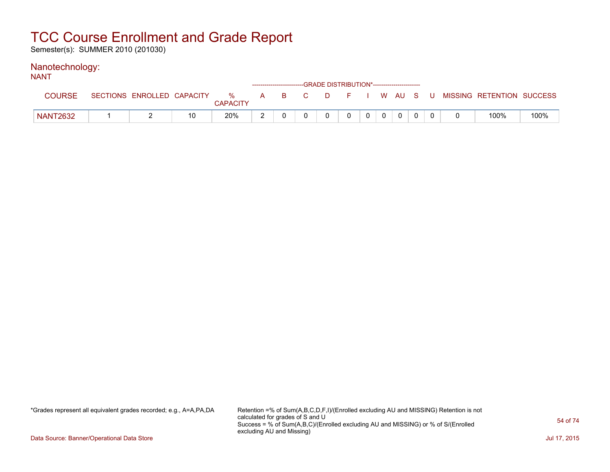Semester(s): SUMMER 2010 (201030)

#### Nanotechnology: NANT

| IVAIV I         |                            |                      |              |          |    |        | ------------------------GRADE DISTRIBUTION*----------------------- |                |          |  |                           |      |
|-----------------|----------------------------|----------------------|--------------|----------|----|--------|--------------------------------------------------------------------|----------------|----------|--|---------------------------|------|
| <b>COURSE</b>   | SECTIONS ENROLLED CAPACITY | %<br><b>CAPACITY</b> | $\mathbf{A}$ | <b>B</b> | C. | $\Box$ | F.                                                                 |                | I WAUSU  |  | MISSING RETENTION SUCCESS |      |
| <b>NANT2632</b> |                            | 20%                  |              |          |    |        | 0                                                                  | 0 <sup>1</sup> | $\Omega$ |  | 100%                      | 100% |

\*Grades represent all equivalent grades recorded; e.g., A=A,PA,DA Retention =% of Sum(A,B,C,D,F,I)/(Enrolled excluding AU and MISSING) Retention is not calculated for grades of S and U Success = % of Sum(A,B,C)/(Enrolled excluding AU and MISSING) or % of S/(Enrolled excluding AU and Missing)

Data Source: Banner/Operational Data Store Jul 17, 2015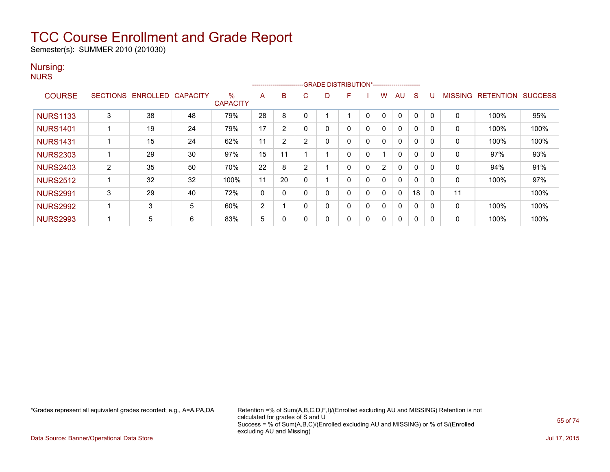Semester(s): SUMMER 2010 (201030)

#### Nursing: **NURS**

|                 |                 |          |                 |                         |    | ------------------------ |                | -GRADE DISTRIBUTION*----------------------- |   |          |          |              |              |              |                |                  |                |
|-----------------|-----------------|----------|-----------------|-------------------------|----|--------------------------|----------------|---------------------------------------------|---|----------|----------|--------------|--------------|--------------|----------------|------------------|----------------|
| <b>COURSE</b>   | <b>SECTIONS</b> | ENROLLED | <b>CAPACITY</b> | $\%$<br><b>CAPACITY</b> | A  | B                        | C              | D                                           | F |          | w        | AU           | S            | U            | <b>MISSING</b> | <b>RETENTION</b> | <b>SUCCESS</b> |
| <b>NURS1133</b> | 3               | 38       | 48              | 79%                     | 28 | 8                        | 0              |                                             |   | $\Omega$ | 0        | 0            | $\mathbf{0}$ | 0            | $\mathbf 0$    | 100%             | 95%            |
| <b>NURS1401</b> |                 | 19       | 24              | 79%                     | 17 | 2                        |                | 0                                           | 0 | $\Omega$ | 0        | $\mathbf{0}$ | 0            | 0            | 0              | 100%             | 100%           |
| <b>NURS1431</b> |                 | 15       | 24              | 62%                     | 11 | $\overline{2}$           | $\overline{2}$ | 0                                           | 0 | $\Omega$ | 0        | $\mathbf{0}$ | 0            | 0            | 0              | 100%             | 100%           |
| <b>NURS2303</b> |                 | 29       | 30              | 97%                     | 15 | 11                       |                |                                             | 0 |          |          | $\mathbf{0}$ | 0            | 0            | 0              | 97%              | 93%            |
| <b>NURS2403</b> | $\overline{2}$  | 35       | 50              | 70%                     | 22 | 8                        | $\overline{2}$ |                                             | 0 | $\Omega$ | 2        | $\mathbf{0}$ | 0            | 0            | 0              | 94%              | 91%            |
| <b>NURS2512</b> |                 | 32       | 32              | 100%                    | 11 | 20                       | 0              |                                             | 0 | $\Omega$ | $\Omega$ | $\mathbf{0}$ | 0            | 0            | 0              | 100%             | 97%            |
| <b>NURS2991</b> | 3               | 29       | 40              | 72%                     | 0  |                          |                | 0                                           | 0 | 0        | 0        | 0            | 18           | $\mathbf{0}$ | 11             |                  | 100%           |
| <b>NURS2992</b> |                 | 3        | 5               | 60%                     | 2  |                          | 0              | 0                                           | 0 | $\Omega$ | 0        | $\mathbf{0}$ | 0            | $\Omega$     | 0              | 100%             | 100%           |
| <b>NURS2993</b> |                 | 5        | 6               | 83%                     | 5  |                          | 0              | 0                                           | 0 | $\Omega$ | 0        | 0            | 0            | 0            | 0              | 100%             | 100%           |

\*Grades represent all equivalent grades recorded; e.g., A=A,PA,DA Retention =% of Sum(A,B,C,D,F,I)/(Enrolled excluding AU and MISSING) Retention is not calculated for grades of S and U Success = % of Sum(A,B,C)/(Enrolled excluding AU and MISSING) or % of S/(Enrolled excluding AU and Missing)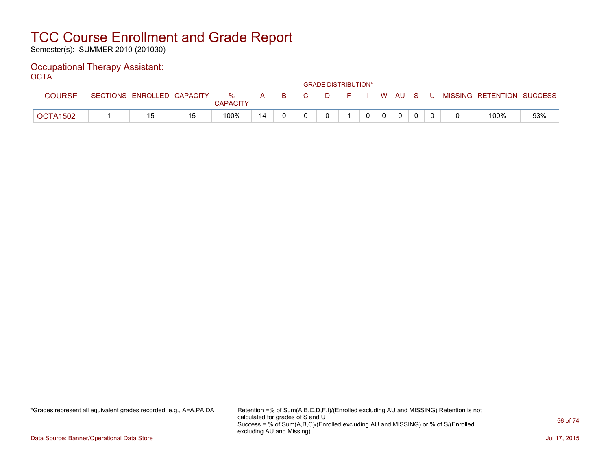Semester(s): SUMMER 2010 (201030)

#### Occupational Therapy Assistant: OCTA

| ----          |                            |                         |              |          |    | ------------------------GRADE DISTRIBUTION*----------------------- |    |  |              |       |                           |     |
|---------------|----------------------------|-------------------------|--------------|----------|----|--------------------------------------------------------------------|----|--|--------------|-------|---------------------------|-----|
| <b>COURSE</b> | SECTIONS ENROLLED CAPACITY | $\%$<br><b>CAPACITY</b> | $\mathsf{A}$ | <b>B</b> | C. | D.                                                                 | н. |  | WAUS.        | - U - | MISSING RETENTION SUCCESS |     |
| OCTA1502      |                            | 100%                    | 14           |          |    |                                                                    |    |  | $\mathbf{0}$ |       | 100%                      | 93% |

\*Grades represent all equivalent grades recorded; e.g., A=A,PA,DA Retention =% of Sum(A,B,C,D,F,I)/(Enrolled excluding AU and MISSING) Retention is not calculated for grades of S and U Success = % of Sum(A,B,C)/(Enrolled excluding AU and MISSING) or % of S/(Enrolled excluding AU and Missing)

Data Source: Banner/Operational Data Store Jul 17, 2015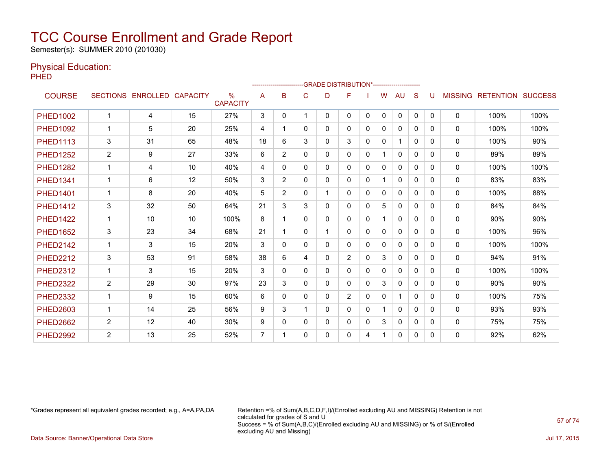Semester(s): SUMMER 2010 (201030)

### Physical Education:

PHED

|                 |                |                            |    |                      |    |                |          | -------------------------GRADE DISTRIBUTION*---------------------- |                |   |              |              |              |              |                |                  |                |
|-----------------|----------------|----------------------------|----|----------------------|----|----------------|----------|--------------------------------------------------------------------|----------------|---|--------------|--------------|--------------|--------------|----------------|------------------|----------------|
| <b>COURSE</b>   |                | SECTIONS ENROLLED CAPACITY |    | %<br><b>CAPACITY</b> | A  | B              | C        | D                                                                  | F              |   | W            | AU           | S            | U            | <b>MISSING</b> | <b>RETENTION</b> | <b>SUCCESS</b> |
| <b>PHED1002</b> | 1              | 4                          | 15 | 27%                  | 3  | 0              | 1        | 0                                                                  | $\mathbf{0}$   | 0 | $\mathbf{0}$ | $\Omega$     | $\mathbf{0}$ | $\mathbf{0}$ | $\mathbf{0}$   | 100%             | 100%           |
| <b>PHED1092</b> |                | 5                          | 20 | 25%                  | 4  |                | $\Omega$ | 0                                                                  | $\mathbf{0}$   | 0 | 0            | $\Omega$     | 0            | $\Omega$     | $\mathbf{0}$   | 100%             | 100%           |
| <b>PHED1113</b> | 3              | 31                         | 65 | 48%                  | 18 | 6              | 3        | 0                                                                  | 3              | 0 | 0            | 1            | $\Omega$     | $\Omega$     | $\mathbf{0}$   | 100%             | 90%            |
| <b>PHED1252</b> | $\overline{2}$ | 9                          | 27 | 33%                  | 6  | $\overline{2}$ | 0        | 0                                                                  | $\mathbf{0}$   | 0 | 1            | 0            | 0            | 0            | 0              | 89%              | 89%            |
| <b>PHED1282</b> | 1              | 4                          | 10 | 40%                  | 4  | 0              | 0        | 0                                                                  | $\mathbf{0}$   | 0 | 0            | 0            | 0            | 0            | $\mathbf{0}$   | 100%             | 100%           |
| <b>PHED1341</b> | 1              | 6                          | 12 | 50%                  | 3  | $\overline{2}$ | 0        | 0                                                                  | $\Omega$       | 0 |              | $\mathbf{0}$ | 0            | 0            | $\mathbf{0}$   | 83%              | 83%            |
| <b>PHED1401</b> | 1              | 8                          | 20 | 40%                  | 5  | $\overline{2}$ | $\Omega$ | 1                                                                  | $\mathbf{0}$   | 0 | 0            | $\mathbf{0}$ | $\Omega$     | $\Omega$     | $\mathbf{0}$   | 100%             | 88%            |
| <b>PHED1412</b> | 3              | 32                         | 50 | 64%                  | 21 | 3              | 3        | 0                                                                  | $\mathbf{0}$   | 0 | 5            | $\mathbf{0}$ | $\Omega$     | $\Omega$     | 0              | 84%              | 84%            |
| <b>PHED1422</b> | 1              | 10                         | 10 | 100%                 | 8  |                | 0        | 0                                                                  | 0              | 0 | 1.           | $\mathbf{0}$ | 0            | $\Omega$     | $\mathbf{0}$   | 90%              | 90%            |
| <b>PHED1652</b> | 3              | 23                         | 34 | 68%                  | 21 |                | 0        | 1                                                                  | 0              | 0 | 0            | $\Omega$     | 0            | 0            | $\mathbf{0}$   | 100%             | 96%            |
| <b>PHED2142</b> | 1              | 3                          | 15 | 20%                  | 3  | 0              | 0        | 0                                                                  | 0              | 0 | 0            | 0            | $\Omega$     | <sup>0</sup> | $\mathbf{0}$   | 100%             | 100%           |
| <b>PHED2212</b> | 3              | 53                         | 91 | 58%                  | 38 | 6              | 4        | 0                                                                  | $\overline{2}$ | 0 | 3            | $\mathbf{0}$ | 0            | 0            | $\mathbf{0}$   | 94%              | 91%            |
| <b>PHED2312</b> | 1              | 3                          | 15 | 20%                  | 3  | 0              | 0        | 0                                                                  | 0              | 0 | 0            | 0            | 0            | 0            | $\mathbf{0}$   | 100%             | 100%           |
| <b>PHED2322</b> | 2              | 29                         | 30 | 97%                  | 23 | 3              | 0        | 0                                                                  | $\Omega$       | 0 | 3            | $\Omega$     | 0            | 0            | $\mathbf{0}$   | 90%              | 90%            |
| <b>PHED2332</b> | $\mathbf 1$    | 9                          | 15 | 60%                  | 6  | 0              | $\Omega$ | 0                                                                  | $\overline{2}$ | 0 | 0            | 1            | $\Omega$     | $\Omega$     | $\mathbf{0}$   | 100%             | 75%            |
| <b>PHED2603</b> | 1              | 14                         | 25 | 56%                  | 9  | 3              |          | 0                                                                  | $\Omega$       | 0 | 1            | $\mathbf{0}$ | $\Omega$     | 0            | $\mathbf{0}$   | 93%              | 93%            |
| <b>PHED2662</b> | 2              | 12                         | 40 | 30%                  | 9  | 0              | 0        | 0                                                                  | $\Omega$       | 0 | 3            | $\mathbf{0}$ | 0            | $\Omega$     | 0              | 75%              | 75%            |
| <b>PHED2992</b> | 2              | 13                         | 25 | 52%                  | 7  |                | 0        | 0                                                                  | 0              | 4 | 1            | 0            | 0            | 0            | 0              | 92%              | 62%            |

\*Grades represent all equivalent grades recorded; e.g., A=A,PA,DA Retention =% of Sum(A,B,C,D,F,I)/(Enrolled excluding AU and MISSING) Retention is not calculated for grades of S and U Success = % of Sum(A,B,C)/(Enrolled excluding AU and MISSING) or % of S/(Enrolled excluding AU and Missing) Data Source: Banner/Operational Data Store Jul 17, 2015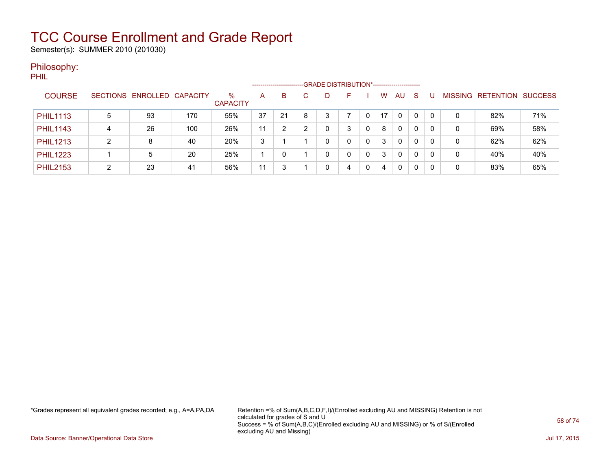Semester(s): SUMMER 2010 (201030)

### Philosophy:

PHIL

|                 |   |                            |     |                         | --------------------- |    |   | -GRADE DISTRIBUTION*----------------------- |   |   |    |              |              |          |                |           |                |
|-----------------|---|----------------------------|-----|-------------------------|-----------------------|----|---|---------------------------------------------|---|---|----|--------------|--------------|----------|----------------|-----------|----------------|
| <b>COURSE</b>   |   | SECTIONS ENROLLED CAPACITY |     | $\%$<br><b>CAPACITY</b> | A                     | B  |   | D                                           |   |   | w  | AU           | -S           |          | <b>MISSING</b> | RETENTION | <b>SUCCESS</b> |
| <b>PHIL1113</b> | 5 | 93                         | 170 | 55%                     | 37                    | 21 | 8 | 3                                           |   | 0 | 17 | $\Omega$     | $\mathbf{0}$ | $\Omega$ | 0              | 82%       | 71%            |
| <b>PHIL1143</b> | 4 | 26                         | 100 | 26%                     | 11                    |    | ົ | 0                                           | 3 | 0 | 8  | $\mathbf{0}$ | 0            | 0        | 0              | 69%       | 58%            |
| <b>PHIL1213</b> | າ | 8                          | 40  | 20%                     | 3                     |    |   | 0                                           | 0 | 0 | 3  | $\Omega$     |              | 0        | 0              | 62%       | 62%            |
| <b>PHIL1223</b> |   | 5                          | 20  | 25%                     |                       |    |   | 0                                           | 0 | 0 | 3  | $\Omega$     | $\Omega$     | $\Omega$ | 0              | 40%       | 40%            |
| <b>PHIL2153</b> | ົ | 23                         | 41  | 56%                     | 11                    | 3  |   | 0                                           | 4 | 0 | 4  | $\Omega$     | $\Omega$     | 0        | 0              | 83%       | 65%            |

\*Grades represent all equivalent grades recorded; e.g., A=A,PA,DA Retention =% of Sum(A,B,C,D,F,I)/(Enrolled excluding AU and MISSING) Retention is not calculated for grades of S and U Success = % of Sum(A,B,C)/(Enrolled excluding AU and MISSING) or % of S/(Enrolled excluding AU and Missing)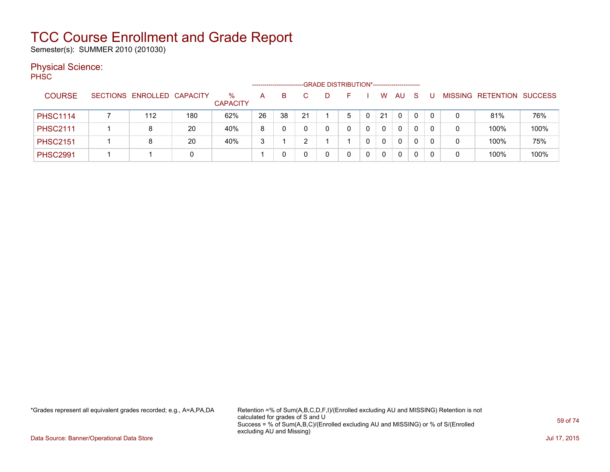Semester(s): SUMMER 2010 (201030)

### Physical Science:

PH<sub>SC</sub>

|                 |                            |     |                         |    |    |    |   | -GRADE DISTRIBUTION*----------------------- |   |              |    |    |   |   |                   |                |
|-----------------|----------------------------|-----|-------------------------|----|----|----|---|---------------------------------------------|---|--------------|----|----|---|---|-------------------|----------------|
| <b>COURSE</b>   | SECTIONS ENROLLED CAPACITY |     | $\%$<br><b>CAPACITY</b> | A  | B. |    | Ð | н.                                          |   | W            | AU | -S |   |   | MISSING RETENTION | <b>SUCCESS</b> |
| <b>PHSC1114</b> | 112                        | 180 | 62%                     | 26 | 38 | 21 |   | 5                                           |   | 21           | 0  | 0  | 0 | 0 | 81%               | 76%            |
| <b>PHSC2111</b> | 8                          | 20  | 40%                     | 8  | 0  |    |   |                                             |   | $\mathbf{0}$ | 0  | 0  |   | 0 | 100%              | 100%           |
| <b>PHSC2151</b> | 8                          | 20  | 40%                     | 3  |    |    |   |                                             |   | $\mathbf{0}$ | 0  | 0  |   | 0 | 100%              | 75%            |
| <b>PHSC2991</b> |                            | 0   |                         |    | 0  |    |   |                                             | 0 | 0            | 0  | 0  |   | 0 | 100%              | 100%           |

\*Grades represent all equivalent grades recorded; e.g., A=A,PA,DA Retention =% of Sum(A,B,C,D,F,I)/(Enrolled excluding AU and MISSING) Retention is not calculated for grades of S and U Success = % of Sum(A,B,C)/(Enrolled excluding AU and MISSING) or % of S/(Enrolled excluding AU and Missing)

Data Source: Banner/Operational Data Store Jul 17, 2015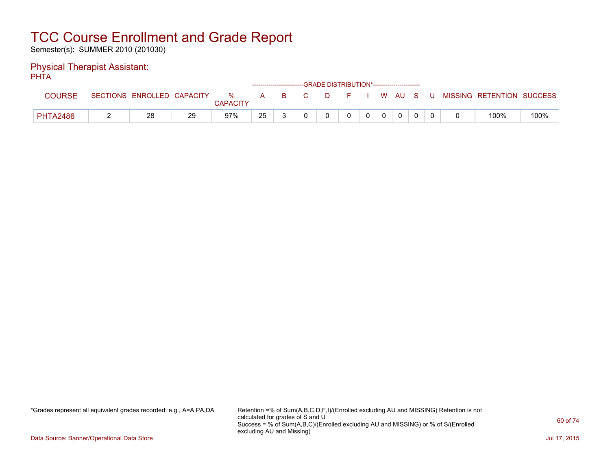Semester(s): SUMMER 2010 (201030)

#### Physical Therapist Assistant: PHTA

| .               |                            |    |                         |              |          |    | ------------------------GRADE DISTRIBUTION*----------------------- |    |              |             |     |                           |      |
|-----------------|----------------------------|----|-------------------------|--------------|----------|----|--------------------------------------------------------------------|----|--------------|-------------|-----|---------------------------|------|
| <b>COURSE</b>   | SECTIONS ENROLLED CAPACITY |    | $\%$<br><b>CAPACITY</b> | $\mathsf{A}$ | <b>B</b> | C. | - D -                                                              | F. |              | WAUS        | - U | MISSING RETENTION SUCCESS |      |
| <b>PHTA2486</b> | 28                         | 29 | 97%                     | 25           |          |    |                                                                    | 0  | $\mathbf{0}$ | $\mathbf 0$ |     | 100%                      | 100% |

\*Grades represent all equivalent grades recorded; e.g., A=A,PA,DA Retention =% of Sum(A,B,C,D,F,I)/(Enrolled excluding AU and MISSING) Retention is not calculated for grades of S and U Success = % of Sum(A,B,C)/(Enrolled excluding AU and MISSING) or % of S/(Enrolled excluding AU and Missing)

Data Source: Banner/Operational Data Store Jul 17, 2015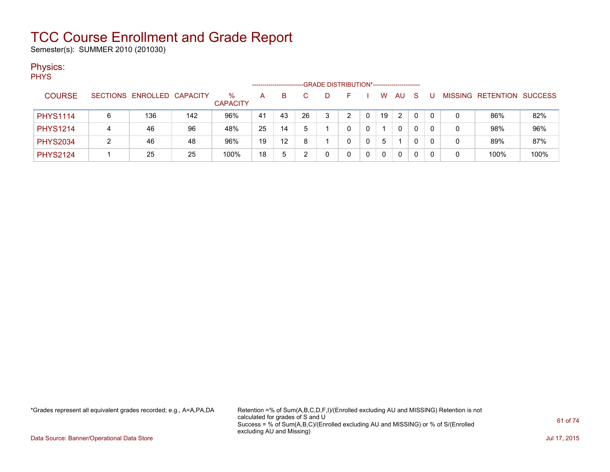Semester(s): SUMMER 2010 (201030)

### Physics:

| <b>PHYS</b>     |   |                            |     |                         |    |                   |    | -GRADE DISTRIBUTION*----------------------- |    |    |                |     |    |   |                                  |      |
|-----------------|---|----------------------------|-----|-------------------------|----|-------------------|----|---------------------------------------------|----|----|----------------|-----|----|---|----------------------------------|------|
| <b>COURSE</b>   |   | SECTIONS ENROLLED CAPACITY |     | $\%$<br><b>CAPACITY</b> | A  | B.                |    | D                                           | F. | W  | AU             | - S | -U |   | <b>MISSING RETENTION SUCCESS</b> |      |
| <b>PHYS1114</b> |   | 136                        | 142 | 96%                     | 41 | 43                | 26 |                                             | 2  | 19 | $\overline{2}$ | 0   | 0  | 0 | 86%                              | 82%  |
| <b>PHYS1214</b> |   | 46                         | 96  | 48%                     | 25 | 14                | 5  |                                             | 0  |    | 0              | 0   | 0  | 0 | 98%                              | 96%  |
| <b>PHYS2034</b> | 2 | 46                         | 48  | 96%                     | 19 | $12 \overline{ }$ | 8  |                                             | 0  | 5  |                | 0   | 0  | 0 | 89%                              | 87%  |
| <b>PHYS2124</b> |   | 25                         | 25  | 100%                    | 18 | 5                 |    |                                             | 0  |    | 0              | 0   | 0  | 0 | 100%                             | 100% |

\*Grades represent all equivalent grades recorded; e.g., A=A,PA,DA Retention =% of Sum(A,B,C,D,F,I)/(Enrolled excluding AU and MISSING) Retention is not calculated for grades of S and U Success = % of Sum(A,B,C)/(Enrolled excluding AU and MISSING) or % of S/(Enrolled excluding AU and Missing)

Data Source: Banner/Operational Data Store Jul 17, 2015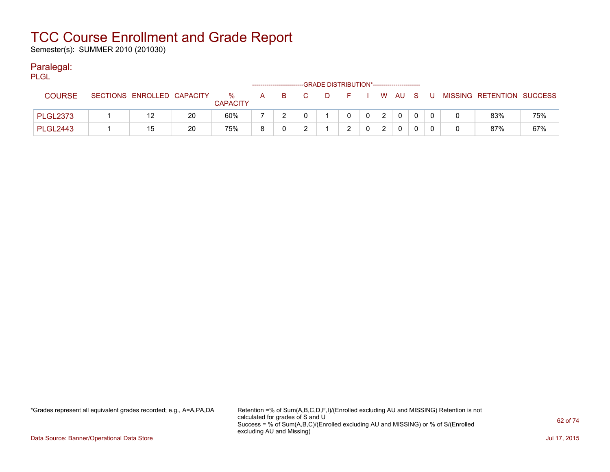Semester(s): SUMMER 2010 (201030)

### Paralegal:

| PLGL            |                            |    |                      |    |    | -GRADE DISTRIBUTION*----------------------- |      |   |              |    |                           |     |
|-----------------|----------------------------|----|----------------------|----|----|---------------------------------------------|------|---|--------------|----|---------------------------|-----|
| <b>COURSE</b>   | SECTIONS ENROLLED CAPACITY |    | %<br><b>CAPACITY</b> | A. | B. | $\Box$                                      | ∴ F∴ |   | I WAUS       | U. | MISSING RETENTION SUCCESS |     |
| <b>PLGL2373</b> |                            | 20 | 60%                  |    |    |                                             |      | 2 | $\Omega$     |    | 83%                       | 75% |
| <b>PLGL2443</b> | 15                         | 20 | 75%                  |    |    |                                             |      |   | $\mathbf{0}$ |    | 87%                       | 67% |

\*Grades represent all equivalent grades recorded; e.g., A=A,PA,DA Retention =% of Sum(A,B,C,D,F,I)/(Enrolled excluding AU and MISSING) Retention is not calculated for grades of S and U Success = % of Sum(A,B,C)/(Enrolled excluding AU and MISSING) or % of S/(Enrolled excluding AU and Missing)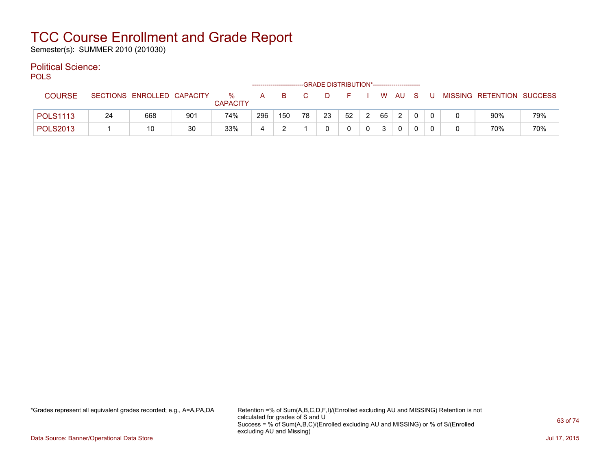Semester(s): SUMMER 2010 (201030)

### Political Science:

POLS

| ---             |    |                            |     |                      |     |     |      | -------------------------GRADE DISTRIBUTION*----------------------- |    |   |    |        |   |   |                           |     |
|-----------------|----|----------------------------|-----|----------------------|-----|-----|------|---------------------------------------------------------------------|----|---|----|--------|---|---|---------------------------|-----|
| <b>COURSE</b>   |    | SECTIONS ENROLLED CAPACITY |     | %<br><b>CAPACITY</b> | A   | в   | $-C$ | D                                                                   |    |   |    | W AU S | U |   | MISSING RETENTION SUCCESS |     |
| <b>POLS1113</b> | 24 | 668                        | 901 | 74%                  | 296 | 150 | 78   | 23                                                                  | 52 | 2 | 65 | 2      |   |   | 90%                       | 79% |
| <b>POLS2013</b> |    | 10                         | 30  | 33%                  |     |     |      |                                                                     |    |   | 3  |        |   | 0 | 70%                       | 70% |

\*Grades represent all equivalent grades recorded; e.g., A=A,PA,DA Retention =% of Sum(A,B,C,D,F,I)/(Enrolled excluding AU and MISSING) Retention is not calculated for grades of S and U Success = % of Sum(A,B,C)/(Enrolled excluding AU and MISSING) or % of S/(Enrolled excluding AU and Missing)

Data Source: Banner/Operational Data Store Jul 17, 2015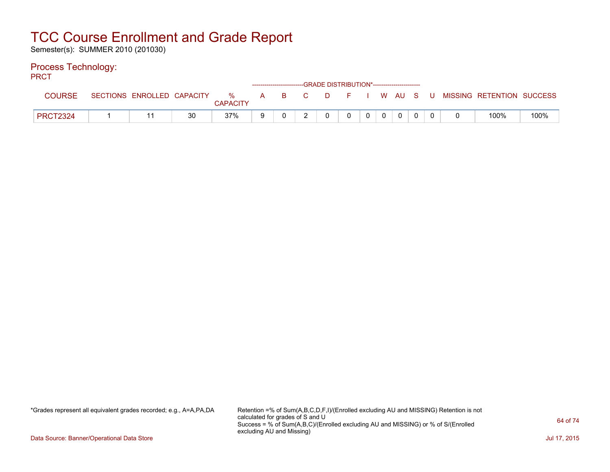Semester(s): SUMMER 2010 (201030)

### Process Technology:

PRCT

| -------         |                            |    |                      |              | ------------------------GRADE DISTRIBUTION*----------------------- |     |    |  |       |   |                           |      |
|-----------------|----------------------------|----|----------------------|--------------|--------------------------------------------------------------------|-----|----|--|-------|---|---------------------------|------|
| <b>COURSE</b>   | SECTIONS ENROLLED CAPACITY |    | %<br><b>CAPACITY</b> | $\mathsf{A}$ |                                                                    | B C | DF |  | WAUS. | U | MISSING RETENTION SUCCESS |      |
| <b>PRCT2324</b> |                            | 30 | 37%                  |              |                                                                    |     |    |  |       |   | 100%                      | 100% |

\*Grades represent all equivalent grades recorded; e.g., A=A,PA,DA Retention =% of Sum(A,B,C,D,F,I)/(Enrolled excluding AU and MISSING) Retention is not calculated for grades of S and U Success = % of Sum(A,B,C)/(Enrolled excluding AU and MISSING) or % of S/(Enrolled excluding AU and Missing)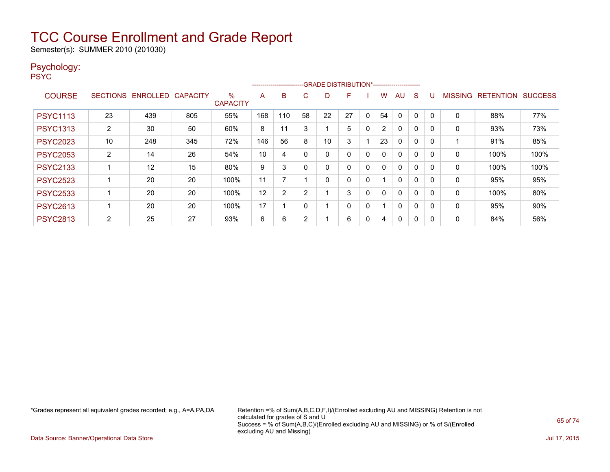Semester(s): SUMMER 2010 (201030)

### Psychology:

PSYC

|                 |                 |                 |                 |                      |     | ------------------------ |    | --GRADE DISTRIBUTION*----------------------- |    |   |                |              |          |          |                |                  |                |
|-----------------|-----------------|-----------------|-----------------|----------------------|-----|--------------------------|----|----------------------------------------------|----|---|----------------|--------------|----------|----------|----------------|------------------|----------------|
| <b>COURSE</b>   | <b>SECTIONS</b> | <b>ENROLLED</b> | <b>CAPACITY</b> | %<br><b>CAPACITY</b> | A   | B                        | C  | D                                            | F  |   | w              | AU           | S        |          | <b>MISSING</b> | <b>RETENTION</b> | <b>SUCCESS</b> |
| <b>PSYC1113</b> | 23              | 439             | 805             | 55%                  | 168 | 110                      | 58 | 22                                           | 27 | 0 | 54             | 0            | 0        | $\Omega$ | 0              | 88%              | 77%            |
| <b>PSYC1313</b> | 2               | 30              | 50              | 60%                  | 8   | 11                       | 3  |                                              | 5  | 0 | $\overline{2}$ | $\mathbf{0}$ | $\Omega$ | 0        | 0              | 93%              | 73%            |
| <b>PSYC2023</b> | 10              | 248             | 345             | 72%                  | 146 | 56                       | 8  | 10                                           | 3  |   | 23             | $\mathbf{0}$ | $\Omega$ | 0        |                | 91%              | 85%            |
| <b>PSYC2053</b> | $\overline{2}$  | 14              | 26              | 54%                  | 10  | 4                        |    | 0                                            | 0  | 0 | 0              | $\Omega$     | $\Omega$ | $\Omega$ | 0              | 100%             | 100%           |
| <b>PSYC2133</b> |                 | 12              | 15              | 80%                  | 9   | 3                        |    | 0                                            | 0  | 0 | 0              | $\mathbf{0}$ | $\Omega$ | 0        | 0              | 100%             | 100%           |
| <b>PSYC2523</b> |                 | 20              | 20              | 100%                 | 11  | 7                        |    | 0                                            | 0  | 0 |                | $\mathbf{0}$ | $\Omega$ | 0        | 0              | 95%              | 95%            |
| <b>PSYC2533</b> |                 | 20              | 20              | 100%                 | 12  | $\overline{2}$           | ົ  |                                              | 3  | 0 | 0              | $\mathbf{0}$ | $\Omega$ | $\Omega$ | 0              | 100%             | 80%            |
| <b>PSYC2613</b> |                 | 20              | 20              | 100%                 | 17  |                          |    |                                              | 0  | 0 |                | $\mathbf{0}$ | $\Omega$ | $\Omega$ | $\mathbf 0$    | 95%              | 90%            |
| <b>PSYC2813</b> | $\overline{2}$  | 25              | 27              | 93%                  | 6   | 6                        | 2  |                                              | 6  | 0 | 4              | $\Omega$     | 0        | 0        | 0              | 84%              | 56%            |

\*Grades represent all equivalent grades recorded; e.g., A=A,PA,DA Retention =% of Sum(A,B,C,D,F,I)/(Enrolled excluding AU and MISSING) Retention is not calculated for grades of S and U Success = % of Sum(A,B,C)/(Enrolled excluding AU and MISSING) or % of S/(Enrolled excluding AU and Missing)

Data Source: Banner/Operational Data Store Jul 17, 2015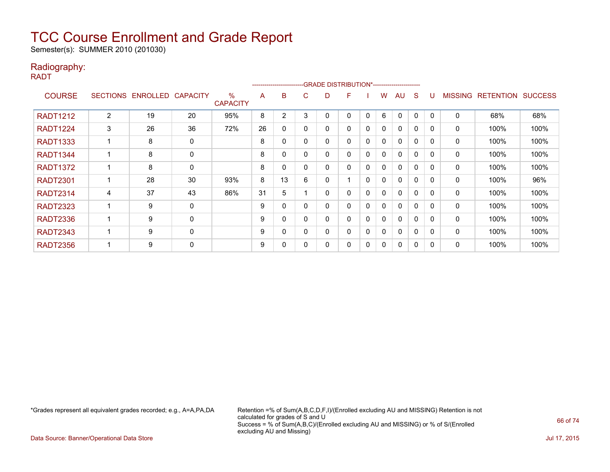Semester(s): SUMMER 2010 (201030)

### Radiography:

RADT

|                 |                 |                   |             |                      |    | --------------------- |          |   | -GRADE DISTRIBUTION*---------------------- |              |              |              |   |          |                |                  |                |
|-----------------|-----------------|-------------------|-------------|----------------------|----|-----------------------|----------|---|--------------------------------------------|--------------|--------------|--------------|---|----------|----------------|------------------|----------------|
| <b>COURSE</b>   | <b>SECTIONS</b> | ENROLLED CAPACITY |             | %<br><b>CAPACITY</b> | A  | B                     | C        | D | F                                          |              | w            | AU           | S |          | <b>MISSING</b> | <b>RETENTION</b> | <b>SUCCESS</b> |
| <b>RADT1212</b> | 2               | 19                | 20          | 95%                  | 8  | 2                     | 3        |   | 0                                          | $\mathbf 0$  | 6            | $\mathbf{0}$ | 0 | $\Omega$ | $\mathbf 0$    | 68%              | 68%            |
| <b>RADT1224</b> | 3               | 26                | 36          | 72%                  | 26 | 0                     | $\Omega$ | ი | 0                                          | 0            | 0            | $\mathbf{0}$ | 0 | 0        | 0              | 100%             | 100%           |
| <b>RADT1333</b> |                 | 8                 | 0           |                      | 8  | 0                     | $\Omega$ | ი | 0                                          | 0            | 0            | $\mathbf{0}$ | 0 | $\Omega$ | 0              | 100%             | 100%           |
| <b>RADT1344</b> |                 | 8                 | $\mathbf 0$ |                      | 8  | 0                     | $\Omega$ | 0 | 0                                          | 0            | 0            | 0            | 0 | $\Omega$ | 0              | 100%             | 100%           |
| <b>RADT1372</b> |                 | 8                 | 0           |                      | 8  | 0                     | $\Omega$ | 0 | 0                                          | 0            | 0            | $\mathbf{0}$ | 0 | $\Omega$ | 0              | 100%             | 100%           |
| <b>RADT2301</b> |                 | 28                | 30          | 93%                  | 8  | 13                    | 6        | 0 |                                            | $\mathbf{0}$ | 0            | $\mathbf{0}$ | 0 | 0        | 0              | 100%             | 96%            |
| <b>RADT2314</b> | 4               | 37                | 43          | 86%                  | 31 | 5                     |          |   | 0                                          | 0            | 0            | $\mathbf{0}$ | 0 | $\Omega$ | 0              | 100%             | 100%           |
| <b>RADT2323</b> |                 | 9                 | 0           |                      | 9  | 0                     | $\Omega$ | ი | 0                                          | 0            | 0            | $\mathbf{0}$ | 0 | $\Omega$ | 0              | 100%             | 100%           |
| <b>RADT2336</b> |                 | 9                 | 0           |                      | 9  | 0                     | 0        | 0 | 0                                          | 0            | 0            | $\mathbf{0}$ | 0 | $\Omega$ | 0              | 100%             | 100%           |
| <b>RADT2343</b> |                 | 9                 | $\Omega$    |                      | 9  | $\Omega$              | $\Omega$ |   | 0                                          | $\mathbf 0$  | $\mathbf{0}$ | $\mathbf{0}$ | 0 | $\Omega$ | $\mathbf{0}$   | 100%             | 100%           |
| <b>RADT2356</b> |                 | 9                 | $\mathbf 0$ |                      | 9  | 0                     |          |   | 0                                          | 0            | 0            | 0            | 0 | 0        | 0              | 100%             | 100%           |

\*Grades represent all equivalent grades recorded; e.g., A=A,PA,DA Retention =% of Sum(A,B,C,D,F,I)/(Enrolled excluding AU and MISSING) Retention is not calculated for grades of S and U Success = % of Sum(A,B,C)/(Enrolled excluding AU and MISSING) or % of S/(Enrolled excluding AU and Missing)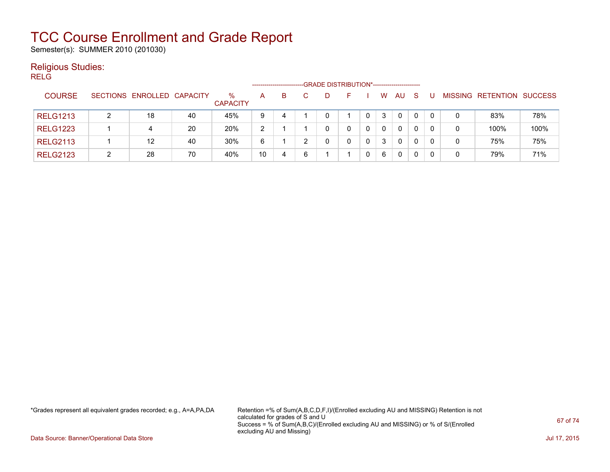Semester(s): SUMMER 2010 (201030)

### Religious Studies:

RELG

|                 |                            |    |                         |                |    |   | -GRADE DISTRIBUTION*----------------------- |          |              |              |  |                           |      |
|-----------------|----------------------------|----|-------------------------|----------------|----|---|---------------------------------------------|----------|--------------|--------------|--|---------------------------|------|
| <b>COURSE</b>   | SECTIONS ENROLLED CAPACITY |    | $\%$<br><b>CAPACITY</b> | A              | B. |   | н.                                          | w        | AU           | <sub>S</sub> |  | MISSING RETENTION SUCCESS |      |
| <b>RELG1213</b> | 18                         | 40 | 45%                     | 9              | 4  |   |                                             | 3        | $\mathbf{0}$ | $\mathbf{0}$ |  | 83%                       | 78%  |
| <b>RELG1223</b> | 4                          | 20 | 20%                     | $\overline{2}$ |    |   |                                             | $\Omega$ | $\mathbf{0}$ | 0            |  | 100%                      | 100% |
| <b>RELG2113</b> | 12                         | 40 | 30%                     | 6              |    |   | 0                                           | 3        | $\mathbf{0}$ | 0            |  | 75%                       | 75%  |
| <b>RELG2123</b> | 28                         | 70 | 40%                     | 10             | 4  | 6 |                                             | 6        | 0            | 0            |  | 79%                       | 71%  |

\*Grades represent all equivalent grades recorded; e.g., A=A,PA,DA Retention =% of Sum(A,B,C,D,F,I)/(Enrolled excluding AU and MISSING) Retention is not calculated for grades of S and U Success = % of Sum(A,B,C)/(Enrolled excluding AU and MISSING) or % of S/(Enrolled excluding AU and Missing)

Data Source: Banner/Operational Data Store Jul 17, 2015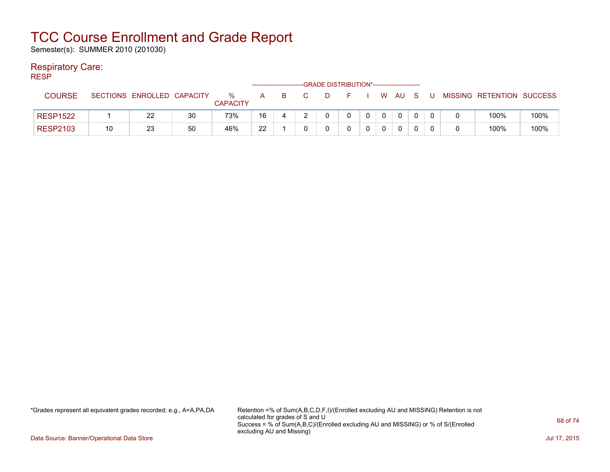Semester(s): SUMMER 2010 (201030)

### Respiratory Care:

RESP

|                 |    |                            |    |                      |    |   |   | -GRADE DISTRIBUTION*----------------------- |  |      |   |                           |      |
|-----------------|----|----------------------------|----|----------------------|----|---|---|---------------------------------------------|--|------|---|---------------------------|------|
| <b>COURSE</b>   |    | SECTIONS ENROLLED CAPACITY |    | %<br><b>CAPACITY</b> | A  | B | D |                                             |  | W AU | U | MISSING RETENTION SUCCESS |      |
| <b>RESP1522</b> |    | 22                         | 30 | 73%                  | 16 |   |   |                                             |  |      |   | 100%                      | 100% |
| <b>RESP2103</b> | 10 | 23                         | 50 | 46%                  | 22 |   |   |                                             |  |      |   | 100%                      | 100% |

\*Grades represent all equivalent grades recorded; e.g., A=A,PA,DA Retention =% of Sum(A,B,C,D,F,I)/(Enrolled excluding AU and MISSING) Retention is not calculated for grades of S and U Success = % of Sum(A,B,C)/(Enrolled excluding AU and MISSING) or % of S/(Enrolled excluding AU and Missing)

Data Source: Banner/Operational Data Store Jul 17, 2015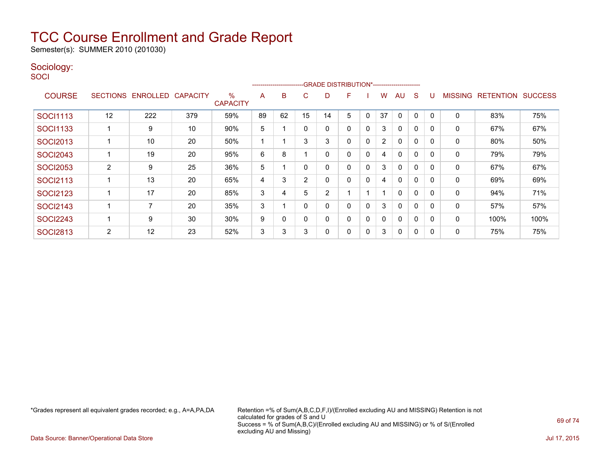Semester(s): SUMMER 2010 (201030)

### Sociology:

**SOCI** 

|                 |                 |                 |                 |                                  |    |    |                | ------------------------GRADE                DISTRIBUTION*---------------------- |   |             |                |              |              |          |                |                  |                |
|-----------------|-----------------|-----------------|-----------------|----------------------------------|----|----|----------------|----------------------------------------------------------------------------------|---|-------------|----------------|--------------|--------------|----------|----------------|------------------|----------------|
| <b>COURSE</b>   | <b>SECTIONS</b> | <b>ENROLLED</b> | <b>CAPACITY</b> | $\frac{0}{0}$<br><b>CAPACITY</b> | A  | B  | C              | D                                                                                | F |             | W              | AU           | S            |          | <b>MISSING</b> | <b>RETENTION</b> | <b>SUCCESS</b> |
| <b>SOCI1113</b> | 12              | 222             | 379             | 59%                              | 89 | 62 | 15             | 14                                                                               | 5 | 0           | 37             | $\mathbf{0}$ | 0            |          | 0              | 83%              | 75%            |
| <b>SOCI1133</b> |                 | 9               | 10              | 90%                              | 5  |    | $\Omega$       | ი                                                                                | 0 | 0           | 3              | $\Omega$     | 0            | 0        | 0              | 67%              | 67%            |
| <b>SOCI2013</b> |                 | 10              | 20              | 50%                              |    |    | 3              | 3                                                                                | 0 | 0           | $\overline{2}$ | $\mathbf{0}$ | $\mathbf{0}$ | $\Omega$ | 0              | 80%              | 50%            |
| <b>SOCI2043</b> |                 | 19              | 20              | 95%                              | 6  | 8  |                | 0                                                                                | 0 | $\mathbf 0$ | 4              | $\mathbf{0}$ | 0            | $\Omega$ | 0              | 79%              | 79%            |
| <b>SOCI2053</b> | $\overline{2}$  | 9               | 25              | 36%                              | 5  |    | $\Omega$       | 0                                                                                | 0 | $\mathbf 0$ | 3              | $\mathbf{0}$ | 0            | $\Omega$ | 0              | 67%              | 67%            |
| <b>SOCI2113</b> |                 | 13              | 20              | 65%                              | 4  | 3  | $\overline{2}$ | 0                                                                                | 0 | $\mathbf 0$ | 4              | $\mathbf{0}$ | 0            | $\Omega$ | 0              | 69%              | 69%            |
| <b>SOCI2123</b> |                 | 17              | 20              | 85%                              | 3  | 4  | 5              | $\overline{2}$                                                                   |   |             |                | $\mathbf{0}$ | 0            | 0        | $\Omega$       | 94%              | 71%            |
| <b>SOCI2143</b> |                 | $\overline{ }$  | 20              | 35%                              | 3  |    | $\Omega$       |                                                                                  | 0 | 0           | 3              | $\mathbf{0}$ | 0            | 0        | 0              | 57%              | 57%            |
| <b>SOCI2243</b> |                 | 9               | 30              | 30%                              | 9  | 0  | $\Omega$       | 0                                                                                | 0 | 0           | 0              | $\mathbf{0}$ | 0            | 0        | 0              | 100%             | 100%           |
| <b>SOCI2813</b> | 2               | 12              | 23              | 52%                              | 3  | 3  | 3              |                                                                                  | 0 | 0           | 3              | 0            | 0            | 0        | 0              | 75%              | 75%            |

\*Grades represent all equivalent grades recorded; e.g., A=A,PA,DA Retention =% of Sum(A,B,C,D,F,I)/(Enrolled excluding AU and MISSING) Retention is not calculated for grades of S and U Success = % of Sum(A,B,C)/(Enrolled excluding AU and MISSING) or % of S/(Enrolled excluding AU and Missing)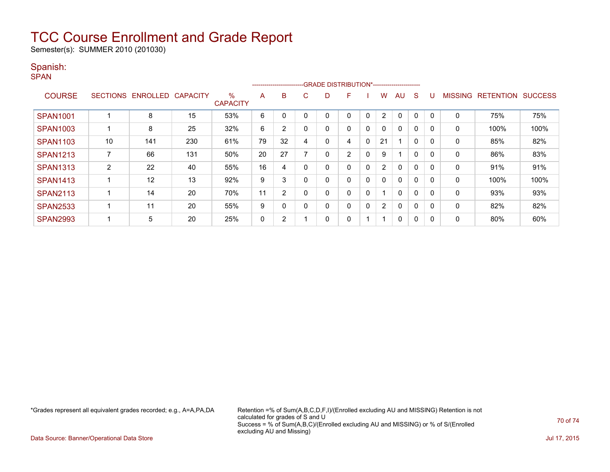Semester(s): SUMMER 2010 (201030)

### Spanish:

SPAN

|                 |                 |                 |                 |                      |    |                |    | ------------------------GRADE DISTRIBUTION*----------------------- |                |              |                |                         |              |          |                |                  |                |
|-----------------|-----------------|-----------------|-----------------|----------------------|----|----------------|----|--------------------------------------------------------------------|----------------|--------------|----------------|-------------------------|--------------|----------|----------------|------------------|----------------|
| <b>COURSE</b>   | <b>SECTIONS</b> | <b>ENROLLED</b> | <b>CAPACITY</b> | %<br><b>CAPACITY</b> | A  | в              | C. | D                                                                  | F              |              | w              | AU                      | S            |          | <b>MISSING</b> | <b>RETENTION</b> | <b>SUCCESS</b> |
| <b>SPAN1001</b> |                 | 8               | 15              | 53%                  | 6  |                |    |                                                                    | 0              | 0            | $\overline{2}$ | $\Omega$                | 0            | $\Omega$ | 0              | 75%              | 75%            |
| <b>SPAN1003</b> |                 | 8               | 25              | 32%                  | 6  | $\overline{2}$ |    | 0                                                                  | 0              | 0            | $\mathbf{0}$   | $\mathbf{0}$            | $\Omega$     |          | 0              | 100%             | 100%           |
| <b>SPAN1103</b> | 10              | 141             | 230             | 61%                  | 79 | 32             | 4  | 0                                                                  | 4              | $\mathbf{0}$ | 21             |                         | $\mathbf{0}$ | $\Omega$ | 0              | 85%              | 82%            |
| <b>SPAN1213</b> |                 | 66              | 131             | 50%                  | 20 | 27             |    |                                                                    | $\overline{2}$ | 0            | 9              | $\overline{\mathbf{A}}$ | $\Omega$     | $\Omega$ | 0              | 86%              | 83%            |
| <b>SPAN1313</b> | 2               | 22              | 40              | 55%                  | 16 | 4              |    | 0                                                                  | 0              | 0            | $\overline{2}$ | $\mathbf{0}$            | $\Omega$     |          | 0              | 91%              | 91%            |
| <b>SPAN1413</b> |                 | 12              | 13              | 92%                  | 9  | 3              |    | 0                                                                  | 0              | $\mathbf{0}$ | $\mathbf{0}$   | $\mathbf{0}$            | $\mathbf{0}$ |          | 0              | 100%             | 100%           |
| <b>SPAN2113</b> |                 | 14              | 20              | 70%                  | 11 | 2              |    | 0                                                                  | 0              | 0            |                | $\mathbf{0}$            | $\mathbf{0}$ | $\Omega$ | 0              | 93%              | 93%            |
| <b>SPAN2533</b> |                 | 11              | 20              | 55%                  | 9  | 0              |    | 0                                                                  | 0              | 0            | $\overline{2}$ | $\mathbf{0}$            | $\Omega$     | $\Omega$ | 0              | 82%              | 82%            |
| <b>SPAN2993</b> |                 | 5               | 20              | 25%                  | 0  | 2              |    | 0                                                                  | 0              |              |                | 0                       | 0            |          | 0              | 80%              | 60%            |

\*Grades represent all equivalent grades recorded; e.g., A=A,PA,DA Retention =% of Sum(A,B,C,D,F,I)/(Enrolled excluding AU and MISSING) Retention is not calculated for grades of S and U Success = % of Sum(A,B,C)/(Enrolled excluding AU and MISSING) or % of S/(Enrolled excluding AU and Missing)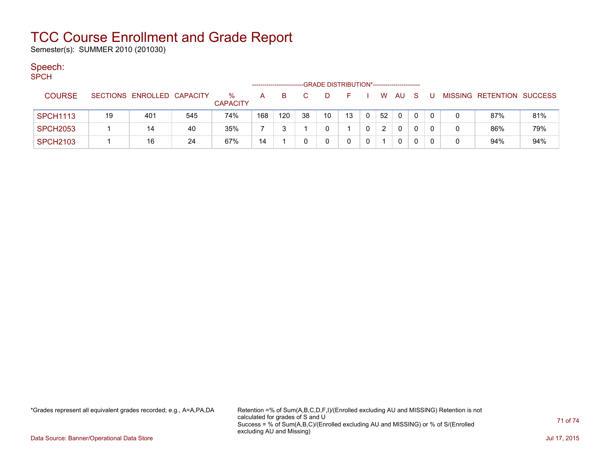Semester(s): SUMMER 2010 (201030)

### Speech:

|  | <b>SPCH</b>     |                                             |                            |     |                         |     |     |    |    |    |              |    |          |              |              |   |                           |     |
|--|-----------------|---------------------------------------------|----------------------------|-----|-------------------------|-----|-----|----|----|----|--------------|----|----------|--------------|--------------|---|---------------------------|-----|
|  |                 | -GRADE DISTRIBUTION*----------------------- |                            |     |                         |     |     |    |    |    |              |    |          |              |              |   |                           |     |
|  | <b>COURSE</b>   |                                             | SECTIONS ENROLLED CAPACITY |     | $\%$<br><b>CAPACITY</b> | A   | в   |    | D  |    |              | W  | AU       | S.           | U            |   | MISSING RETENTION SUCCESS |     |
|  | <b>SPCH1113</b> | 19                                          | 401                        | 545 | 74%                     | 168 | 120 | 38 | 10 | 13 | $\mathbf 0$  | 52 | $\Omega$ | $\mathbf{0}$ | $\Omega$     | 0 | 87%                       | 81% |
|  | <b>SPCH2053</b> |                                             | 14                         | 40  | 35%                     |     | ີ   |    | 0  |    | $\mathbf{0}$ | 2  | 0        | 0            | $\Omega$     | 0 | 86%                       | 79% |
|  | <b>SPCH2103</b> |                                             | 16                         | 24  | 67%                     | 14  |     |    | 0  | 0  | $\mathbf{0}$ |    | 0        |              | $\mathbf{0}$ | 0 | 94%                       | 94% |

\*Grades represent all equivalent grades recorded; e.g., A=A,PA,DA Retention =% of Sum(A,B,C,D,F,I)/(Enrolled excluding AU and MISSING) Retention is not calculated for grades of S and U Success = % of Sum(A,B,C)/(Enrolled excluding AU and MISSING) or % of S/(Enrolled excluding AU and Missing)

Data Source: Banner/Operational Data Store Jul 17, 2015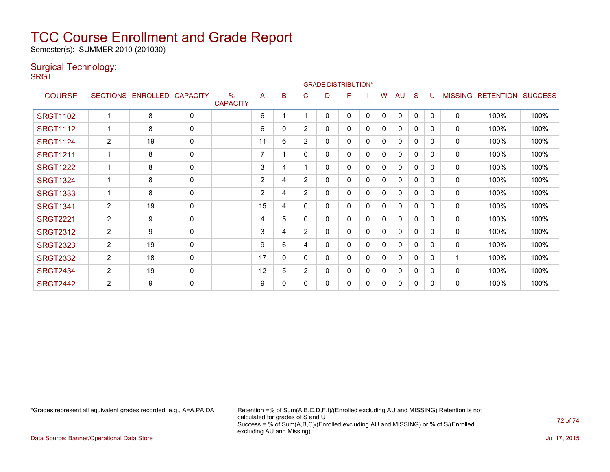Semester(s): SUMMER 2010 (201030)

### Surgical Technology:

**SRGT** 

|                 |                |                            |             |                                  |                |   | ------------------------GRADE                DISTRIBUTION*---------------------- |   |          |          |   |              |              |              |                |                  |                |
|-----------------|----------------|----------------------------|-------------|----------------------------------|----------------|---|----------------------------------------------------------------------------------|---|----------|----------|---|--------------|--------------|--------------|----------------|------------------|----------------|
| <b>COURSE</b>   |                | SECTIONS ENROLLED CAPACITY |             | $\frac{0}{0}$<br><b>CAPACITY</b> | A              | в | C                                                                                | D | F        |          | W | AU           | <sub>S</sub> | U            | <b>MISSING</b> | <b>RETENTION</b> | <b>SUCCESS</b> |
| <b>SRGT1102</b> |                | 8                          | $\mathbf 0$ |                                  | 6              |   |                                                                                  | 0 | 0        | 0        | 0 | $\Omega$     | 0            | $\mathbf{0}$ | $\Omega$       | 100%             | 100%           |
| <b>SRGT1112</b> |                | 8                          | $\mathbf 0$ |                                  | 6              | 0 | $\overline{2}$                                                                   | 0 | 0        | 0        | 0 | $\Omega$     | 0            | 0            | $\mathbf 0$    | 100%             | 100%           |
| <b>SRGT1124</b> | $\overline{2}$ | 19                         | $\mathbf 0$ |                                  | 11             | 6 | 2                                                                                | 0 | 0        | 0        | 0 | $\mathbf{0}$ | 0            | $\Omega$     | $\mathbf{0}$   | 100%             | 100%           |
| <b>SRGT1211</b> |                | 8                          | $\mathbf 0$ |                                  | 7              |   | 0                                                                                | 0 | 0        | 0        | 0 | 0            | 0            | $\Omega$     | 0              | 100%             | 100%           |
| <b>SRGT1222</b> |                | 8                          | $\mathbf 0$ |                                  | 3              | 4 |                                                                                  | 0 | $\Omega$ | 0        | 0 | $\mathbf{0}$ | 0            | $\Omega$     | $\Omega$       | 100%             | 100%           |
| <b>SRGT1324</b> |                | 8                          | 0           |                                  | $\overline{2}$ | 4 | $\overline{2}$                                                                   | 0 | 0        | 0        | 0 | 0            | 0            | 0            | 0              | 100%             | 100%           |
| <b>SRGT1333</b> |                | 8                          | $\mathbf 0$ |                                  | 2              | 4 | $\overline{2}$                                                                   | 0 | $\Omega$ | 0        | 0 | $\Omega$     | $\Omega$     | 0            | $\mathbf 0$    | 100%             | 100%           |
| <b>SRGT1341</b> | $\overline{2}$ | 19                         | $\mathbf 0$ |                                  | 15             | 4 | 0                                                                                | 0 | 0        | 0        | 0 | 0            | 0            | 0            | $\mathbf 0$    | 100%             | 100%           |
| <b>SRGT2221</b> | $\overline{2}$ | 9                          | $\mathbf 0$ |                                  | 4              | 5 | 0                                                                                | 0 | 0        | 0        | 0 | $\mathbf{0}$ | 0            | 0            | 0              | 100%             | 100%           |
| <b>SRGT2312</b> | $\overline{2}$ | 9                          | $\mathbf 0$ |                                  | 3              | 4 | 2                                                                                | 0 | 0        | 0        | 0 | $\mathbf{0}$ | $\Omega$     | 0            | $\mathbf{0}$   | 100%             | 100%           |
| <b>SRGT2323</b> | $\overline{2}$ | 19                         | 0           |                                  | 9              | 6 | 4                                                                                | 0 | 0        | 0        | 0 | $\mathbf{0}$ | 0            | 0            | $\mathbf{0}$   | 100%             | 100%           |
| <b>SRGT2332</b> | $\overline{2}$ | 18                         | 0           |                                  | 17             | 0 | 0                                                                                | 0 | 0        | $\Omega$ | 0 | $\mathbf{0}$ | 0            | 0            | 1              | 100%             | 100%           |
| <b>SRGT2434</b> | 2              | 19                         | $\mathbf 0$ |                                  | 12             | 5 | $\overline{2}$                                                                   | 0 | 0        | 0        | 0 | 0            | 0            | 0            | 0              | 100%             | 100%           |
| <b>SRGT2442</b> | $\overline{2}$ | 9                          | $\Omega$    |                                  | 9              | 0 | 0                                                                                | 0 | 0        | 0        | 0 | $\Omega$     | $\Omega$     | 0            | $\mathbf{0}$   | 100%             | 100%           |

\*Grades represent all equivalent grades recorded; e.g., A=A,PA,DA Retention =% of Sum(A,B,C,D,F,I)/(Enrolled excluding AU and MISSING) Retention is not calculated for grades of S and U Success = % of Sum(A,B,C)/(Enrolled excluding AU and MISSING) or % of S/(Enrolled excluding AU and Missing)

Data Source: Banner/Operational Data Store Jul 17, 2015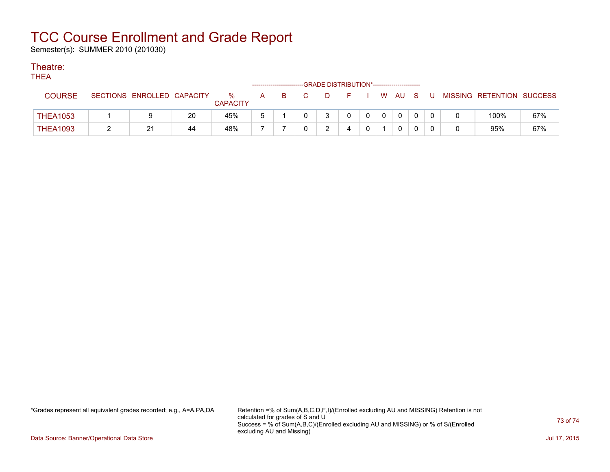## TCC Course Enrollment and Grade Report

Semester(s): SUMMER 2010 (201030)

## Theatre:

**THEA** 

| .               | ------------------------GRADE                DISTRIBUTION*---------------------- |                            |    |                         |   |    |  |   |      |  |  |        |  |  |                           |     |
|-----------------|----------------------------------------------------------------------------------|----------------------------|----|-------------------------|---|----|--|---|------|--|--|--------|--|--|---------------------------|-----|
| <b>COURSE</b>   |                                                                                  | SECTIONS ENROLLED CAPACITY |    | $\%$<br><b>CAPACITY</b> | A | B. |  | D | $ -$ |  |  | . WAUS |  |  | MISSING RETENTION SUCCESS |     |
| <b>THEA1053</b> |                                                                                  |                            | 20 | 45%                     |   |    |  |   |      |  |  |        |  |  | 100%                      | 67% |
| <b>THEA1093</b> |                                                                                  | 21                         | 44 | 48%                     | - |    |  |   |      |  |  |        |  |  | 95%                       | 67% |

\*Grades represent all equivalent grades recorded; e.g., A=A,PA,DA Retention =% of Sum(A,B,C,D,F,I)/(Enrolled excluding AU and MISSING) Retention is not calculated for grades of S and U Success = % of Sum(A,B,C)/(Enrolled excluding AU and MISSING) or % of S/(Enrolled excluding AU and Missing)

Data Source: Banner/Operational Data Store Jul 17, 2015